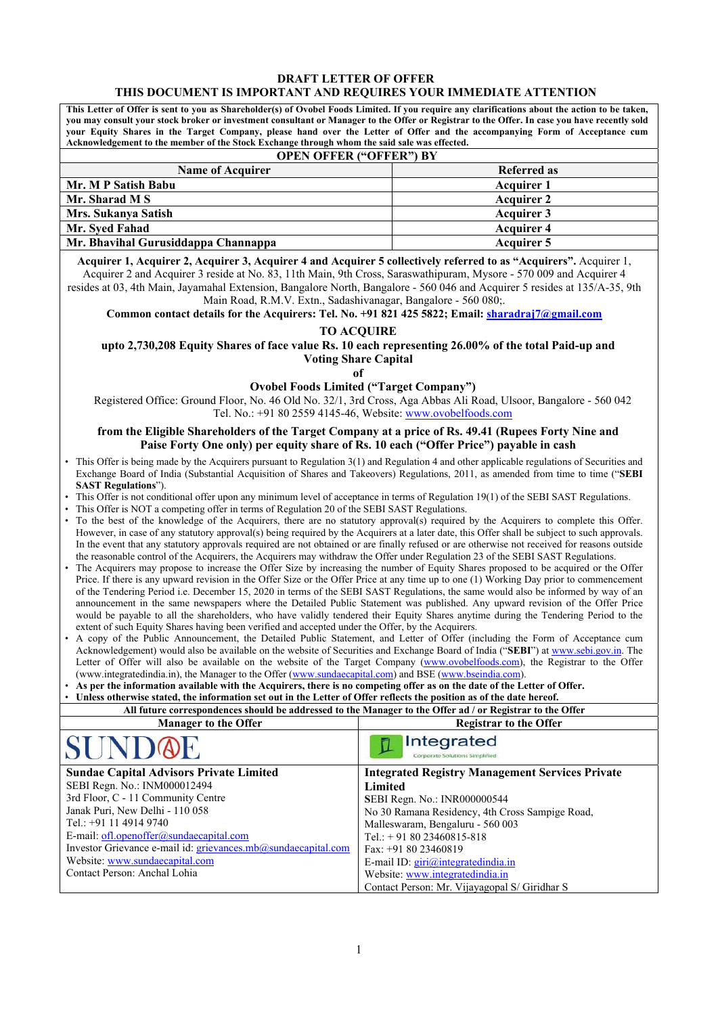#### **DRAFT LETTER OF OFFER THIS DOCUMENT IS IMPORTANT AND REQUIRES YOUR IMMEDIATE ATTENTION**

**This Letter of Offer is sent to you as Shareholder(s) of Ovobel Foods Limited. If you require any clarifications about the action to be taken, you may consult your stock broker or investment consultant or Manager to the Offer or Registrar to the Offer. In case you have recently sold your Equity Shares in the Target Company, please hand over the Letter of Offer and the accompanying Form of Acceptance cum Acknowledgement to the member of the Stock Exchange through whom the said sale was effected.** 

| <b>OPEN OFFER ("OFFER") BY</b> |  |  |  |  |
|--------------------------------|--|--|--|--|
| Referred as                    |  |  |  |  |
| <b>Acquirer 1</b>              |  |  |  |  |
| <b>Acquirer 2</b>              |  |  |  |  |
| <b>Acquirer 3</b>              |  |  |  |  |
| <b>Acquirer 4</b>              |  |  |  |  |
| Acquirer 5                     |  |  |  |  |
|                                |  |  |  |  |

**Acquirer 1, Acquirer 2, Acquirer 3, Acquirer 4 and Acquirer 5 collectively referred to as "Acquirers".** Acquirer 1, Acquirer 2 and Acquirer 3 reside at No. 83, 11th Main, 9th Cross, Saraswathipuram, Mysore - 570 009 and Acquirer 4

resides at 03, 4th Main, Jayamahal Extension, Bangalore North, Bangalore - 560 046 and Acquirer 5 resides at 135/A-35, 9th Main Road, R.M.V. Extn., Sadashivanagar, Bangalore - 560 080;.

**Common contact details for the Acquirers: Tel. No. +91 821 425 5822; Email: sharadraj7@gmail.com**

#### **TO ACQUIRE**

**upto 2,730,208 Equity Shares of face value Rs. 10 each representing 26.00% of the total Paid-up and Voting Share Capital** 

**of** 

### **Ovobel Foods Limited ("Target Company")**

Registered Office: Ground Floor, No. 46 Old No. 32/1, 3rd Cross, Aga Abbas Ali Road, Ulsoor, Bangalore - 560 042 Tel. No.: +91 80 2559 4145-46, Website: www.ovobelfoods.com

#### **from the Eligible Shareholders of the Target Company at a price of Rs. 49.41 (Rupees Forty Nine and Paise Forty One only) per equity share of Rs. 10 each ("Offer Price") payable in cash**

- This Offer is being made by the Acquirers pursuant to Regulation 3(1) and Regulation 4 and other applicable regulations of Securities and Exchange Board of India (Substantial Acquisition of Shares and Takeovers) Regulations, 2011, as amended from time to time ("**SEBI SAST Regulations**").
- This Offer is not conditional offer upon any minimum level of acceptance in terms of Regulation 19(1) of the SEBI SAST Regulations.
- This Offer is NOT a competing offer in terms of Regulation 20 of the SEBI SAST Regulations.
- To the best of the knowledge of the Acquirers, there are no statutory approval(s) required by the Acquirers to complete this Offer. However, in case of any statutory approval(s) being required by the Acquirers at a later date, this Offer shall be subject to such approvals. In the event that any statutory approvals required are not obtained or are finally refused or are otherwise not received for reasons outside the reasonable control of the Acquirers, the Acquirers may withdraw the Offer under Regulation 23 of the SEBI SAST Regulations.
- The Acquirers may propose to increase the Offer Size by increasing the number of Equity Shares proposed to be acquired or the Offer Price. If there is any upward revision in the Offer Size or the Offer Price at any time up to one (1) Working Day prior to commencement of the Tendering Period i.e. December 15, 2020 in terms of the SEBI SAST Regulations, the same would also be informed by way of an announcement in the same newspapers where the Detailed Public Statement was published. Any upward revision of the Offer Price would be payable to all the shareholders, who have validly tendered their Equity Shares anytime during the Tendering Period to the extent of such Equity Shares having been verified and accepted under the Offer, by the Acquirers.
- A copy of the Public Announcement, the Detailed Public Statement, and Letter of Offer (including the Form of Acceptance cum Acknowledgement) would also be available on the website of Securities and Exchange Board of India ("**SEBI**") at www.sebi.gov.in. The Letter of Offer will also be available on the website of the Target Company (www.ovobelfoods.com), the Registrar to the Offer (www.integratedindia.in), the Manager to the Offer (www.sundaecapital.com) and BSE (www.bseindia.com).
- **As per the information available with the Acquirers, there is no competing offer as on the date of the Letter of Offer.**

| As per the information available with the Acquirers, there is no competing offer as on the date of the Letter of Offer. |                                                        |  |  |  |
|-------------------------------------------------------------------------------------------------------------------------|--------------------------------------------------------|--|--|--|
| Unless otherwise stated, the information set out in the Letter of Offer reflects the position as of the date hereof.    |                                                        |  |  |  |
| All future correspondences should be addressed to the Manager to the Offer ad / or Registrar to the Offer               |                                                        |  |  |  |
| <b>Manager to the Offer</b>                                                                                             | <b>Registrar to the Offer</b>                          |  |  |  |
| <b>SUND@E</b>                                                                                                           | Integrated<br>Corporate Solutions Simplified           |  |  |  |
| <b>Sundae Capital Advisors Private Limited</b>                                                                          | <b>Integrated Registry Management Services Private</b> |  |  |  |
| SEBI Regn. No.: INM000012494                                                                                            | Limited                                                |  |  |  |
| 3rd Floor, C - 11 Community Centre                                                                                      | <b>SEBI Regn. No.: INR000000544</b>                    |  |  |  |
| Janak Puri, New Delhi - 110 058                                                                                         | No 30 Ramana Residency, 4th Cross Sampige Road,        |  |  |  |
| Tel.: +91 11 4914 9740                                                                                                  | Malleswaram, Bengaluru - 560 003                       |  |  |  |
| E-mail: ofl.openoffer@sundaecapital.com                                                                                 | Tel.: $+918023460815-818$                              |  |  |  |
| Investor Grievance e-mail id: grievances.mb@sundaecapital.com                                                           | Fax: $+918023460819$                                   |  |  |  |
| Website: www.sundaecapital.com                                                                                          | E-mail ID: $\text{giri}(\hat{a})$ integrated india.in  |  |  |  |
| Contact Person: Anchal Lohia                                                                                            | Website: www.integratedindia.in                        |  |  |  |
|                                                                                                                         | Contact Person: Mr. Vijayagopal S/ Giridhar S          |  |  |  |
|                                                                                                                         |                                                        |  |  |  |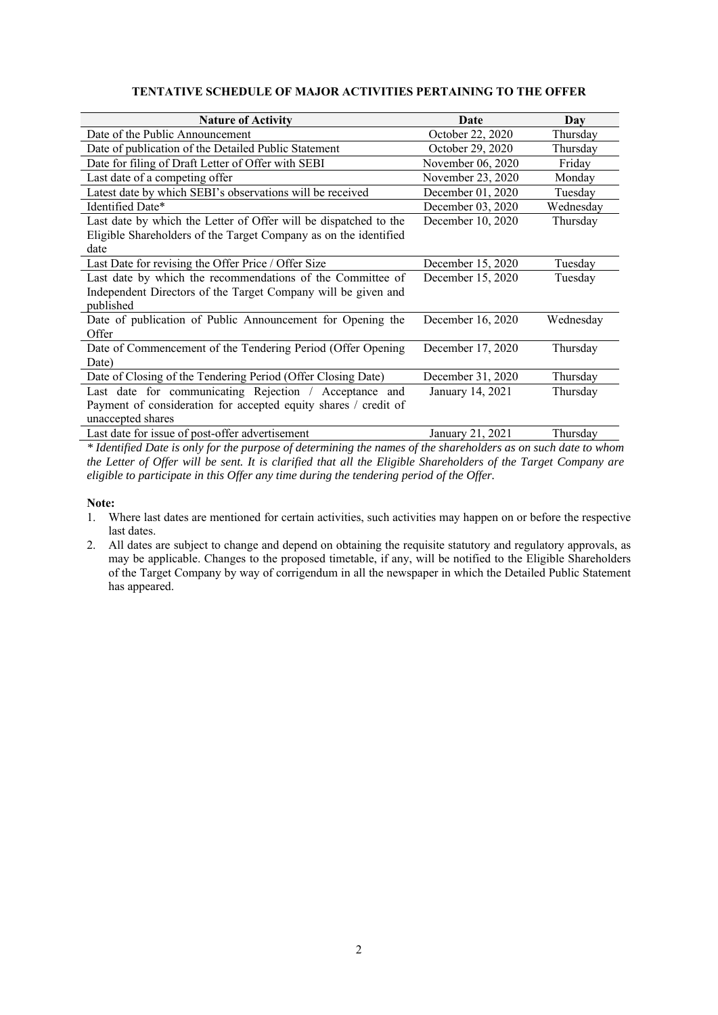| <b>Nature of Activity</b>                                        | Date              | Day       |
|------------------------------------------------------------------|-------------------|-----------|
| Date of the Public Announcement                                  | October 22, 2020  | Thursday  |
| Date of publication of the Detailed Public Statement             | October 29, 2020  | Thursday  |
| Date for filing of Draft Letter of Offer with SEBI               | November 06, 2020 | Friday    |
| Last date of a competing offer                                   | November 23, 2020 | Monday    |
| Latest date by which SEBI's observations will be received        | December 01, 2020 | Tuesday   |
| Identified Date*                                                 | December 03, 2020 | Wednesday |
| Last date by which the Letter of Offer will be dispatched to the | December 10, 2020 | Thursday  |
| Eligible Shareholders of the Target Company as on the identified |                   |           |
| date                                                             |                   |           |
| Last Date for revising the Offer Price / Offer Size              | December 15, 2020 | Tuesday   |
| Last date by which the recommendations of the Committee of       | December 15, 2020 | Tuesday   |
| Independent Directors of the Target Company will be given and    |                   |           |
| published                                                        |                   |           |
| Date of publication of Public Announcement for Opening the       | December 16, 2020 | Wednesday |
| Offer                                                            |                   |           |
| Date of Commencement of the Tendering Period (Offer Opening      | December 17, 2020 | Thursday  |
| Date)                                                            |                   |           |
| Date of Closing of the Tendering Period (Offer Closing Date)     | December 31, 2020 | Thursday  |
| Last date for communicating Rejection / Acceptance and           | January 14, 2021  | Thursday  |
| Payment of consideration for accepted equity shares / credit of  |                   |           |
| unaccepted shares                                                |                   |           |
| Last date for issue of post-offer advertisement                  | January 21, 2021  | Thursday  |

# **TENTATIVE SCHEDULE OF MAJOR ACTIVITIES PERTAINING TO THE OFFER**

*\* Identified Date is only for the purpose of determining the names of the shareholders as on such date to whom the Letter of Offer will be sent. It is clarified that all the Eligible Shareholders of the Target Company are eligible to participate in this Offer any time during the tendering period of the Offer.* 

### **Note:**

- 1. Where last dates are mentioned for certain activities, such activities may happen on or before the respective last dates.
- 2. All dates are subject to change and depend on obtaining the requisite statutory and regulatory approvals, as may be applicable. Changes to the proposed timetable, if any, will be notified to the Eligible Shareholders of the Target Company by way of corrigendum in all the newspaper in which the Detailed Public Statement has appeared.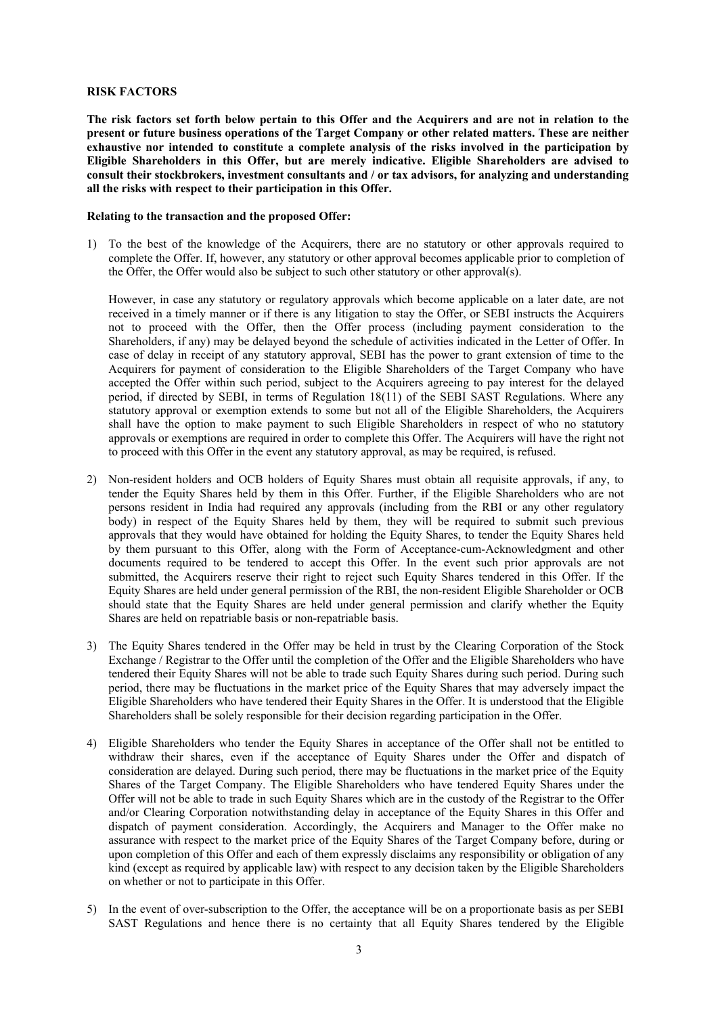#### **RISK FACTORS**

**The risk factors set forth below pertain to this Offer and the Acquirers and are not in relation to the present or future business operations of the Target Company or other related matters. These are neither exhaustive nor intended to constitute a complete analysis of the risks involved in the participation by Eligible Shareholders in this Offer, but are merely indicative. Eligible Shareholders are advised to consult their stockbrokers, investment consultants and / or tax advisors, for analyzing and understanding all the risks with respect to their participation in this Offer.** 

#### **Relating to the transaction and the proposed Offer:**

1) To the best of the knowledge of the Acquirers, there are no statutory or other approvals required to complete the Offer. If, however, any statutory or other approval becomes applicable prior to completion of the Offer, the Offer would also be subject to such other statutory or other approval(s).

However, in case any statutory or regulatory approvals which become applicable on a later date, are not received in a timely manner or if there is any litigation to stay the Offer, or SEBI instructs the Acquirers not to proceed with the Offer, then the Offer process (including payment consideration to the Shareholders, if any) may be delayed beyond the schedule of activities indicated in the Letter of Offer. In case of delay in receipt of any statutory approval, SEBI has the power to grant extension of time to the Acquirers for payment of consideration to the Eligible Shareholders of the Target Company who have accepted the Offer within such period, subject to the Acquirers agreeing to pay interest for the delayed period, if directed by SEBI, in terms of Regulation 18(11) of the SEBI SAST Regulations. Where any statutory approval or exemption extends to some but not all of the Eligible Shareholders, the Acquirers shall have the option to make payment to such Eligible Shareholders in respect of who no statutory approvals or exemptions are required in order to complete this Offer. The Acquirers will have the right not to proceed with this Offer in the event any statutory approval, as may be required, is refused.

- 2) Non-resident holders and OCB holders of Equity Shares must obtain all requisite approvals, if any, to tender the Equity Shares held by them in this Offer. Further, if the Eligible Shareholders who are not persons resident in India had required any approvals (including from the RBI or any other regulatory body) in respect of the Equity Shares held by them, they will be required to submit such previous approvals that they would have obtained for holding the Equity Shares, to tender the Equity Shares held by them pursuant to this Offer, along with the Form of Acceptance-cum-Acknowledgment and other documents required to be tendered to accept this Offer. In the event such prior approvals are not submitted, the Acquirers reserve their right to reject such Equity Shares tendered in this Offer. If the Equity Shares are held under general permission of the RBI, the non-resident Eligible Shareholder or OCB should state that the Equity Shares are held under general permission and clarify whether the Equity Shares are held on repatriable basis or non-repatriable basis.
- 3) The Equity Shares tendered in the Offer may be held in trust by the Clearing Corporation of the Stock Exchange / Registrar to the Offer until the completion of the Offer and the Eligible Shareholders who have tendered their Equity Shares will not be able to trade such Equity Shares during such period. During such period, there may be fluctuations in the market price of the Equity Shares that may adversely impact the Eligible Shareholders who have tendered their Equity Shares in the Offer. It is understood that the Eligible Shareholders shall be solely responsible for their decision regarding participation in the Offer.
- 4) Eligible Shareholders who tender the Equity Shares in acceptance of the Offer shall not be entitled to withdraw their shares, even if the acceptance of Equity Shares under the Offer and dispatch of consideration are delayed. During such period, there may be fluctuations in the market price of the Equity Shares of the Target Company. The Eligible Shareholders who have tendered Equity Shares under the Offer will not be able to trade in such Equity Shares which are in the custody of the Registrar to the Offer and/or Clearing Corporation notwithstanding delay in acceptance of the Equity Shares in this Offer and dispatch of payment consideration. Accordingly, the Acquirers and Manager to the Offer make no assurance with respect to the market price of the Equity Shares of the Target Company before, during or upon completion of this Offer and each of them expressly disclaims any responsibility or obligation of any kind (except as required by applicable law) with respect to any decision taken by the Eligible Shareholders on whether or not to participate in this Offer.
- 5) In the event of over-subscription to the Offer, the acceptance will be on a proportionate basis as per SEBI SAST Regulations and hence there is no certainty that all Equity Shares tendered by the Eligible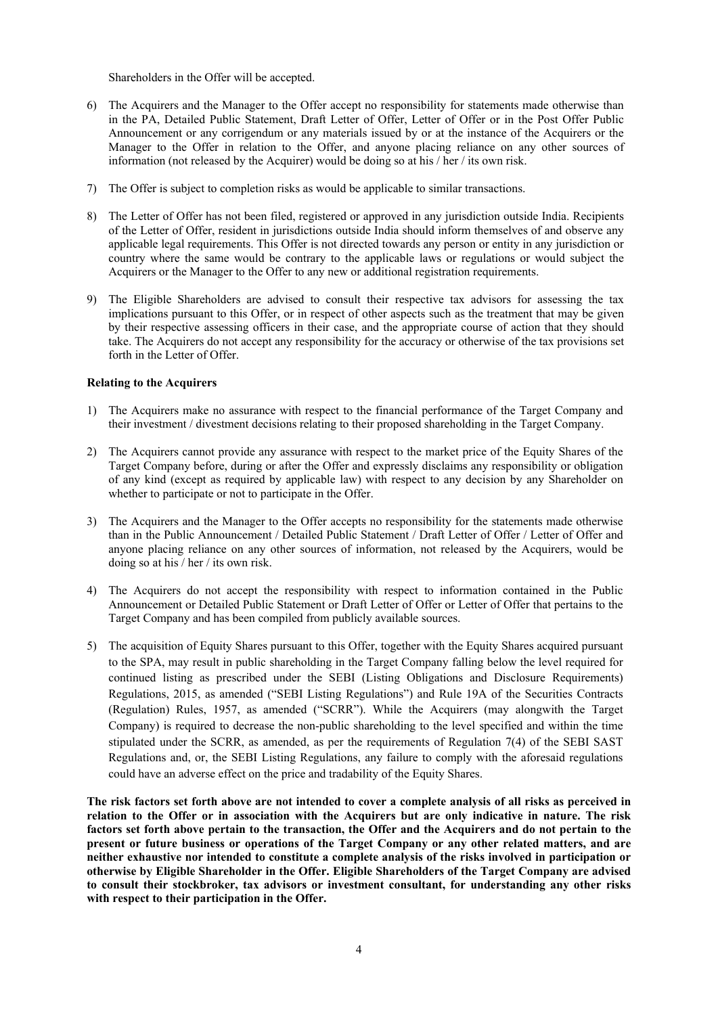Shareholders in the Offer will be accepted.

- 6) The Acquirers and the Manager to the Offer accept no responsibility for statements made otherwise than in the PA, Detailed Public Statement, Draft Letter of Offer, Letter of Offer or in the Post Offer Public Announcement or any corrigendum or any materials issued by or at the instance of the Acquirers or the Manager to the Offer in relation to the Offer, and anyone placing reliance on any other sources of information (not released by the Acquirer) would be doing so at his / her / its own risk.
- 7) The Offer is subject to completion risks as would be applicable to similar transactions.
- 8) The Letter of Offer has not been filed, registered or approved in any jurisdiction outside India. Recipients of the Letter of Offer, resident in jurisdictions outside India should inform themselves of and observe any applicable legal requirements. This Offer is not directed towards any person or entity in any jurisdiction or country where the same would be contrary to the applicable laws or regulations or would subject the Acquirers or the Manager to the Offer to any new or additional registration requirements.
- 9) The Eligible Shareholders are advised to consult their respective tax advisors for assessing the tax implications pursuant to this Offer, or in respect of other aspects such as the treatment that may be given by their respective assessing officers in their case, and the appropriate course of action that they should take. The Acquirers do not accept any responsibility for the accuracy or otherwise of the tax provisions set forth in the Letter of Offer.

### **Relating to the Acquirers**

- 1) The Acquirers make no assurance with respect to the financial performance of the Target Company and their investment / divestment decisions relating to their proposed shareholding in the Target Company.
- 2) The Acquirers cannot provide any assurance with respect to the market price of the Equity Shares of the Target Company before, during or after the Offer and expressly disclaims any responsibility or obligation of any kind (except as required by applicable law) with respect to any decision by any Shareholder on whether to participate or not to participate in the Offer.
- 3) The Acquirers and the Manager to the Offer accepts no responsibility for the statements made otherwise than in the Public Announcement / Detailed Public Statement / Draft Letter of Offer / Letter of Offer and anyone placing reliance on any other sources of information, not released by the Acquirers, would be doing so at his / her / its own risk.
- 4) The Acquirers do not accept the responsibility with respect to information contained in the Public Announcement or Detailed Public Statement or Draft Letter of Offer or Letter of Offer that pertains to the Target Company and has been compiled from publicly available sources.
- 5) The acquisition of Equity Shares pursuant to this Offer, together with the Equity Shares acquired pursuant to the SPA, may result in public shareholding in the Target Company falling below the level required for continued listing as prescribed under the SEBI (Listing Obligations and Disclosure Requirements) Regulations, 2015, as amended ("SEBI Listing Regulations") and Rule 19A of the Securities Contracts (Regulation) Rules, 1957, as amended ("SCRR"). While the Acquirers (may alongwith the Target Company) is required to decrease the non-public shareholding to the level specified and within the time stipulated under the SCRR, as amended, as per the requirements of Regulation 7(4) of the SEBI SAST Regulations and, or, the SEBI Listing Regulations, any failure to comply with the aforesaid regulations could have an adverse effect on the price and tradability of the Equity Shares.

**The risk factors set forth above are not intended to cover a complete analysis of all risks as perceived in relation to the Offer or in association with the Acquirers but are only indicative in nature. The risk factors set forth above pertain to the transaction, the Offer and the Acquirers and do not pertain to the present or future business or operations of the Target Company or any other related matters, and are neither exhaustive nor intended to constitute a complete analysis of the risks involved in participation or otherwise by Eligible Shareholder in the Offer. Eligible Shareholders of the Target Company are advised to consult their stockbroker, tax advisors or investment consultant, for understanding any other risks with respect to their participation in the Offer.**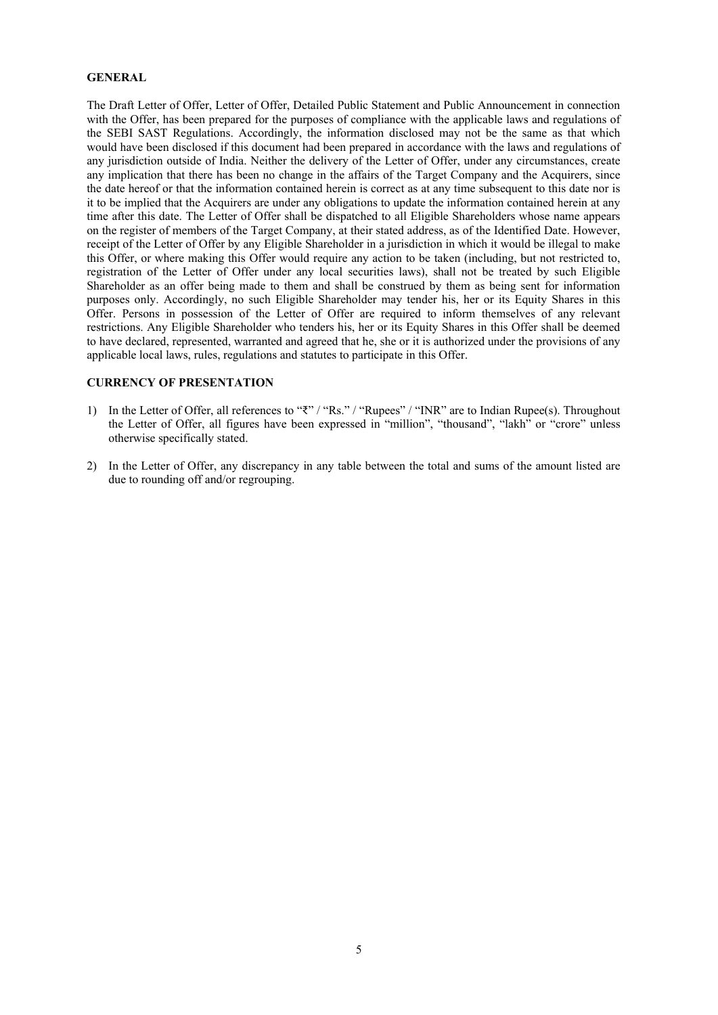### **GENERAL**

The Draft Letter of Offer, Letter of Offer, Detailed Public Statement and Public Announcement in connection with the Offer, has been prepared for the purposes of compliance with the applicable laws and regulations of the SEBI SAST Regulations. Accordingly, the information disclosed may not be the same as that which would have been disclosed if this document had been prepared in accordance with the laws and regulations of any jurisdiction outside of India. Neither the delivery of the Letter of Offer, under any circumstances, create any implication that there has been no change in the affairs of the Target Company and the Acquirers, since the date hereof or that the information contained herein is correct as at any time subsequent to this date nor is it to be implied that the Acquirers are under any obligations to update the information contained herein at any time after this date. The Letter of Offer shall be dispatched to all Eligible Shareholders whose name appears on the register of members of the Target Company, at their stated address, as of the Identified Date. However, receipt of the Letter of Offer by any Eligible Shareholder in a jurisdiction in which it would be illegal to make this Offer, or where making this Offer would require any action to be taken (including, but not restricted to, registration of the Letter of Offer under any local securities laws), shall not be treated by such Eligible Shareholder as an offer being made to them and shall be construed by them as being sent for information purposes only. Accordingly, no such Eligible Shareholder may tender his, her or its Equity Shares in this Offer. Persons in possession of the Letter of Offer are required to inform themselves of any relevant restrictions. Any Eligible Shareholder who tenders his, her or its Equity Shares in this Offer shall be deemed to have declared, represented, warranted and agreed that he, she or it is authorized under the provisions of any applicable local laws, rules, regulations and statutes to participate in this Offer.

### **CURRENCY OF PRESENTATION**

- 1) In the Letter of Offer, all references to "₹" / "Rs." / "Rupees" / "INR" are to Indian Rupee(s). Throughout the Letter of Offer, all figures have been expressed in "million", "thousand", "lakh" or "crore" unless otherwise specifically stated.
- 2) In the Letter of Offer, any discrepancy in any table between the total and sums of the amount listed are due to rounding off and/or regrouping.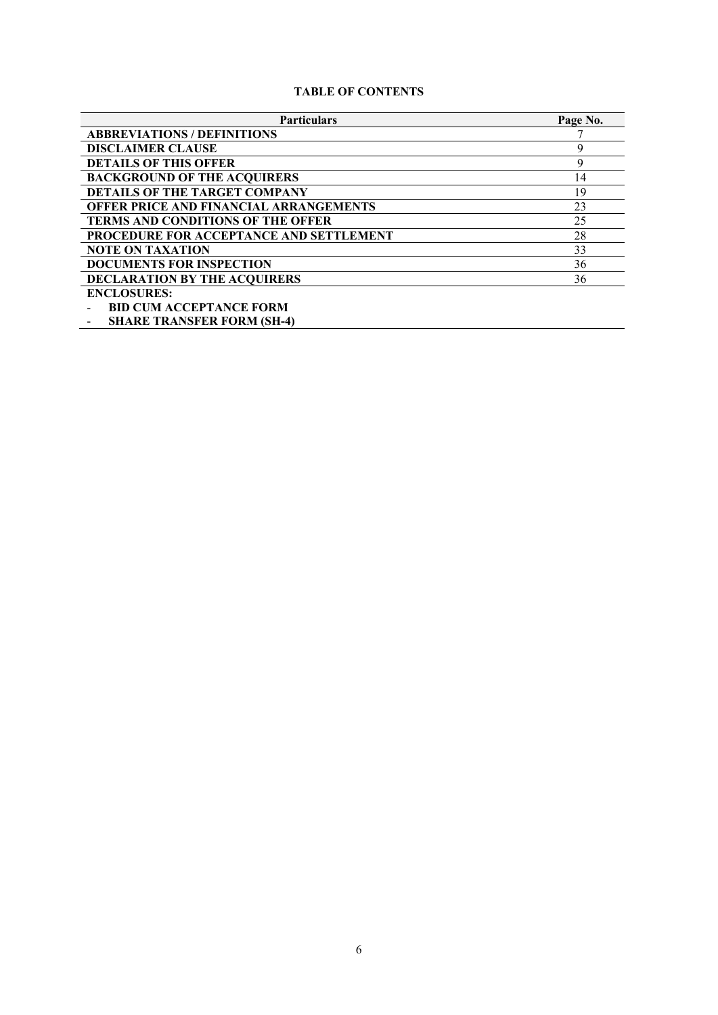# **TABLE OF CONTENTS**

| <b>Particulars</b>                            | Page No. |
|-----------------------------------------------|----------|
| <b>ABBREVIATIONS / DEFINITIONS</b>            |          |
| <b>DISCLAIMER CLAUSE</b>                      | 9        |
| <b>DETAILS OF THIS OFFER</b>                  | 9        |
| <b>BACKGROUND OF THE ACQUIRERS</b>            | 14       |
| <b>DETAILS OF THE TARGET COMPANY</b>          | 19       |
| <b>OFFER PRICE AND FINANCIAL ARRANGEMENTS</b> | 23       |
| <b>TERMS AND CONDITIONS OF THE OFFER</b>      | 25       |
| PROCEDURE FOR ACCEPTANCE AND SETTLEMENT       | 28       |
| <b>NOTE ON TAXATION</b>                       | 33       |
| <b>DOCUMENTS FOR INSPECTION</b>               | 36       |
| <b>DECLARATION BY THE ACQUIRERS</b>           | 36       |
| <b>ENCLOSURES:</b>                            |          |
| <b>BID CUM ACCEPTANCE FORM</b>                |          |
| <b>SHARE TRANSFER FORM (SH-4)</b>             |          |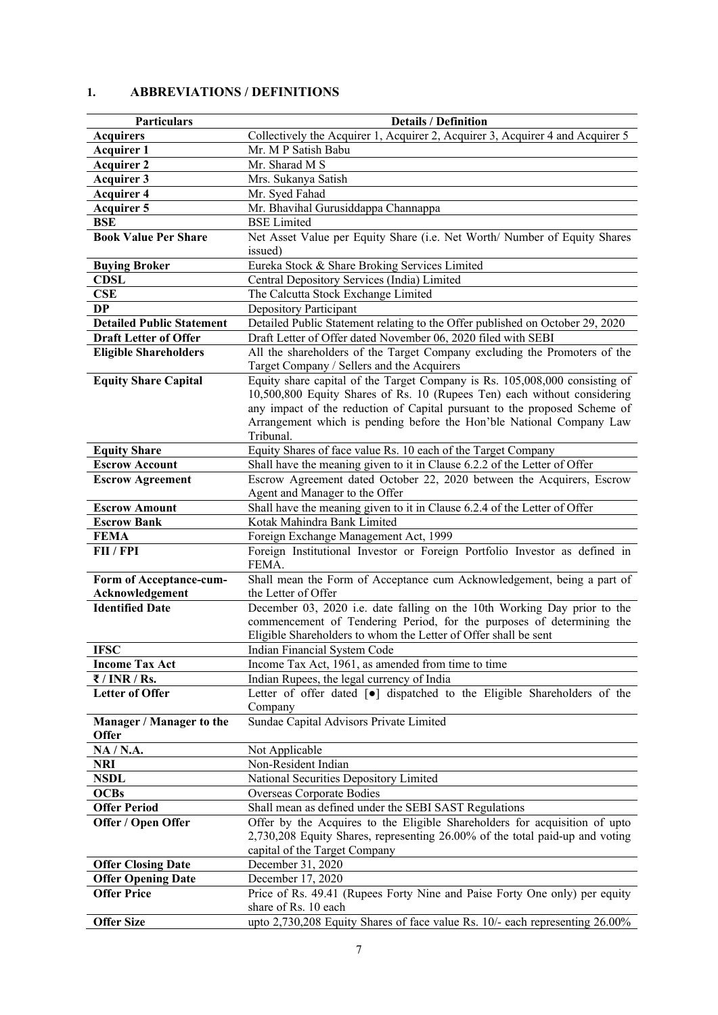# **1. ABBREVIATIONS / DEFINITIONS**

| Particulars                         | <b>Details / Definition</b>                                                        |
|-------------------------------------|------------------------------------------------------------------------------------|
| <b>Acquirers</b>                    | Collectively the Acquirer 1, Acquirer 2, Acquirer 3, Acquirer 4 and Acquirer 5     |
| <b>Acquirer 1</b>                   | Mr. M P Satish Babu                                                                |
| <b>Acquirer 2</b>                   | Mr. Sharad M S                                                                     |
| <b>Acquirer 3</b>                   | Mrs. Sukanya Satish                                                                |
| <b>Acquirer 4</b>                   | Mr. Syed Fahad                                                                     |
| <b>Acquirer 5</b>                   | Mr. Bhavihal Gurusiddappa Channappa                                                |
| BSE                                 | <b>BSE</b> Limited                                                                 |
| <b>Book Value Per Share</b>         | Net Asset Value per Equity Share (i.e. Net Worth/ Number of Equity Shares          |
|                                     | issued)                                                                            |
| <b>Buying Broker</b>                | Eureka Stock & Share Broking Services Limited                                      |
| <b>CDSL</b>                         | Central Depository Services (India) Limited                                        |
| <b>CSE</b>                          | The Calcutta Stock Exchange Limited                                                |
| <b>DP</b>                           |                                                                                    |
|                                     | Depository Participant                                                             |
| <b>Detailed Public Statement</b>    | Detailed Public Statement relating to the Offer published on October 29, 2020      |
| <b>Draft Letter of Offer</b>        | Draft Letter of Offer dated November 06, 2020 filed with SEBI                      |
| <b>Eligible Shareholders</b>        | All the shareholders of the Target Company excluding the Promoters of the          |
|                                     | Target Company / Sellers and the Acquirers                                         |
| <b>Equity Share Capital</b>         | Equity share capital of the Target Company is Rs. 105,008,000 consisting of        |
|                                     | 10,500,800 Equity Shares of Rs. 10 (Rupees Ten) each without considering           |
|                                     | any impact of the reduction of Capital pursuant to the proposed Scheme of          |
|                                     | Arrangement which is pending before the Hon'ble National Company Law               |
|                                     | Tribunal.                                                                          |
| <b>Equity Share</b>                 | Equity Shares of face value Rs. 10 each of the Target Company                      |
| <b>Escrow Account</b>               | Shall have the meaning given to it in Clause 6.2.2 of the Letter of Offer          |
| <b>Escrow Agreement</b>             | Escrow Agreement dated October 22, 2020 between the Acquirers, Escrow              |
|                                     | Agent and Manager to the Offer                                                     |
| <b>Escrow Amount</b>                | Shall have the meaning given to it in Clause 6.2.4 of the Letter of Offer          |
| <b>Escrow Bank</b>                  | Kotak Mahindra Bank Limited                                                        |
| <b>FEMA</b>                         | Foreign Exchange Management Act, 1999                                              |
| FII / FPI                           | Foreign Institutional Investor or Foreign Portfolio Investor as defined in         |
|                                     | FEMA.                                                                              |
| Form of Acceptance-cum-             | Shall mean the Form of Acceptance cum Acknowledgement, being a part of             |
| Acknowledgement                     | the Letter of Offer                                                                |
| <b>Identified Date</b>              | December 03, 2020 i.e. date falling on the 10th Working Day prior to the           |
|                                     | commencement of Tendering Period, for the purposes of determining the              |
|                                     | Eligible Shareholders to whom the Letter of Offer shall be sent                    |
| <b>IFSC</b>                         | Indian Financial System Code                                                       |
| <b>Income Tax Act</b>               | Income Tax Act, 1961, as amended from time to time                                 |
| $\overline{\mathbf{z}}$ / INR / Rs. | Indian Rupees, the legal currency of India                                         |
| <b>Letter of Offer</b>              | Letter of offer dated [ $\bullet$ ] dispatched to the Eligible Shareholders of the |
|                                     | Company                                                                            |
| Manager / Manager to the            | Sundae Capital Advisors Private Limited                                            |
| <b>Offer</b>                        |                                                                                    |
| NA / N.A.                           | Not Applicable                                                                     |
| NRI                                 | Non-Resident Indian                                                                |
| <b>NSDL</b>                         | National Securities Depository Limited                                             |
| <b>OCBs</b>                         | Overseas Corporate Bodies                                                          |
| <b>Offer Period</b>                 | Shall mean as defined under the SEBI SAST Regulations                              |
| Offer / Open Offer                  | Offer by the Acquires to the Eligible Shareholders for acquisition of upto         |
|                                     | 2,730,208 Equity Shares, representing 26.00% of the total paid-up and voting       |
|                                     | capital of the Target Company                                                      |
| <b>Offer Closing Date</b>           | December 31, 2020                                                                  |
| <b>Offer Opening Date</b>           | December 17, 2020                                                                  |
| <b>Offer Price</b>                  | Price of Rs. 49.41 (Rupees Forty Nine and Paise Forty One only) per equity         |
|                                     | share of Rs. 10 each                                                               |
| <b>Offer Size</b>                   | upto 2,730,208 Equity Shares of face value Rs. 10/- each representing 26.00%       |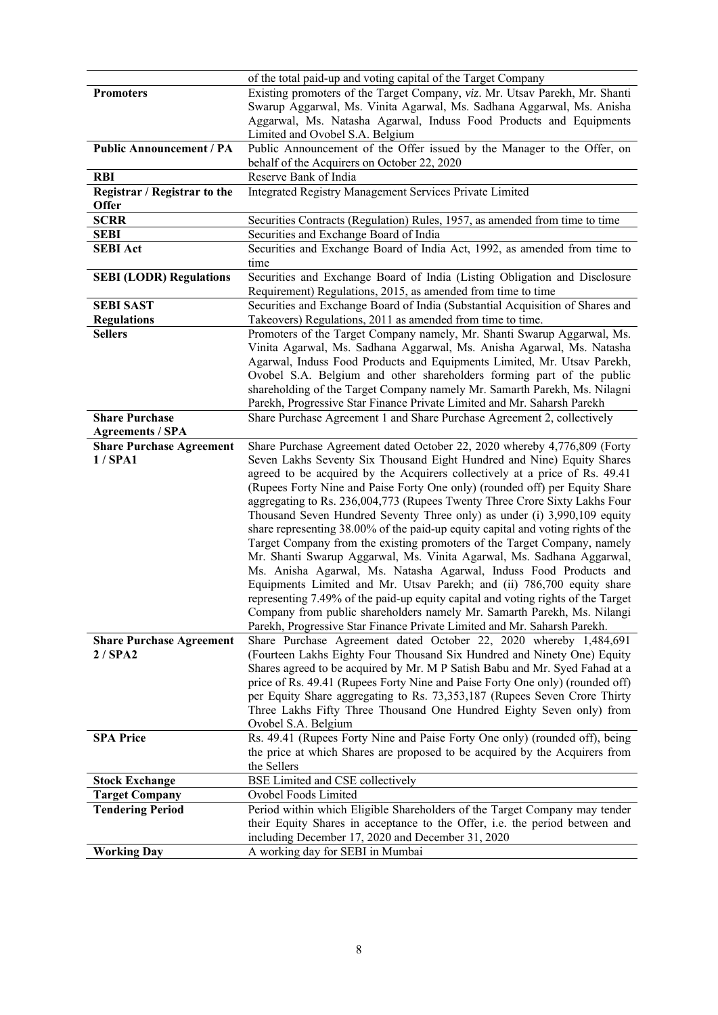|                                 | of the total paid-up and voting capital of the Target Company                                                                                              |
|---------------------------------|------------------------------------------------------------------------------------------------------------------------------------------------------------|
| <b>Promoters</b>                | Existing promoters of the Target Company, viz. Mr. Utsav Parekh, Mr. Shanti                                                                                |
|                                 | Swarup Aggarwal, Ms. Vinita Agarwal, Ms. Sadhana Aggarwal, Ms. Anisha                                                                                      |
|                                 | Aggarwal, Ms. Natasha Agarwal, Induss Food Products and Equipments                                                                                         |
| <b>Public Announcement / PA</b> | Limited and Ovobel S.A. Belgium<br>Public Announcement of the Offer issued by the Manager to the Offer, on                                                 |
|                                 | behalf of the Acquirers on October 22, 2020                                                                                                                |
| <b>RBI</b>                      | Reserve Bank of India                                                                                                                                      |
| Registrar / Registrar to the    | Integrated Registry Management Services Private Limited                                                                                                    |
| <b>Offer</b>                    |                                                                                                                                                            |
| <b>SCRR</b>                     | Securities Contracts (Regulation) Rules, 1957, as amended from time to time                                                                                |
| <b>SEBI</b>                     | Securities and Exchange Board of India                                                                                                                     |
| <b>SEBI Act</b>                 | Securities and Exchange Board of India Act, 1992, as amended from time to                                                                                  |
|                                 | time                                                                                                                                                       |
| <b>SEBI (LODR) Regulations</b>  | Securities and Exchange Board of India (Listing Obligation and Disclosure                                                                                  |
|                                 | Requirement) Regulations, 2015, as amended from time to time                                                                                               |
| <b>SEBI SAST</b>                | Securities and Exchange Board of India (Substantial Acquisition of Shares and                                                                              |
| <b>Regulations</b>              | Takeovers) Regulations, 2011 as amended from time to time.                                                                                                 |
| <b>Sellers</b>                  | Promoters of the Target Company namely, Mr. Shanti Swarup Aggarwal, Ms.                                                                                    |
|                                 | Vinita Agarwal, Ms. Sadhana Aggarwal, Ms. Anisha Agarwal, Ms. Natasha                                                                                      |
|                                 | Agarwal, Induss Food Products and Equipments Limited, Mr. Utsav Parekh,                                                                                    |
|                                 | Ovobel S.A. Belgium and other shareholders forming part of the public                                                                                      |
|                                 | shareholding of the Target Company namely Mr. Samarth Parekh, Ms. Nilagni                                                                                  |
|                                 | Parekh, Progressive Star Finance Private Limited and Mr. Saharsh Parekh                                                                                    |
| <b>Share Purchase</b>           | Share Purchase Agreement 1 and Share Purchase Agreement 2, collectively                                                                                    |
| <b>Agreements / SPA</b>         |                                                                                                                                                            |
| <b>Share Purchase Agreement</b> | Share Purchase Agreement dated October 22, 2020 whereby 4,776,809 (Forty                                                                                   |
| $1/$ SPA1                       | Seven Lakhs Seventy Six Thousand Eight Hundred and Nine) Equity Shares                                                                                     |
|                                 | agreed to be acquired by the Acquirers collectively at a price of Rs. 49.41                                                                                |
|                                 | (Rupees Forty Nine and Paise Forty One only) (rounded off) per Equity Share                                                                                |
|                                 | aggregating to Rs. 236,004,773 (Rupees Twenty Three Crore Sixty Lakhs Four                                                                                 |
|                                 | Thousand Seven Hundred Seventy Three only) as under (i) 3,990,109 equity                                                                                   |
|                                 | share representing 38.00% of the paid-up equity capital and voting rights of the                                                                           |
|                                 | Target Company from the existing promoters of the Target Company, namely                                                                                   |
|                                 | Mr. Shanti Swarup Aggarwal, Ms. Vinita Agarwal, Ms. Sadhana Aggarwal,                                                                                      |
|                                 | Ms. Anisha Agarwal, Ms. Natasha Agarwal, Induss Food Products and                                                                                          |
|                                 | Equipments Limited and Mr. Utsav Parekh; and (ii) 786,700 equity share<br>representing 7.49% of the paid-up equity capital and voting rights of the Target |
|                                 | Company from public shareholders namely Mr. Samarth Parekh, Ms. Nilangi                                                                                    |
|                                 | Parekh, Progressive Star Finance Private Limited and Mr. Saharsh Parekh.                                                                                   |
| <b>Share Purchase Agreement</b> | Share Purchase Agreement dated October 22, 2020 whereby 1,484,691                                                                                          |
| 2/SPA2                          | (Fourteen Lakhs Eighty Four Thousand Six Hundred and Ninety One) Equity                                                                                    |
|                                 | Shares agreed to be acquired by Mr. M P Satish Babu and Mr. Syed Fahad at a                                                                                |
|                                 | price of Rs. 49.41 (Rupees Forty Nine and Paise Forty One only) (rounded off)                                                                              |
|                                 | per Equity Share aggregating to Rs. 73,353,187 (Rupees Seven Crore Thirty                                                                                  |
|                                 | Three Lakhs Fifty Three Thousand One Hundred Eighty Seven only) from                                                                                       |
|                                 | Ovobel S.A. Belgium                                                                                                                                        |
| <b>SPA Price</b>                | Rs. 49.41 (Rupees Forty Nine and Paise Forty One only) (rounded off), being                                                                                |
|                                 | the price at which Shares are proposed to be acquired by the Acquirers from                                                                                |
|                                 | the Sellers                                                                                                                                                |
| <b>Stock Exchange</b>           | BSE Limited and CSE collectively                                                                                                                           |
| <b>Target Company</b>           | Ovobel Foods Limited                                                                                                                                       |
| <b>Tendering Period</b>         | Period within which Eligible Shareholders of the Target Company may tender                                                                                 |
|                                 | their Equity Shares in acceptance to the Offer, i.e. the period between and                                                                                |
|                                 | including December 17, 2020 and December 31, 2020                                                                                                          |
| <b>Working Day</b>              | A working day for SEBI in Mumbai                                                                                                                           |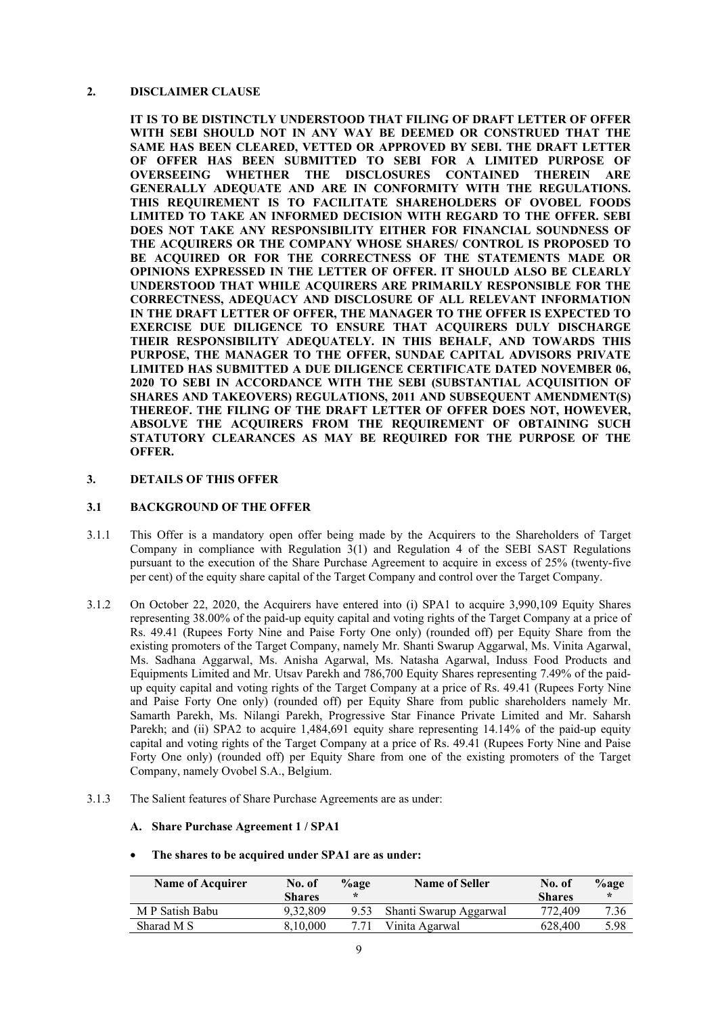### **2. DISCLAIMER CLAUSE**

**IT IS TO BE DISTINCTLY UNDERSTOOD THAT FILING OF DRAFT LETTER OF OFFER WITH SEBI SHOULD NOT IN ANY WAY BE DEEMED OR CONSTRUED THAT THE SAME HAS BEEN CLEARED, VETTED OR APPROVED BY SEBI. THE DRAFT LETTER OF OFFER HAS BEEN SUBMITTED TO SEBI FOR A LIMITED PURPOSE OF OVERSEEING WHETHER THE DISCLOSURES CONTAINED THEREIN ARE GENERALLY ADEQUATE AND ARE IN CONFORMITY WITH THE REGULATIONS. THIS REQUIREMENT IS TO FACILITATE SHAREHOLDERS OF OVOBEL FOODS LIMITED TO TAKE AN INFORMED DECISION WITH REGARD TO THE OFFER. SEBI DOES NOT TAKE ANY RESPONSIBILITY EITHER FOR FINANCIAL SOUNDNESS OF THE ACQUIRERS OR THE COMPANY WHOSE SHARES/ CONTROL IS PROPOSED TO BE ACQUIRED OR FOR THE CORRECTNESS OF THE STATEMENTS MADE OR OPINIONS EXPRESSED IN THE LETTER OF OFFER. IT SHOULD ALSO BE CLEARLY UNDERSTOOD THAT WHILE ACQUIRERS ARE PRIMARILY RESPONSIBLE FOR THE CORRECTNESS, ADEQUACY AND DISCLOSURE OF ALL RELEVANT INFORMATION IN THE DRAFT LETTER OF OFFER, THE MANAGER TO THE OFFER IS EXPECTED TO EXERCISE DUE DILIGENCE TO ENSURE THAT ACQUIRERS DULY DISCHARGE THEIR RESPONSIBILITY ADEQUATELY. IN THIS BEHALF, AND TOWARDS THIS PURPOSE, THE MANAGER TO THE OFFER, SUNDAE CAPITAL ADVISORS PRIVATE LIMITED HAS SUBMITTED A DUE DILIGENCE CERTIFICATE DATED NOVEMBER 06, 2020 TO SEBI IN ACCORDANCE WITH THE SEBI (SUBSTANTIAL ACQUISITION OF SHARES AND TAKEOVERS) REGULATIONS, 2011 AND SUBSEQUENT AMENDMENT(S) THEREOF. THE FILING OF THE DRAFT LETTER OF OFFER DOES NOT, HOWEVER, ABSOLVE THE ACQUIRERS FROM THE REQUIREMENT OF OBTAINING SUCH STATUTORY CLEARANCES AS MAY BE REQUIRED FOR THE PURPOSE OF THE OFFER.**

### **3. DETAILS OF THIS OFFER**

### **3.1 BACKGROUND OF THE OFFER**

- 3.1.1 This Offer is a mandatory open offer being made by the Acquirers to the Shareholders of Target Company in compliance with Regulation  $3(1)$  and Regulation 4 of the SEBI SAST Regulations pursuant to the execution of the Share Purchase Agreement to acquire in excess of 25% (twenty-five per cent) of the equity share capital of the Target Company and control over the Target Company.
- 3.1.2 On October 22, 2020, the Acquirers have entered into (i) SPA1 to acquire 3,990,109 Equity Shares representing 38.00% of the paid-up equity capital and voting rights of the Target Company at a price of Rs. 49.41 (Rupees Forty Nine and Paise Forty One only) (rounded off) per Equity Share from the existing promoters of the Target Company, namely Mr. Shanti Swarup Aggarwal, Ms. Vinita Agarwal, Ms. Sadhana Aggarwal, Ms. Anisha Agarwal, Ms. Natasha Agarwal, Induss Food Products and Equipments Limited and Mr. Utsav Parekh and 786,700 Equity Shares representing 7.49% of the paidup equity capital and voting rights of the Target Company at a price of Rs. 49.41 (Rupees Forty Nine and Paise Forty One only) (rounded off) per Equity Share from public shareholders namely Mr. Samarth Parekh, Ms. Nilangi Parekh, Progressive Star Finance Private Limited and Mr. Saharsh Parekh; and (ii) SPA2 to acquire 1,484,691 equity share representing 14.14% of the paid-up equity capital and voting rights of the Target Company at a price of Rs. 49.41 (Rupees Forty Nine and Paise Forty One only) (rounded off) per Equity Share from one of the existing promoters of the Target Company, namely Ovobel S.A., Belgium.
- 3.1.3 The Salient features of Share Purchase Agreements are as under:

### **A. Share Purchase Agreement 1 / SPA1**

#### • **The shares to be acquired under SPA1 are as under:**

| <b>Name of Acquirer</b> | No. of        | $%$ age | <b>Name of Seller</b>  | No. of        | $\%$ age |
|-------------------------|---------------|---------|------------------------|---------------|----------|
|                         | <b>Shares</b> | ÷       |                        | <b>Shares</b> | $\ast$   |
| M P Satish Babu         | 9.32.809      | 9.53    | Shanti Swarup Aggarwal | 772.409       | 7.36     |
| Sharad M S              | 8.10.000      |         | Vinita Agarwal         | 628,400       | 5.98     |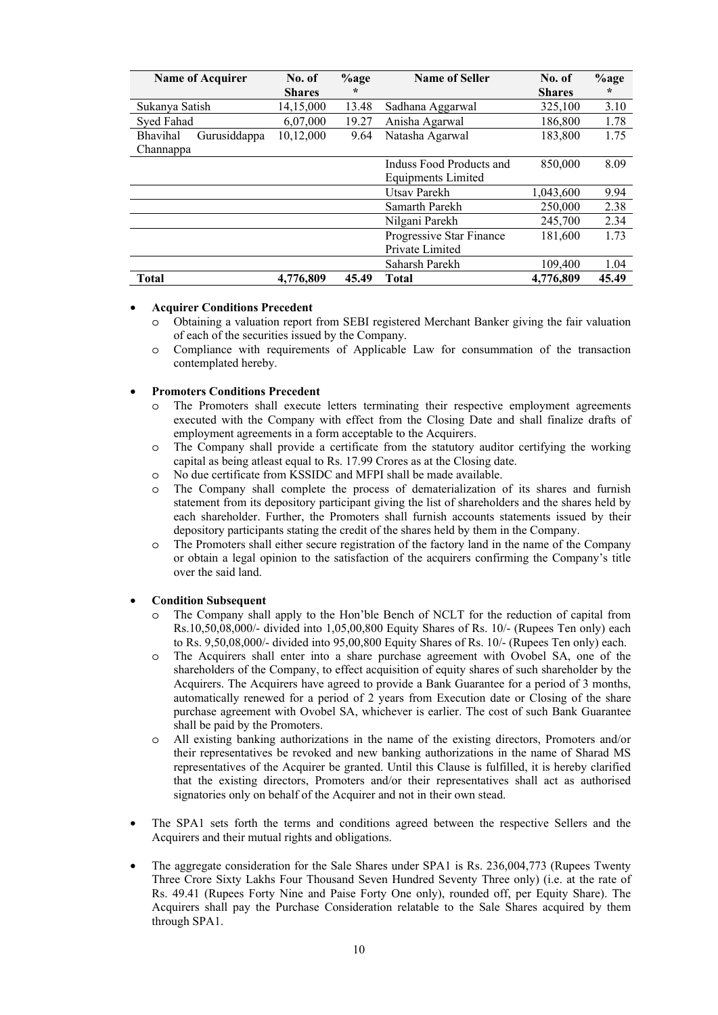| <b>Name of Acquirer</b>  | No. of        | $%$ age | <b>Name of Seller</b>    | No. of        | $%$ age |
|--------------------------|---------------|---------|--------------------------|---------------|---------|
|                          | <b>Shares</b> | $\star$ |                          | <b>Shares</b> | $\star$ |
| Sukanya Satish           | 14,15,000     | 13.48   | Sadhana Aggarwal         | 325,100       | 3.10    |
| Syed Fahad               | 6.07.000      | 19.27   | Anisha Agarwal           | 186,800       | 1.78    |
| Bhavihal<br>Gurusiddappa | 10,12,000     | 9.64    | Natasha Agarwal          | 183,800       | 1.75    |
| Channappa                |               |         |                          |               |         |
|                          |               |         | Induss Food Products and | 850,000       | 8.09    |
|                          |               |         | Equipments Limited       |               |         |
|                          |               |         | Utsav Parekh             | 1,043,600     | 9.94    |
|                          |               |         | Samarth Parekh           | 250,000       | 2.38    |
|                          |               |         | Nilgani Parekh           | 245,700       | 2.34    |
|                          |               |         | Progressive Star Finance | 181,600       | 1.73    |
|                          |               |         | Private Limited          |               |         |
|                          |               |         | Saharsh Parekh           | 109,400       | 1.04    |
| <b>Total</b>             | 4,776,809     | 45.49   | <b>Total</b>             | 4,776,809     | 45.49   |

#### • **Acquirer Conditions Precedent**

- o Obtaining a valuation report from SEBI registered Merchant Banker giving the fair valuation of each of the securities issued by the Company.
- o Compliance with requirements of Applicable Law for consummation of the transaction contemplated hereby.

#### • **Promoters Conditions Precedent**

- The Promoters shall execute letters terminating their respective employment agreements executed with the Company with effect from the Closing Date and shall finalize drafts of employment agreements in a form acceptable to the Acquirers.
- o The Company shall provide a certificate from the statutory auditor certifying the working capital as being atleast equal to Rs. 17.99 Crores as at the Closing date.
- o No due certificate from KSSIDC and MFPI shall be made available.
- o The Company shall complete the process of dematerialization of its shares and furnish statement from its depository participant giving the list of shareholders and the shares held by each shareholder. Further, the Promoters shall furnish accounts statements issued by their depository participants stating the credit of the shares held by them in the Company.
- o The Promoters shall either secure registration of the factory land in the name of the Company or obtain a legal opinion to the satisfaction of the acquirers confirming the Company's title over the said land.

#### • **Condition Subsequent**

- The Company shall apply to the Hon'ble Bench of NCLT for the reduction of capital from Rs.10,50,08,000/- divided into 1,05,00,800 Equity Shares of Rs. 10/- (Rupees Ten only) each to Rs. 9,50,08,000/- divided into 95,00,800 Equity Shares of Rs. 10/- (Rupees Ten only) each.
- The Acquirers shall enter into a share purchase agreement with Ovobel SA, one of the shareholders of the Company, to effect acquisition of equity shares of such shareholder by the Acquirers. The Acquirers have agreed to provide a Bank Guarantee for a period of 3 months, automatically renewed for a period of 2 years from Execution date or Closing of the share purchase agreement with Ovobel SA, whichever is earlier. The cost of such Bank Guarantee shall be paid by the Promoters.
- o All existing banking authorizations in the name of the existing directors, Promoters and/or their representatives be revoked and new banking authorizations in the name of Sharad MS representatives of the Acquirer be granted. Until this Clause is fulfilled, it is hereby clarified that the existing directors, Promoters and/or their representatives shall act as authorised signatories only on behalf of the Acquirer and not in their own stead.
- The SPA1 sets forth the terms and conditions agreed between the respective Sellers and the Acquirers and their mutual rights and obligations.
- The aggregate consideration for the Sale Shares under SPA1 is Rs. 236,004,773 (Rupees Twenty Three Crore Sixty Lakhs Four Thousand Seven Hundred Seventy Three only) (i.e. at the rate of Rs. 49.41 (Rupees Forty Nine and Paise Forty One only), rounded off, per Equity Share). The Acquirers shall pay the Purchase Consideration relatable to the Sale Shares acquired by them through SPA1.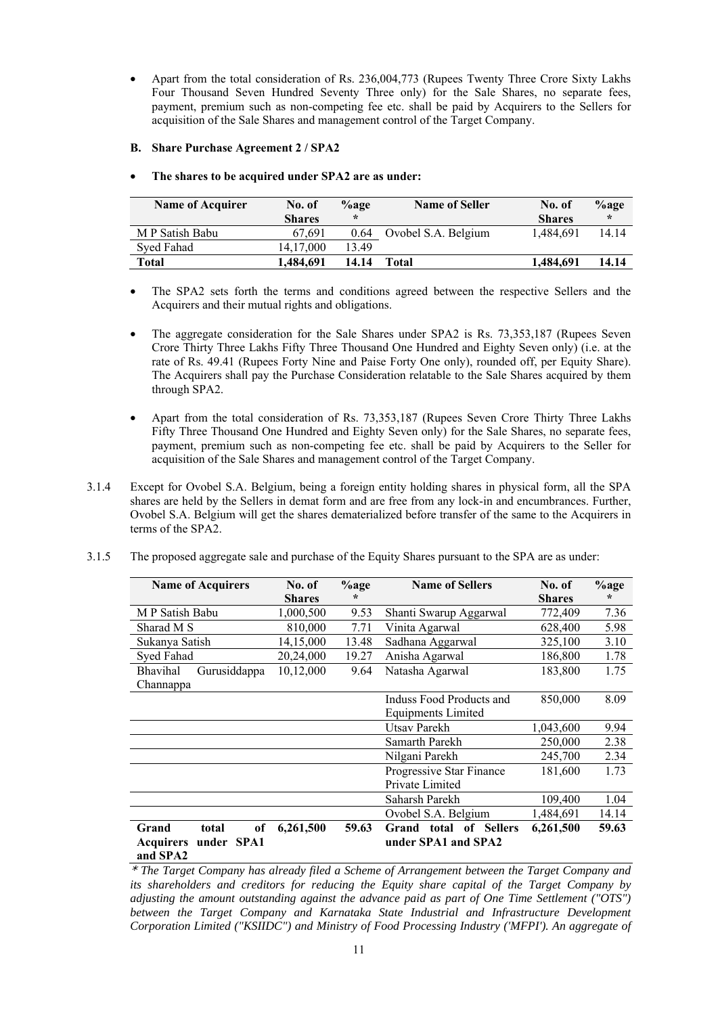- Apart from the total consideration of Rs. 236,004,773 (Rupees Twenty Three Crore Sixty Lakhs Four Thousand Seven Hundred Seventy Three only) for the Sale Shares, no separate fees, payment, premium such as non-competing fee etc. shall be paid by Acquirers to the Sellers for acquisition of the Sale Shares and management control of the Target Company.
- **B. Share Purchase Agreement 2 / SPA2**
- **The shares to be acquired under SPA2 are as under:**

| <b>Name of Acquirer</b> | No. of        | $\%$ age | <b>Name of Seller</b> | No. of        | $\%$ age |
|-------------------------|---------------|----------|-----------------------|---------------|----------|
|                         | <b>Shares</b> | $\star$  |                       | <b>Shares</b> | $\star$  |
| M P Satish Babu         | 67.691        | 0.64     | Ovobel S.A. Belgium   | 1.484.691     | 14.14    |
| Syed Fahad              | 14.17.000     | 13.49    |                       |               |          |
| Total                   | 1.484.691     | 14.14    | Total                 | 1.484.691     | 14.14    |

- The SPA2 sets forth the terms and conditions agreed between the respective Sellers and the Acquirers and their mutual rights and obligations.
- The aggregate consideration for the Sale Shares under SPA2 is Rs. 73,353,187 (Rupees Seven Crore Thirty Three Lakhs Fifty Three Thousand One Hundred and Eighty Seven only) (i.e. at the rate of Rs. 49.41 (Rupees Forty Nine and Paise Forty One only), rounded off, per Equity Share). The Acquirers shall pay the Purchase Consideration relatable to the Sale Shares acquired by them through SPA2.
- Apart from the total consideration of Rs. 73,353,187 (Rupees Seven Crore Thirty Three Lakhs Fifty Three Thousand One Hundred and Eighty Seven only) for the Sale Shares, no separate fees, payment, premium such as non-competing fee etc. shall be paid by Acquirers to the Seller for acquisition of the Sale Shares and management control of the Target Company.
- 3.1.4 Except for Ovobel S.A. Belgium, being a foreign entity holding shares in physical form, all the SPA shares are held by the Sellers in demat form and are free from any lock-in and encumbrances. Further, Ovobel S.A. Belgium will get the shares dematerialized before transfer of the same to the Acquirers in terms of the SPA2.
- 3.1.5 The proposed aggregate sale and purchase of the Equity Shares pursuant to the SPA are as under:

| <b>Name of Acquirers</b>                                           | No. of        | $\%$ age | <b>Name of Sellers</b>                        | No. of        | $%$ age |
|--------------------------------------------------------------------|---------------|----------|-----------------------------------------------|---------------|---------|
|                                                                    | <b>Shares</b> | $\star$  |                                               | <b>Shares</b> | $\star$ |
| M P Satish Babu                                                    | 1,000,500     | 9.53     | Shanti Swarup Aggarwal                        | 772,409       | 7.36    |
| Sharad M S                                                         | 810,000       | 7.71     | Vinita Agarwal                                | 628,400       | 5.98    |
| Sukanya Satish                                                     | 14,15,000     | 13.48    | Sadhana Aggarwal                              | 325,100       | 3.10    |
| Syed Fahad                                                         | 20,24,000     | 19.27    | Anisha Agarwal                                | 186,800       | 1.78    |
| Bhavihal<br>Gurusiddappa                                           | 10,12,000     | 9.64     | Natasha Agarwal                               | 183,800       | 1.75    |
| Channappa                                                          |               |          |                                               |               |         |
|                                                                    |               |          | Induss Food Products and                      | 850,000       | 8.09    |
|                                                                    |               |          | <b>Equipments Limited</b>                     |               |         |
|                                                                    |               |          | Utsav Parekh                                  | 1,043,600     | 9.94    |
|                                                                    |               |          | Samarth Parekh                                | 250,000       | 2.38    |
|                                                                    |               |          | Nilgani Parekh                                | 245,700       | 2.34    |
|                                                                    |               |          | Progressive Star Finance                      | 181,600       | 1.73    |
|                                                                    |               |          | Private Limited                               |               |         |
|                                                                    |               |          | Saharsh Parekh                                | 109,400       | 1.04    |
|                                                                    |               |          | Ovobel S.A. Belgium                           | 1,484,691     | 14.14   |
| of<br>Grand<br>total<br>under SPA1<br><b>Acquirers</b><br>and SPA2 | 6,261,500     | 59.63    | Grand total of Sellers<br>under SPA1 and SPA2 | 6,261,500     | 59.63   |

\* *The Target Company has already filed a Scheme of Arrangement between the Target Company and its shareholders and creditors for reducing the Equity share capital of the Target Company by adjusting the amount outstanding against the advance paid as part of One Time Settlement ("OTS") between the Target Company and Karnataka State Industrial and Infrastructure Development Corporation Limited ("KSIIDC") and Ministry of Food Processing Industry ('MFPI'). An aggregate of*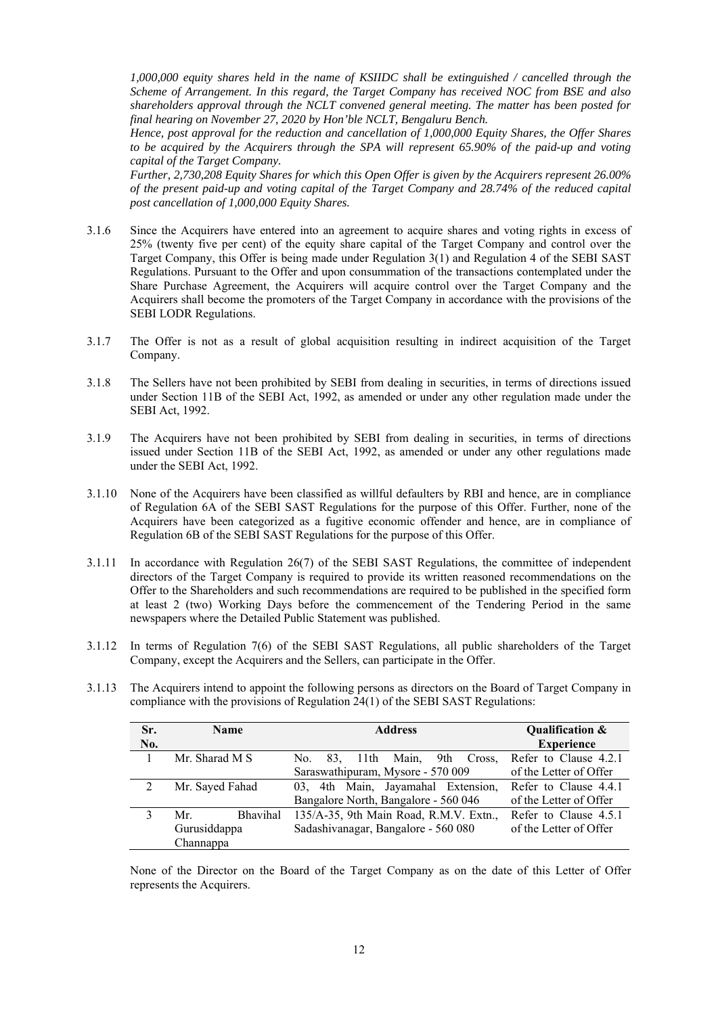*1,000,000 equity shares held in the name of KSIIDC shall be extinguished / cancelled through the Scheme of Arrangement. In this regard, the Target Company has received NOC from BSE and also shareholders approval through the NCLT convened general meeting. The matter has been posted for final hearing on November 27, 2020 by Hon'ble NCLT, Bengaluru Bench.* 

*Hence, post approval for the reduction and cancellation of 1,000,000 Equity Shares, the Offer Shares to be acquired by the Acquirers through the SPA will represent 65.90% of the paid-up and voting capital of the Target Company.* 

*Further, 2,730,208 Equity Shares for which this Open Offer is given by the Acquirers represent 26.00% of the present paid-up and voting capital of the Target Company and 28.74% of the reduced capital post cancellation of 1,000,000 Equity Shares.*

- 3.1.6 Since the Acquirers have entered into an agreement to acquire shares and voting rights in excess of 25% (twenty five per cent) of the equity share capital of the Target Company and control over the Target Company, this Offer is being made under Regulation 3(1) and Regulation 4 of the SEBI SAST Regulations. Pursuant to the Offer and upon consummation of the transactions contemplated under the Share Purchase Agreement, the Acquirers will acquire control over the Target Company and the Acquirers shall become the promoters of the Target Company in accordance with the provisions of the SEBI LODR Regulations.
- 3.1.7 The Offer is not as a result of global acquisition resulting in indirect acquisition of the Target Company.
- 3.1.8 The Sellers have not been prohibited by SEBI from dealing in securities, in terms of directions issued under Section 11B of the SEBI Act, 1992, as amended or under any other regulation made under the SEBI Act, 1992.
- 3.1.9 The Acquirers have not been prohibited by SEBI from dealing in securities, in terms of directions issued under Section 11B of the SEBI Act, 1992, as amended or under any other regulations made under the SEBI Act, 1992.
- 3.1.10 None of the Acquirers have been classified as willful defaulters by RBI and hence, are in compliance of Regulation 6A of the SEBI SAST Regulations for the purpose of this Offer. Further, none of the Acquirers have been categorized as a fugitive economic offender and hence, are in compliance of Regulation 6B of the SEBI SAST Regulations for the purpose of this Offer.
- 3.1.11 In accordance with Regulation 26(7) of the SEBI SAST Regulations, the committee of independent directors of the Target Company is required to provide its written reasoned recommendations on the Offer to the Shareholders and such recommendations are required to be published in the specified form at least 2 (two) Working Days before the commencement of the Tendering Period in the same newspapers where the Detailed Public Statement was published.
- 3.1.12 In terms of Regulation 7(6) of the SEBI SAST Regulations, all public shareholders of the Target Company, except the Acquirers and the Sellers, can participate in the Offer.
- 3.1.13 The Acquirers intend to appoint the following persons as directors on the Board of Target Company in compliance with the provisions of Regulation 24(1) of the SEBI SAST Regulations:

| Sr. | <b>Name</b>            | <b>Address</b>                         | Qualification &        |
|-----|------------------------|----------------------------------------|------------------------|
| No. |                        |                                        | <b>Experience</b>      |
|     | Mr. Sharad M S         | 11th Main,<br>9th Cross.<br>No.<br>83. | Refer to Clause 4.2.1  |
|     |                        | Saraswathipuram, Mysore - 570 009      | of the Letter of Offer |
|     | Mr. Sayed Fahad        | 03, 4th Main, Jayamahal Extension,     | Refer to Clause 4.4.1  |
|     |                        | Bangalore North, Bangalore - 560 046   | of the Letter of Offer |
|     | <b>Bhavihal</b><br>Mr. | 135/A-35, 9th Main Road, R.M.V. Extn., | Refer to Clause 4.5.1  |
|     | Gurusiddappa           | Sadashivanagar, Bangalore - 560 080    | of the Letter of Offer |
|     | Channappa              |                                        |                        |

None of the Director on the Board of the Target Company as on the date of this Letter of Offer represents the Acquirers.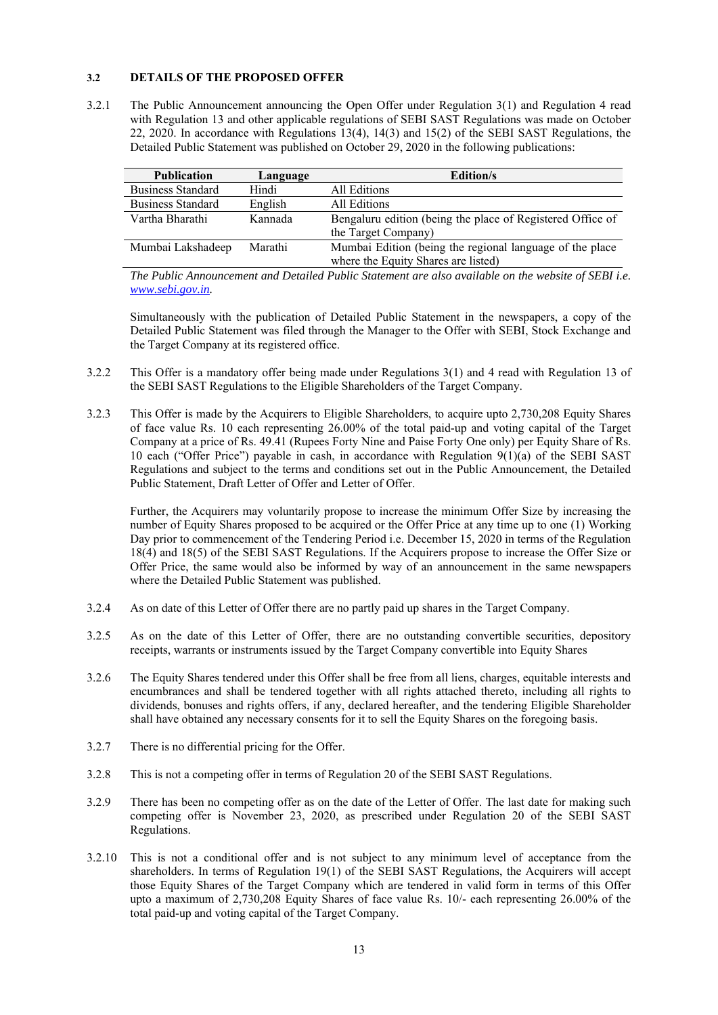### **3.2 DETAILS OF THE PROPOSED OFFER**

3.2.1 The Public Announcement announcing the Open Offer under Regulation 3(1) and Regulation 4 read with Regulation 13 and other applicable regulations of SEBI SAST Regulations was made on October 22, 2020. In accordance with Regulations 13(4), 14(3) and 15(2) of the SEBI SAST Regulations, the Detailed Public Statement was published on October 29, 2020 in the following publications:

| <b>Publication</b>       | Language | <b>Edition/s</b>                                           |
|--------------------------|----------|------------------------------------------------------------|
| <b>Business Standard</b> | Hindi    | All Editions                                               |
| <b>Business Standard</b> | English  | All Editions                                               |
| Vartha Bharathi          | Kannada  | Bengaluru edition (being the place of Registered Office of |
|                          |          | the Target Company)                                        |
| Mumbai Lakshadeep        | Marathi  | Mumbai Edition (being the regional language of the place   |
|                          |          | where the Equity Shares are listed)                        |

*The Public Announcement and Detailed Public Statement are also available on the website of SEBI i.e. www.sebi.gov.in.* 

Simultaneously with the publication of Detailed Public Statement in the newspapers, a copy of the Detailed Public Statement was filed through the Manager to the Offer with SEBI, Stock Exchange and the Target Company at its registered office.

- 3.2.2 This Offer is a mandatory offer being made under Regulations 3(1) and 4 read with Regulation 13 of the SEBI SAST Regulations to the Eligible Shareholders of the Target Company.
- 3.2.3 This Offer is made by the Acquirers to Eligible Shareholders, to acquire upto 2,730,208 Equity Shares of face value Rs. 10 each representing 26.00% of the total paid-up and voting capital of the Target Company at a price of Rs. 49.41 (Rupees Forty Nine and Paise Forty One only) per Equity Share of Rs. 10 each ("Offer Price") payable in cash, in accordance with Regulation 9(1)(a) of the SEBI SAST Regulations and subject to the terms and conditions set out in the Public Announcement, the Detailed Public Statement, Draft Letter of Offer and Letter of Offer.

Further, the Acquirers may voluntarily propose to increase the minimum Offer Size by increasing the number of Equity Shares proposed to be acquired or the Offer Price at any time up to one (1) Working Day prior to commencement of the Tendering Period i.e. December 15, 2020 in terms of the Regulation 18(4) and 18(5) of the SEBI SAST Regulations. If the Acquirers propose to increase the Offer Size or Offer Price, the same would also be informed by way of an announcement in the same newspapers where the Detailed Public Statement was published.

- 3.2.4 As on date of this Letter of Offer there are no partly paid up shares in the Target Company.
- 3.2.5 As on the date of this Letter of Offer, there are no outstanding convertible securities, depository receipts, warrants or instruments issued by the Target Company convertible into Equity Shares
- 3.2.6 The Equity Shares tendered under this Offer shall be free from all liens, charges, equitable interests and encumbrances and shall be tendered together with all rights attached thereto, including all rights to dividends, bonuses and rights offers, if any, declared hereafter, and the tendering Eligible Shareholder shall have obtained any necessary consents for it to sell the Equity Shares on the foregoing basis.
- 3.2.7 There is no differential pricing for the Offer.
- 3.2.8 This is not a competing offer in terms of Regulation 20 of the SEBI SAST Regulations.
- 3.2.9 There has been no competing offer as on the date of the Letter of Offer. The last date for making such competing offer is November 23, 2020, as prescribed under Regulation 20 of the SEBI SAST Regulations.
- 3.2.10 This is not a conditional offer and is not subject to any minimum level of acceptance from the shareholders. In terms of Regulation 19(1) of the SEBI SAST Regulations, the Acquirers will accept those Equity Shares of the Target Company which are tendered in valid form in terms of this Offer upto a maximum of 2,730,208 Equity Shares of face value Rs. 10/- each representing 26.00% of the total paid-up and voting capital of the Target Company.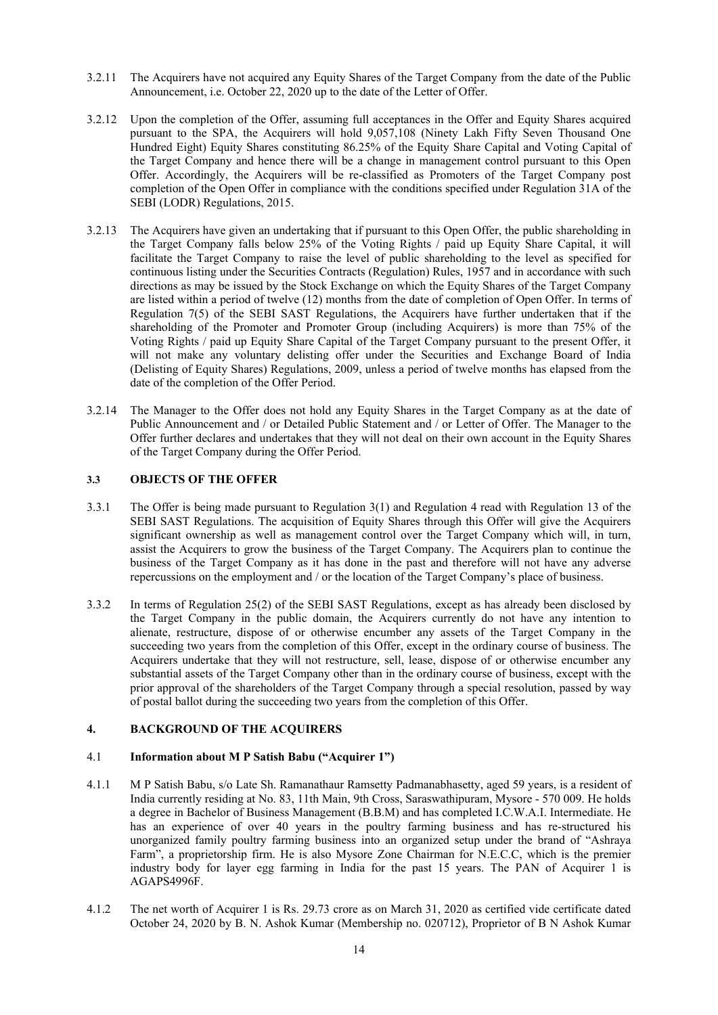- 3.2.11 The Acquirers have not acquired any Equity Shares of the Target Company from the date of the Public Announcement, i.e. October 22, 2020 up to the date of the Letter of Offer.
- 3.2.12 Upon the completion of the Offer, assuming full acceptances in the Offer and Equity Shares acquired pursuant to the SPA, the Acquirers will hold 9,057,108 (Ninety Lakh Fifty Seven Thousand One Hundred Eight) Equity Shares constituting 86.25% of the Equity Share Capital and Voting Capital of the Target Company and hence there will be a change in management control pursuant to this Open Offer. Accordingly, the Acquirers will be re-classified as Promoters of the Target Company post completion of the Open Offer in compliance with the conditions specified under Regulation 31A of the SEBI (LODR) Regulations, 2015.
- 3.2.13 The Acquirers have given an undertaking that if pursuant to this Open Offer, the public shareholding in the Target Company falls below 25% of the Voting Rights / paid up Equity Share Capital, it will facilitate the Target Company to raise the level of public shareholding to the level as specified for continuous listing under the Securities Contracts (Regulation) Rules, 1957 and in accordance with such directions as may be issued by the Stock Exchange on which the Equity Shares of the Target Company are listed within a period of twelve (12) months from the date of completion of Open Offer. In terms of Regulation 7(5) of the SEBI SAST Regulations, the Acquirers have further undertaken that if the shareholding of the Promoter and Promoter Group (including Acquirers) is more than 75% of the Voting Rights / paid up Equity Share Capital of the Target Company pursuant to the present Offer, it will not make any voluntary delisting offer under the Securities and Exchange Board of India (Delisting of Equity Shares) Regulations, 2009, unless a period of twelve months has elapsed from the date of the completion of the Offer Period.
- 3.2.14 The Manager to the Offer does not hold any Equity Shares in the Target Company as at the date of Public Announcement and / or Detailed Public Statement and / or Letter of Offer. The Manager to the Offer further declares and undertakes that they will not deal on their own account in the Equity Shares of the Target Company during the Offer Period.

### **3.3 OBJECTS OF THE OFFER**

- 3.3.1 The Offer is being made pursuant to Regulation 3(1) and Regulation 4 read with Regulation 13 of the SEBI SAST Regulations. The acquisition of Equity Shares through this Offer will give the Acquirers significant ownership as well as management control over the Target Company which will, in turn, assist the Acquirers to grow the business of the Target Company. The Acquirers plan to continue the business of the Target Company as it has done in the past and therefore will not have any adverse repercussions on the employment and / or the location of the Target Company's place of business.
- 3.3.2 In terms of Regulation 25(2) of the SEBI SAST Regulations, except as has already been disclosed by the Target Company in the public domain, the Acquirers currently do not have any intention to alienate, restructure, dispose of or otherwise encumber any assets of the Target Company in the succeeding two years from the completion of this Offer, except in the ordinary course of business. The Acquirers undertake that they will not restructure, sell, lease, dispose of or otherwise encumber any substantial assets of the Target Company other than in the ordinary course of business, except with the prior approval of the shareholders of the Target Company through a special resolution, passed by way of postal ballot during the succeeding two years from the completion of this Offer.

### **4. BACKGROUND OF THE ACQUIRERS**

#### 4.1 **Information about M P Satish Babu ("Acquirer 1")**

- 4.1.1 M P Satish Babu, s/o Late Sh. Ramanathaur Ramsetty Padmanabhasetty, aged 59 years, is a resident of India currently residing at No. 83, 11th Main, 9th Cross, Saraswathipuram, Mysore - 570 009. He holds a degree in Bachelor of Business Management (B.B.M) and has completed I.C.W.A.I. Intermediate. He has an experience of over 40 years in the poultry farming business and has re-structured his unorganized family poultry farming business into an organized setup under the brand of "Ashraya Farm", a proprietorship firm. He is also Mysore Zone Chairman for N.E.C.C, which is the premier industry body for layer egg farming in India for the past 15 years. The PAN of Acquirer 1 is AGAPS4996F.
- 4.1.2 The net worth of Acquirer 1 is Rs. 29.73 crore as on March 31, 2020 as certified vide certificate dated October 24, 2020 by B. N. Ashok Kumar (Membership no. 020712), Proprietor of B N Ashok Kumar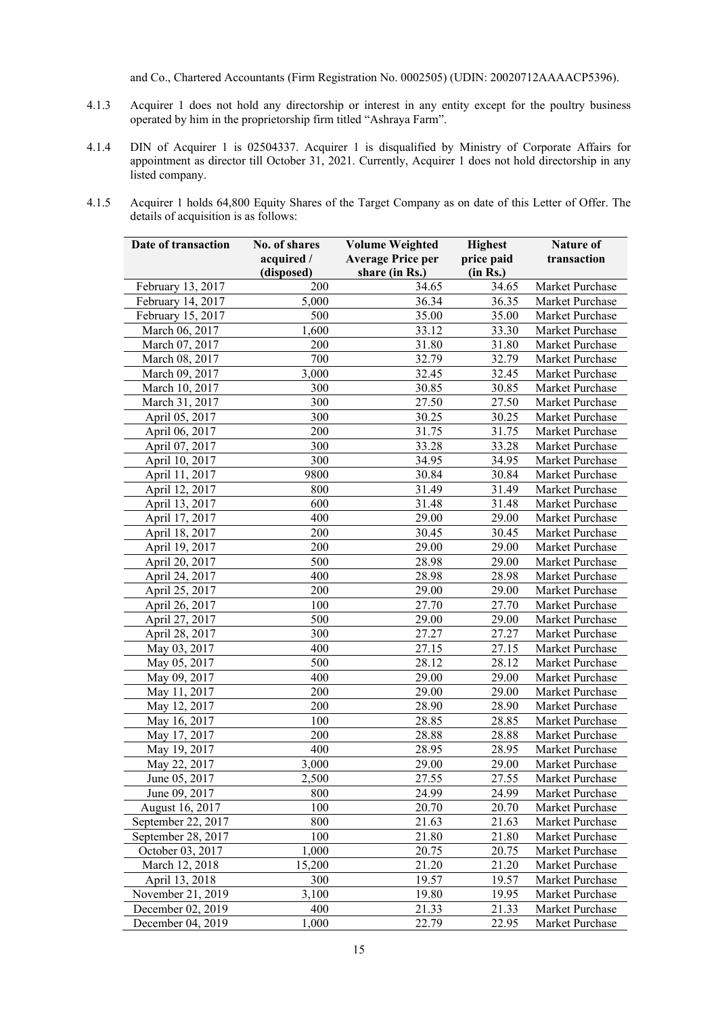and Co., Chartered Accountants (Firm Registration No. 0002505) (UDIN: 20020712AAAACP5396).

- 4.1.3 Acquirer 1 does not hold any directorship or interest in any entity except for the poultry business operated by him in the proprietorship firm titled "Ashraya Farm".
- 4.1.4 DIN of Acquirer 1 is 02504337. Acquirer 1 is disqualified by Ministry of Corporate Affairs for appointment as director till October 31, 2021. Currently, Acquirer 1 does not hold directorship in any listed company.
- 4.1.5 Acquirer 1 holds 64,800 Equity Shares of the Target Company as on date of this Letter of Offer. The details of acquisition is as follows:

| price paid<br>acquired /<br><b>Average Price per</b><br>transaction<br>(in Rs.)<br>(disposed)<br>share (in Rs.)<br>34.65<br>February 13, 2017<br>200<br>34.65<br>Market Purchase<br>February 14, 2017<br>5,000<br>36.34<br>36.35<br>Market Purchase<br>February 15, 2017<br>500<br>35.00<br>35.00<br>Market Purchase<br>March 06, 2017<br>1,600<br>33.12<br>33.30<br>Market Purchase<br>March 07, 2017<br>200<br>31.80<br>31.80<br>Market Purchase<br>700<br>March 08, 2017<br>32.79<br>32.79<br>Market Purchase<br>March 09, 2017<br>3,000<br>32.45<br>32.45<br>Market Purchase<br>March 10, 2017<br>300<br>30.85<br>30.85<br>Market Purchase<br>300<br>March 31, 2017<br>27.50<br>27.50<br>Market Purchase<br>300<br>April 05, 2017<br>30.25<br>30.25<br>Market Purchase<br>200<br>April 06, 2017<br>31.75<br>31.75<br>Market Purchase<br>300<br>April 07, 2017<br>33.28<br>33.28<br>Market Purchase<br>300<br>April 10, 2017<br>34.95<br>34.95<br>Market Purchase<br>April 11, 2017<br>9800<br>30.84<br>30.84<br>Market Purchase<br>April 12, 2017<br>800<br>31.49<br>31.49<br>Market Purchase<br>600<br>April 13, 2017<br>31.48<br>31.48<br>Market Purchase<br>400<br>April 17, 2017<br>29.00<br>29.00<br>Market Purchase<br>200<br>April 18, 2017<br>30.45<br>30.45<br>Market Purchase<br>200<br>April 19, 2017<br>29.00<br>29.00<br>Market Purchase<br>500<br>28.98<br>April 20, 2017<br>29.00<br>Market Purchase<br>400<br>28.98<br>April 24, 2017<br>28.98<br>Market Purchase<br>200<br>April 25, 2017<br>29.00<br>29.00<br>Market Purchase<br>100<br>April 26, 2017<br>27.70<br>27.70<br>Market Purchase<br>500<br>April 27, 2017<br>29.00<br>29.00<br>Market Purchase<br>300<br>April 28, 2017<br>27.27<br>27.27<br>Market Purchase<br>400<br>May 03, 2017<br>27.15<br>27.15<br>Market Purchase<br>500<br>28.12<br>May 05, 2017<br>28.12<br>Market Purchase<br>400<br>May 09, 2017<br>29.00<br>29.00<br>Market Purchase<br>200<br>29.00<br>29.00<br>May 11, 2017<br>Market Purchase<br>200<br>28.90<br>May 12, 2017<br>28.90<br>Market Purchase<br>100<br>May 16, 2017<br>28.85<br>28.85<br>Market Purchase<br>200<br>May 17, 2017<br>28.88<br>28.88<br>Market Purchase<br>May 19, 2017<br>400<br>28.95<br>28.95<br>Market Purchase<br>May 22, 2017<br>29.00<br>29.00<br>3,000<br>Market Purchase<br>27.55<br>27.55<br>June 05, 2017<br>2,500<br>Market Purchase<br>June 09, 2017<br>800<br>24.99<br>24.99<br>Market Purchase<br>100<br>20.70<br>20.70<br>August 16, 2017<br>Market Purchase<br>September 22, 2017<br>800<br>21.63<br>21.63<br>Market Purchase<br>September 28, 2017<br>100<br>21.80<br>21.80<br>Market Purchase<br>October 03, 2017<br>1,000<br>20.75<br>20.75<br>Market Purchase<br>March 12, 2018<br>15,200<br>21.20<br>21.20<br>Market Purchase<br>April 13, 2018<br>300<br>19.57<br>19.57<br>Market Purchase<br>November 21, 2019<br>3,100<br>19.80<br>19.95<br>Market Purchase<br>December 02, 2019<br>400<br>21.33<br>21.33<br>Market Purchase | Date of transaction | No. of shares | <b>Highest</b> | Nature of |                 |
|---------------------------------------------------------------------------------------------------------------------------------------------------------------------------------------------------------------------------------------------------------------------------------------------------------------------------------------------------------------------------------------------------------------------------------------------------------------------------------------------------------------------------------------------------------------------------------------------------------------------------------------------------------------------------------------------------------------------------------------------------------------------------------------------------------------------------------------------------------------------------------------------------------------------------------------------------------------------------------------------------------------------------------------------------------------------------------------------------------------------------------------------------------------------------------------------------------------------------------------------------------------------------------------------------------------------------------------------------------------------------------------------------------------------------------------------------------------------------------------------------------------------------------------------------------------------------------------------------------------------------------------------------------------------------------------------------------------------------------------------------------------------------------------------------------------------------------------------------------------------------------------------------------------------------------------------------------------------------------------------------------------------------------------------------------------------------------------------------------------------------------------------------------------------------------------------------------------------------------------------------------------------------------------------------------------------------------------------------------------------------------------------------------------------------------------------------------------------------------------------------------------------------------------------------------------------------------------------------------------------------------------------------------------------------------------------------------------------------------------------------------------------------------------------------------------------------------------------------------------------------------------------------------------------------------------------------------------------------------|---------------------|---------------|----------------|-----------|-----------------|
|                                                                                                                                                                                                                                                                                                                                                                                                                                                                                                                                                                                                                                                                                                                                                                                                                                                                                                                                                                                                                                                                                                                                                                                                                                                                                                                                                                                                                                                                                                                                                                                                                                                                                                                                                                                                                                                                                                                                                                                                                                                                                                                                                                                                                                                                                                                                                                                                                                                                                                                                                                                                                                                                                                                                                                                                                                                                                                                                                                                 |                     |               |                |           |                 |
|                                                                                                                                                                                                                                                                                                                                                                                                                                                                                                                                                                                                                                                                                                                                                                                                                                                                                                                                                                                                                                                                                                                                                                                                                                                                                                                                                                                                                                                                                                                                                                                                                                                                                                                                                                                                                                                                                                                                                                                                                                                                                                                                                                                                                                                                                                                                                                                                                                                                                                                                                                                                                                                                                                                                                                                                                                                                                                                                                                                 |                     |               |                |           |                 |
|                                                                                                                                                                                                                                                                                                                                                                                                                                                                                                                                                                                                                                                                                                                                                                                                                                                                                                                                                                                                                                                                                                                                                                                                                                                                                                                                                                                                                                                                                                                                                                                                                                                                                                                                                                                                                                                                                                                                                                                                                                                                                                                                                                                                                                                                                                                                                                                                                                                                                                                                                                                                                                                                                                                                                                                                                                                                                                                                                                                 |                     |               |                |           |                 |
|                                                                                                                                                                                                                                                                                                                                                                                                                                                                                                                                                                                                                                                                                                                                                                                                                                                                                                                                                                                                                                                                                                                                                                                                                                                                                                                                                                                                                                                                                                                                                                                                                                                                                                                                                                                                                                                                                                                                                                                                                                                                                                                                                                                                                                                                                                                                                                                                                                                                                                                                                                                                                                                                                                                                                                                                                                                                                                                                                                                 |                     |               |                |           |                 |
|                                                                                                                                                                                                                                                                                                                                                                                                                                                                                                                                                                                                                                                                                                                                                                                                                                                                                                                                                                                                                                                                                                                                                                                                                                                                                                                                                                                                                                                                                                                                                                                                                                                                                                                                                                                                                                                                                                                                                                                                                                                                                                                                                                                                                                                                                                                                                                                                                                                                                                                                                                                                                                                                                                                                                                                                                                                                                                                                                                                 |                     |               |                |           |                 |
|                                                                                                                                                                                                                                                                                                                                                                                                                                                                                                                                                                                                                                                                                                                                                                                                                                                                                                                                                                                                                                                                                                                                                                                                                                                                                                                                                                                                                                                                                                                                                                                                                                                                                                                                                                                                                                                                                                                                                                                                                                                                                                                                                                                                                                                                                                                                                                                                                                                                                                                                                                                                                                                                                                                                                                                                                                                                                                                                                                                 |                     |               |                |           |                 |
|                                                                                                                                                                                                                                                                                                                                                                                                                                                                                                                                                                                                                                                                                                                                                                                                                                                                                                                                                                                                                                                                                                                                                                                                                                                                                                                                                                                                                                                                                                                                                                                                                                                                                                                                                                                                                                                                                                                                                                                                                                                                                                                                                                                                                                                                                                                                                                                                                                                                                                                                                                                                                                                                                                                                                                                                                                                                                                                                                                                 |                     |               |                |           |                 |
|                                                                                                                                                                                                                                                                                                                                                                                                                                                                                                                                                                                                                                                                                                                                                                                                                                                                                                                                                                                                                                                                                                                                                                                                                                                                                                                                                                                                                                                                                                                                                                                                                                                                                                                                                                                                                                                                                                                                                                                                                                                                                                                                                                                                                                                                                                                                                                                                                                                                                                                                                                                                                                                                                                                                                                                                                                                                                                                                                                                 |                     |               |                |           |                 |
|                                                                                                                                                                                                                                                                                                                                                                                                                                                                                                                                                                                                                                                                                                                                                                                                                                                                                                                                                                                                                                                                                                                                                                                                                                                                                                                                                                                                                                                                                                                                                                                                                                                                                                                                                                                                                                                                                                                                                                                                                                                                                                                                                                                                                                                                                                                                                                                                                                                                                                                                                                                                                                                                                                                                                                                                                                                                                                                                                                                 |                     |               |                |           |                 |
|                                                                                                                                                                                                                                                                                                                                                                                                                                                                                                                                                                                                                                                                                                                                                                                                                                                                                                                                                                                                                                                                                                                                                                                                                                                                                                                                                                                                                                                                                                                                                                                                                                                                                                                                                                                                                                                                                                                                                                                                                                                                                                                                                                                                                                                                                                                                                                                                                                                                                                                                                                                                                                                                                                                                                                                                                                                                                                                                                                                 |                     |               |                |           |                 |
|                                                                                                                                                                                                                                                                                                                                                                                                                                                                                                                                                                                                                                                                                                                                                                                                                                                                                                                                                                                                                                                                                                                                                                                                                                                                                                                                                                                                                                                                                                                                                                                                                                                                                                                                                                                                                                                                                                                                                                                                                                                                                                                                                                                                                                                                                                                                                                                                                                                                                                                                                                                                                                                                                                                                                                                                                                                                                                                                                                                 |                     |               |                |           |                 |
|                                                                                                                                                                                                                                                                                                                                                                                                                                                                                                                                                                                                                                                                                                                                                                                                                                                                                                                                                                                                                                                                                                                                                                                                                                                                                                                                                                                                                                                                                                                                                                                                                                                                                                                                                                                                                                                                                                                                                                                                                                                                                                                                                                                                                                                                                                                                                                                                                                                                                                                                                                                                                                                                                                                                                                                                                                                                                                                                                                                 |                     |               |                |           |                 |
|                                                                                                                                                                                                                                                                                                                                                                                                                                                                                                                                                                                                                                                                                                                                                                                                                                                                                                                                                                                                                                                                                                                                                                                                                                                                                                                                                                                                                                                                                                                                                                                                                                                                                                                                                                                                                                                                                                                                                                                                                                                                                                                                                                                                                                                                                                                                                                                                                                                                                                                                                                                                                                                                                                                                                                                                                                                                                                                                                                                 |                     |               |                |           |                 |
|                                                                                                                                                                                                                                                                                                                                                                                                                                                                                                                                                                                                                                                                                                                                                                                                                                                                                                                                                                                                                                                                                                                                                                                                                                                                                                                                                                                                                                                                                                                                                                                                                                                                                                                                                                                                                                                                                                                                                                                                                                                                                                                                                                                                                                                                                                                                                                                                                                                                                                                                                                                                                                                                                                                                                                                                                                                                                                                                                                                 |                     |               |                |           |                 |
|                                                                                                                                                                                                                                                                                                                                                                                                                                                                                                                                                                                                                                                                                                                                                                                                                                                                                                                                                                                                                                                                                                                                                                                                                                                                                                                                                                                                                                                                                                                                                                                                                                                                                                                                                                                                                                                                                                                                                                                                                                                                                                                                                                                                                                                                                                                                                                                                                                                                                                                                                                                                                                                                                                                                                                                                                                                                                                                                                                                 |                     |               |                |           |                 |
|                                                                                                                                                                                                                                                                                                                                                                                                                                                                                                                                                                                                                                                                                                                                                                                                                                                                                                                                                                                                                                                                                                                                                                                                                                                                                                                                                                                                                                                                                                                                                                                                                                                                                                                                                                                                                                                                                                                                                                                                                                                                                                                                                                                                                                                                                                                                                                                                                                                                                                                                                                                                                                                                                                                                                                                                                                                                                                                                                                                 |                     |               |                |           |                 |
|                                                                                                                                                                                                                                                                                                                                                                                                                                                                                                                                                                                                                                                                                                                                                                                                                                                                                                                                                                                                                                                                                                                                                                                                                                                                                                                                                                                                                                                                                                                                                                                                                                                                                                                                                                                                                                                                                                                                                                                                                                                                                                                                                                                                                                                                                                                                                                                                                                                                                                                                                                                                                                                                                                                                                                                                                                                                                                                                                                                 |                     |               |                |           |                 |
|                                                                                                                                                                                                                                                                                                                                                                                                                                                                                                                                                                                                                                                                                                                                                                                                                                                                                                                                                                                                                                                                                                                                                                                                                                                                                                                                                                                                                                                                                                                                                                                                                                                                                                                                                                                                                                                                                                                                                                                                                                                                                                                                                                                                                                                                                                                                                                                                                                                                                                                                                                                                                                                                                                                                                                                                                                                                                                                                                                                 |                     |               |                |           |                 |
|                                                                                                                                                                                                                                                                                                                                                                                                                                                                                                                                                                                                                                                                                                                                                                                                                                                                                                                                                                                                                                                                                                                                                                                                                                                                                                                                                                                                                                                                                                                                                                                                                                                                                                                                                                                                                                                                                                                                                                                                                                                                                                                                                                                                                                                                                                                                                                                                                                                                                                                                                                                                                                                                                                                                                                                                                                                                                                                                                                                 |                     |               |                |           |                 |
|                                                                                                                                                                                                                                                                                                                                                                                                                                                                                                                                                                                                                                                                                                                                                                                                                                                                                                                                                                                                                                                                                                                                                                                                                                                                                                                                                                                                                                                                                                                                                                                                                                                                                                                                                                                                                                                                                                                                                                                                                                                                                                                                                                                                                                                                                                                                                                                                                                                                                                                                                                                                                                                                                                                                                                                                                                                                                                                                                                                 |                     |               |                |           |                 |
|                                                                                                                                                                                                                                                                                                                                                                                                                                                                                                                                                                                                                                                                                                                                                                                                                                                                                                                                                                                                                                                                                                                                                                                                                                                                                                                                                                                                                                                                                                                                                                                                                                                                                                                                                                                                                                                                                                                                                                                                                                                                                                                                                                                                                                                                                                                                                                                                                                                                                                                                                                                                                                                                                                                                                                                                                                                                                                                                                                                 |                     |               |                |           |                 |
|                                                                                                                                                                                                                                                                                                                                                                                                                                                                                                                                                                                                                                                                                                                                                                                                                                                                                                                                                                                                                                                                                                                                                                                                                                                                                                                                                                                                                                                                                                                                                                                                                                                                                                                                                                                                                                                                                                                                                                                                                                                                                                                                                                                                                                                                                                                                                                                                                                                                                                                                                                                                                                                                                                                                                                                                                                                                                                                                                                                 |                     |               |                |           |                 |
|                                                                                                                                                                                                                                                                                                                                                                                                                                                                                                                                                                                                                                                                                                                                                                                                                                                                                                                                                                                                                                                                                                                                                                                                                                                                                                                                                                                                                                                                                                                                                                                                                                                                                                                                                                                                                                                                                                                                                                                                                                                                                                                                                                                                                                                                                                                                                                                                                                                                                                                                                                                                                                                                                                                                                                                                                                                                                                                                                                                 |                     |               |                |           |                 |
|                                                                                                                                                                                                                                                                                                                                                                                                                                                                                                                                                                                                                                                                                                                                                                                                                                                                                                                                                                                                                                                                                                                                                                                                                                                                                                                                                                                                                                                                                                                                                                                                                                                                                                                                                                                                                                                                                                                                                                                                                                                                                                                                                                                                                                                                                                                                                                                                                                                                                                                                                                                                                                                                                                                                                                                                                                                                                                                                                                                 |                     |               |                |           |                 |
|                                                                                                                                                                                                                                                                                                                                                                                                                                                                                                                                                                                                                                                                                                                                                                                                                                                                                                                                                                                                                                                                                                                                                                                                                                                                                                                                                                                                                                                                                                                                                                                                                                                                                                                                                                                                                                                                                                                                                                                                                                                                                                                                                                                                                                                                                                                                                                                                                                                                                                                                                                                                                                                                                                                                                                                                                                                                                                                                                                                 |                     |               |                |           |                 |
|                                                                                                                                                                                                                                                                                                                                                                                                                                                                                                                                                                                                                                                                                                                                                                                                                                                                                                                                                                                                                                                                                                                                                                                                                                                                                                                                                                                                                                                                                                                                                                                                                                                                                                                                                                                                                                                                                                                                                                                                                                                                                                                                                                                                                                                                                                                                                                                                                                                                                                                                                                                                                                                                                                                                                                                                                                                                                                                                                                                 |                     |               |                |           |                 |
|                                                                                                                                                                                                                                                                                                                                                                                                                                                                                                                                                                                                                                                                                                                                                                                                                                                                                                                                                                                                                                                                                                                                                                                                                                                                                                                                                                                                                                                                                                                                                                                                                                                                                                                                                                                                                                                                                                                                                                                                                                                                                                                                                                                                                                                                                                                                                                                                                                                                                                                                                                                                                                                                                                                                                                                                                                                                                                                                                                                 |                     |               |                |           |                 |
|                                                                                                                                                                                                                                                                                                                                                                                                                                                                                                                                                                                                                                                                                                                                                                                                                                                                                                                                                                                                                                                                                                                                                                                                                                                                                                                                                                                                                                                                                                                                                                                                                                                                                                                                                                                                                                                                                                                                                                                                                                                                                                                                                                                                                                                                                                                                                                                                                                                                                                                                                                                                                                                                                                                                                                                                                                                                                                                                                                                 |                     |               |                |           |                 |
|                                                                                                                                                                                                                                                                                                                                                                                                                                                                                                                                                                                                                                                                                                                                                                                                                                                                                                                                                                                                                                                                                                                                                                                                                                                                                                                                                                                                                                                                                                                                                                                                                                                                                                                                                                                                                                                                                                                                                                                                                                                                                                                                                                                                                                                                                                                                                                                                                                                                                                                                                                                                                                                                                                                                                                                                                                                                                                                                                                                 |                     |               |                |           |                 |
|                                                                                                                                                                                                                                                                                                                                                                                                                                                                                                                                                                                                                                                                                                                                                                                                                                                                                                                                                                                                                                                                                                                                                                                                                                                                                                                                                                                                                                                                                                                                                                                                                                                                                                                                                                                                                                                                                                                                                                                                                                                                                                                                                                                                                                                                                                                                                                                                                                                                                                                                                                                                                                                                                                                                                                                                                                                                                                                                                                                 |                     |               |                |           |                 |
|                                                                                                                                                                                                                                                                                                                                                                                                                                                                                                                                                                                                                                                                                                                                                                                                                                                                                                                                                                                                                                                                                                                                                                                                                                                                                                                                                                                                                                                                                                                                                                                                                                                                                                                                                                                                                                                                                                                                                                                                                                                                                                                                                                                                                                                                                                                                                                                                                                                                                                                                                                                                                                                                                                                                                                                                                                                                                                                                                                                 |                     |               |                |           |                 |
|                                                                                                                                                                                                                                                                                                                                                                                                                                                                                                                                                                                                                                                                                                                                                                                                                                                                                                                                                                                                                                                                                                                                                                                                                                                                                                                                                                                                                                                                                                                                                                                                                                                                                                                                                                                                                                                                                                                                                                                                                                                                                                                                                                                                                                                                                                                                                                                                                                                                                                                                                                                                                                                                                                                                                                                                                                                                                                                                                                                 |                     |               |                |           |                 |
|                                                                                                                                                                                                                                                                                                                                                                                                                                                                                                                                                                                                                                                                                                                                                                                                                                                                                                                                                                                                                                                                                                                                                                                                                                                                                                                                                                                                                                                                                                                                                                                                                                                                                                                                                                                                                                                                                                                                                                                                                                                                                                                                                                                                                                                                                                                                                                                                                                                                                                                                                                                                                                                                                                                                                                                                                                                                                                                                                                                 |                     |               |                |           |                 |
|                                                                                                                                                                                                                                                                                                                                                                                                                                                                                                                                                                                                                                                                                                                                                                                                                                                                                                                                                                                                                                                                                                                                                                                                                                                                                                                                                                                                                                                                                                                                                                                                                                                                                                                                                                                                                                                                                                                                                                                                                                                                                                                                                                                                                                                                                                                                                                                                                                                                                                                                                                                                                                                                                                                                                                                                                                                                                                                                                                                 |                     |               |                |           |                 |
|                                                                                                                                                                                                                                                                                                                                                                                                                                                                                                                                                                                                                                                                                                                                                                                                                                                                                                                                                                                                                                                                                                                                                                                                                                                                                                                                                                                                                                                                                                                                                                                                                                                                                                                                                                                                                                                                                                                                                                                                                                                                                                                                                                                                                                                                                                                                                                                                                                                                                                                                                                                                                                                                                                                                                                                                                                                                                                                                                                                 |                     |               |                |           |                 |
|                                                                                                                                                                                                                                                                                                                                                                                                                                                                                                                                                                                                                                                                                                                                                                                                                                                                                                                                                                                                                                                                                                                                                                                                                                                                                                                                                                                                                                                                                                                                                                                                                                                                                                                                                                                                                                                                                                                                                                                                                                                                                                                                                                                                                                                                                                                                                                                                                                                                                                                                                                                                                                                                                                                                                                                                                                                                                                                                                                                 |                     |               |                |           |                 |
|                                                                                                                                                                                                                                                                                                                                                                                                                                                                                                                                                                                                                                                                                                                                                                                                                                                                                                                                                                                                                                                                                                                                                                                                                                                                                                                                                                                                                                                                                                                                                                                                                                                                                                                                                                                                                                                                                                                                                                                                                                                                                                                                                                                                                                                                                                                                                                                                                                                                                                                                                                                                                                                                                                                                                                                                                                                                                                                                                                                 |                     |               |                |           |                 |
|                                                                                                                                                                                                                                                                                                                                                                                                                                                                                                                                                                                                                                                                                                                                                                                                                                                                                                                                                                                                                                                                                                                                                                                                                                                                                                                                                                                                                                                                                                                                                                                                                                                                                                                                                                                                                                                                                                                                                                                                                                                                                                                                                                                                                                                                                                                                                                                                                                                                                                                                                                                                                                                                                                                                                                                                                                                                                                                                                                                 |                     |               |                |           |                 |
|                                                                                                                                                                                                                                                                                                                                                                                                                                                                                                                                                                                                                                                                                                                                                                                                                                                                                                                                                                                                                                                                                                                                                                                                                                                                                                                                                                                                                                                                                                                                                                                                                                                                                                                                                                                                                                                                                                                                                                                                                                                                                                                                                                                                                                                                                                                                                                                                                                                                                                                                                                                                                                                                                                                                                                                                                                                                                                                                                                                 |                     |               |                |           |                 |
|                                                                                                                                                                                                                                                                                                                                                                                                                                                                                                                                                                                                                                                                                                                                                                                                                                                                                                                                                                                                                                                                                                                                                                                                                                                                                                                                                                                                                                                                                                                                                                                                                                                                                                                                                                                                                                                                                                                                                                                                                                                                                                                                                                                                                                                                                                                                                                                                                                                                                                                                                                                                                                                                                                                                                                                                                                                                                                                                                                                 |                     |               |                |           |                 |
|                                                                                                                                                                                                                                                                                                                                                                                                                                                                                                                                                                                                                                                                                                                                                                                                                                                                                                                                                                                                                                                                                                                                                                                                                                                                                                                                                                                                                                                                                                                                                                                                                                                                                                                                                                                                                                                                                                                                                                                                                                                                                                                                                                                                                                                                                                                                                                                                                                                                                                                                                                                                                                                                                                                                                                                                                                                                                                                                                                                 |                     |               |                |           |                 |
|                                                                                                                                                                                                                                                                                                                                                                                                                                                                                                                                                                                                                                                                                                                                                                                                                                                                                                                                                                                                                                                                                                                                                                                                                                                                                                                                                                                                                                                                                                                                                                                                                                                                                                                                                                                                                                                                                                                                                                                                                                                                                                                                                                                                                                                                                                                                                                                                                                                                                                                                                                                                                                                                                                                                                                                                                                                                                                                                                                                 |                     |               |                |           |                 |
|                                                                                                                                                                                                                                                                                                                                                                                                                                                                                                                                                                                                                                                                                                                                                                                                                                                                                                                                                                                                                                                                                                                                                                                                                                                                                                                                                                                                                                                                                                                                                                                                                                                                                                                                                                                                                                                                                                                                                                                                                                                                                                                                                                                                                                                                                                                                                                                                                                                                                                                                                                                                                                                                                                                                                                                                                                                                                                                                                                                 |                     |               |                |           |                 |
|                                                                                                                                                                                                                                                                                                                                                                                                                                                                                                                                                                                                                                                                                                                                                                                                                                                                                                                                                                                                                                                                                                                                                                                                                                                                                                                                                                                                                                                                                                                                                                                                                                                                                                                                                                                                                                                                                                                                                                                                                                                                                                                                                                                                                                                                                                                                                                                                                                                                                                                                                                                                                                                                                                                                                                                                                                                                                                                                                                                 |                     |               |                |           |                 |
|                                                                                                                                                                                                                                                                                                                                                                                                                                                                                                                                                                                                                                                                                                                                                                                                                                                                                                                                                                                                                                                                                                                                                                                                                                                                                                                                                                                                                                                                                                                                                                                                                                                                                                                                                                                                                                                                                                                                                                                                                                                                                                                                                                                                                                                                                                                                                                                                                                                                                                                                                                                                                                                                                                                                                                                                                                                                                                                                                                                 |                     |               |                |           |                 |
|                                                                                                                                                                                                                                                                                                                                                                                                                                                                                                                                                                                                                                                                                                                                                                                                                                                                                                                                                                                                                                                                                                                                                                                                                                                                                                                                                                                                                                                                                                                                                                                                                                                                                                                                                                                                                                                                                                                                                                                                                                                                                                                                                                                                                                                                                                                                                                                                                                                                                                                                                                                                                                                                                                                                                                                                                                                                                                                                                                                 |                     |               |                |           |                 |
|                                                                                                                                                                                                                                                                                                                                                                                                                                                                                                                                                                                                                                                                                                                                                                                                                                                                                                                                                                                                                                                                                                                                                                                                                                                                                                                                                                                                                                                                                                                                                                                                                                                                                                                                                                                                                                                                                                                                                                                                                                                                                                                                                                                                                                                                                                                                                                                                                                                                                                                                                                                                                                                                                                                                                                                                                                                                                                                                                                                 | December 04, 2019   | 1,000         | 22.79          | 22.95     | Market Purchase |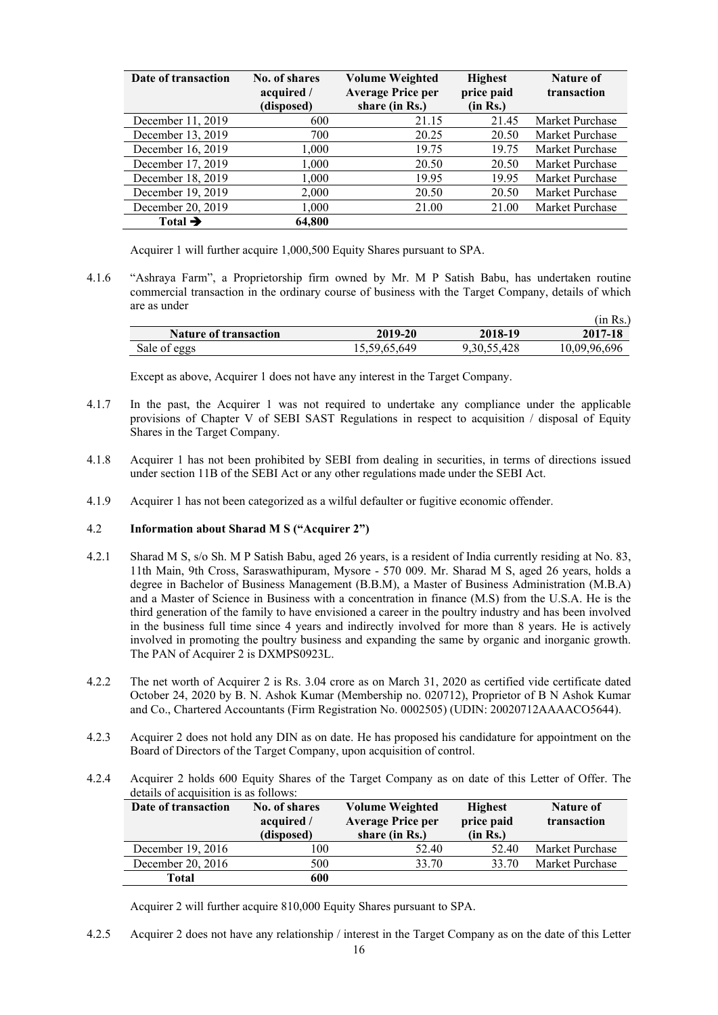| Date of transaction | No. of shares<br>acquired /<br>(disposed) | <b>Volume Weighted</b><br><b>Average Price per</b><br>share (in Rs.) | <b>Highest</b><br>price paid<br>(in Rs.) | <b>Nature of</b><br>transaction |
|---------------------|-------------------------------------------|----------------------------------------------------------------------|------------------------------------------|---------------------------------|
| December 11, 2019   | 600                                       | 21.15                                                                | 21.45                                    | Market Purchase                 |
| December 13, 2019   | 700                                       | 20.25                                                                | 20.50                                    | Market Purchase                 |
| December 16, 2019   | 1,000                                     | 19.75                                                                | 19.75                                    | Market Purchase                 |
| December 17, 2019   | 1,000                                     | 20.50                                                                | 20.50                                    | Market Purchase                 |
| December 18, 2019   | 1,000                                     | 19.95                                                                | 19.95                                    | Market Purchase                 |
| December 19, 2019   | 2,000                                     | 20.50                                                                | 20.50                                    | Market Purchase                 |
| December 20, 2019   | 1,000                                     | 21.00                                                                | 21.00                                    | Market Purchase                 |
| Total $\rightarrow$ | 64.800                                    |                                                                      |                                          |                                 |

Acquirer 1 will further acquire 1,000,500 Equity Shares pursuant to SPA.

4.1.6 "Ashraya Farm", a Proprietorship firm owned by Mr. M P Satish Babu, has undertaken routine commercial transaction in the ordinary course of business with the Target Company, details of which are as under  $(i_{\text{in}} \mathbf{D} \cdot \lambda)$ 

|                              |              |             | HII INS. 1   |
|------------------------------|--------------|-------------|--------------|
| <b>Nature of transaction</b> | 2019-20      | 2018-19     | 2017-18      |
| Sale of eggs                 | 15,59,65,649 | 9.30.55.428 | 10.09.96.696 |

Except as above, Acquirer 1 does not have any interest in the Target Company.

- 4.1.7 In the past, the Acquirer 1 was not required to undertake any compliance under the applicable provisions of Chapter V of SEBI SAST Regulations in respect to acquisition / disposal of Equity Shares in the Target Company.
- 4.1.8 Acquirer 1 has not been prohibited by SEBI from dealing in securities, in terms of directions issued under section 11B of the SEBI Act or any other regulations made under the SEBI Act.
- 4.1.9 Acquirer 1 has not been categorized as a wilful defaulter or fugitive economic offender.

### 4.2 **Information about Sharad M S ("Acquirer 2")**

- 4.2.1 Sharad M S, s/o Sh. M P Satish Babu, aged 26 years, is a resident of India currently residing at No. 83, 11th Main, 9th Cross, Saraswathipuram, Mysore - 570 009. Mr. Sharad M S, aged 26 years, holds a degree in Bachelor of Business Management (B.B.M), a Master of Business Administration (M.B.A) and a Master of Science in Business with a concentration in finance (M.S) from the U.S.A. He is the third generation of the family to have envisioned a career in the poultry industry and has been involved in the business full time since 4 years and indirectly involved for more than 8 years. He is actively involved in promoting the poultry business and expanding the same by organic and inorganic growth. The PAN of Acquirer 2 is DXMPS0923L.
- 4.2.2 The net worth of Acquirer 2 is Rs. 3.04 crore as on March 31, 2020 as certified vide certificate dated October 24, 2020 by B. N. Ashok Kumar (Membership no. 020712), Proprietor of B N Ashok Kumar and Co., Chartered Accountants (Firm Registration No. 0002505) (UDIN: 20020712AAAACO5644).
- 4.2.3 Acquirer 2 does not hold any DIN as on date. He has proposed his candidature for appointment on the Board of Directors of the Target Company, upon acquisition of control.
- 4.2.4 Acquirer 2 holds 600 Equity Shares of the Target Company as on date of this Letter of Offer. The details of acquisition is as follows:

| Date of transaction | No. of shares<br>acquired /<br>(disposed) | <b>Volume Weighted</b><br>price paid<br><b>Average Price per</b><br>share (in Rs.) |       | Nature of<br>transaction |  |
|---------------------|-------------------------------------------|------------------------------------------------------------------------------------|-------|--------------------------|--|
| December 19, 2016   | 00                                        | 52.40                                                                              | 52.40 | Market Purchase          |  |
| December 20, 2016   | 500                                       | 33.70                                                                              | 33.70 | Market Purchase          |  |
| Total               | 600                                       |                                                                                    |       |                          |  |

Acquirer 2 will further acquire 810,000 Equity Shares pursuant to SPA.

4.2.5 Acquirer 2 does not have any relationship / interest in the Target Company as on the date of this Letter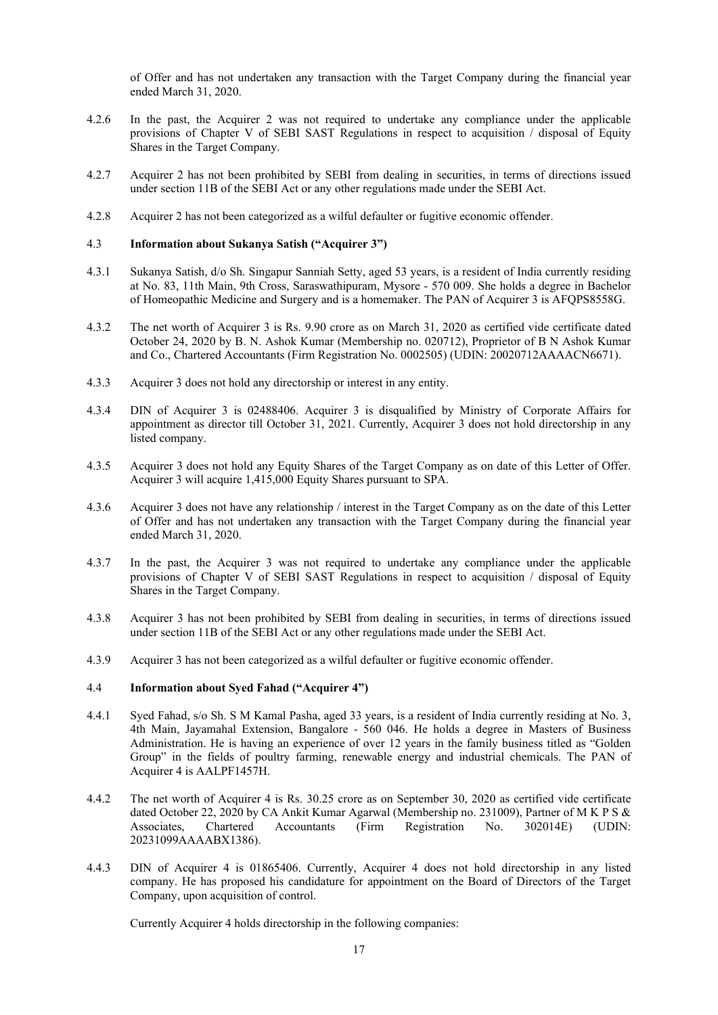of Offer and has not undertaken any transaction with the Target Company during the financial year ended March 31, 2020.

- 4.2.6 In the past, the Acquirer 2 was not required to undertake any compliance under the applicable provisions of Chapter V of SEBI SAST Regulations in respect to acquisition / disposal of Equity Shares in the Target Company.
- 4.2.7 Acquirer 2 has not been prohibited by SEBI from dealing in securities, in terms of directions issued under section 11B of the SEBI Act or any other regulations made under the SEBI Act.
- 4.2.8 Acquirer 2 has not been categorized as a wilful defaulter or fugitive economic offender.

### 4.3 **Information about Sukanya Satish ("Acquirer 3")**

- 4.3.1 Sukanya Satish, d/o Sh. Singapur Sanniah Setty, aged 53 years, is a resident of India currently residing at No. 83, 11th Main, 9th Cross, Saraswathipuram, Mysore - 570 009. She holds a degree in Bachelor of Homeopathic Medicine and Surgery and is a homemaker. The PAN of Acquirer 3 is AFQPS8558G.
- 4.3.2 The net worth of Acquirer 3 is Rs. 9.90 crore as on March 31, 2020 as certified vide certificate dated October 24, 2020 by B. N. Ashok Kumar (Membership no. 020712), Proprietor of B N Ashok Kumar and Co., Chartered Accountants (Firm Registration No. 0002505) (UDIN: 20020712AAAACN6671).
- 4.3.3 Acquirer 3 does not hold any directorship or interest in any entity.
- 4.3.4 DIN of Acquirer 3 is 02488406. Acquirer 3 is disqualified by Ministry of Corporate Affairs for appointment as director till October 31, 2021. Currently, Acquirer 3 does not hold directorship in any listed company.
- 4.3.5 Acquirer 3 does not hold any Equity Shares of the Target Company as on date of this Letter of Offer. Acquirer 3 will acquire 1,415,000 Equity Shares pursuant to SPA.
- 4.3.6 Acquirer 3 does not have any relationship / interest in the Target Company as on the date of this Letter of Offer and has not undertaken any transaction with the Target Company during the financial year ended March 31, 2020.
- 4.3.7 In the past, the Acquirer 3 was not required to undertake any compliance under the applicable provisions of Chapter V of SEBI SAST Regulations in respect to acquisition / disposal of Equity Shares in the Target Company.
- 4.3.8 Acquirer 3 has not been prohibited by SEBI from dealing in securities, in terms of directions issued under section 11B of the SEBI Act or any other regulations made under the SEBI Act.
- 4.3.9 Acquirer 3 has not been categorized as a wilful defaulter or fugitive economic offender.

#### 4.4 **Information about Syed Fahad ("Acquirer 4")**

- 4.4.1 Syed Fahad, s/o Sh. S M Kamal Pasha, aged 33 years, is a resident of India currently residing at No. 3, 4th Main, Jayamahal Extension, Bangalore - 560 046. He holds a degree in Masters of Business Administration. He is having an experience of over 12 years in the family business titled as "Golden Group" in the fields of poultry farming, renewable energy and industrial chemicals. The PAN of Acquirer 4 is AALPF1457H.
- 4.4.2 The net worth of Acquirer 4 is Rs. 30.25 crore as on September 30, 2020 as certified vide certificate dated October 22, 2020 by CA Ankit Kumar Agarwal (Membership no. 231009), Partner of M K P S & Associates, Chartered Accountants (Firm Registration No. 302014E) (UDIN: 20231099AAAABX1386).
- 4.4.3 DIN of Acquirer 4 is 01865406. Currently, Acquirer 4 does not hold directorship in any listed company. He has proposed his candidature for appointment on the Board of Directors of the Target Company, upon acquisition of control.

Currently Acquirer 4 holds directorship in the following companies: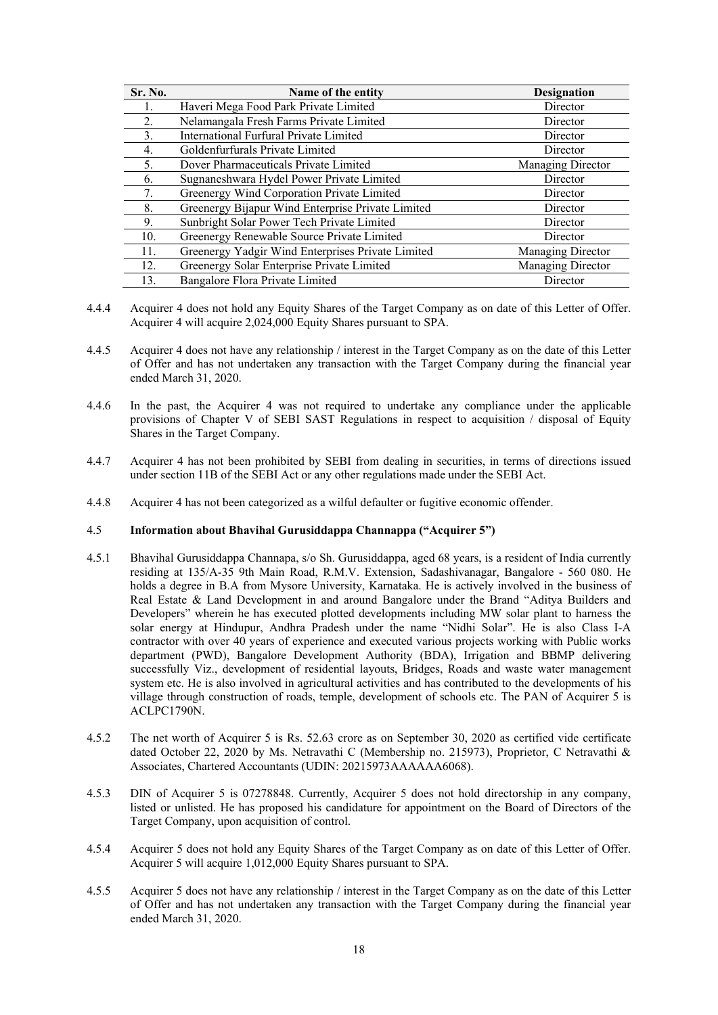| Sr. No. | Name of the entity                                | <b>Designation</b> |
|---------|---------------------------------------------------|--------------------|
|         | Haveri Mega Food Park Private Limited             | Director           |
| 2.      | Nelamangala Fresh Farms Private Limited           | Director           |
| 3.      | International Furfural Private Limited            | Director           |
| 4.      | Goldenfurfurals Private Limited                   | Director           |
| 5.      | Dover Pharmaceuticals Private Limited             | Managing Director  |
| 6.      | Sugnaneshwara Hydel Power Private Limited         | Director           |
|         | Greenergy Wind Corporation Private Limited        | Director           |
| 8.      | Greenergy Bijapur Wind Enterprise Private Limited | Director           |
| 9.      | Sunbright Solar Power Tech Private Limited        | Director           |
| 10.     | Greenergy Renewable Source Private Limited        | Director           |
| 11.     | Greenergy Yadgir Wind Enterprises Private Limited | Managing Director  |
| 12.     | Greenergy Solar Enterprise Private Limited        | Managing Director  |
| 13.     | Bangalore Flora Private Limited                   | Director           |

- 4.4.4 Acquirer 4 does not hold any Equity Shares of the Target Company as on date of this Letter of Offer. Acquirer 4 will acquire 2,024,000 Equity Shares pursuant to SPA.
- 4.4.5 Acquirer 4 does not have any relationship / interest in the Target Company as on the date of this Letter of Offer and has not undertaken any transaction with the Target Company during the financial year ended March 31, 2020.
- 4.4.6 In the past, the Acquirer 4 was not required to undertake any compliance under the applicable provisions of Chapter V of SEBI SAST Regulations in respect to acquisition / disposal of Equity Shares in the Target Company.
- 4.4.7 Acquirer 4 has not been prohibited by SEBI from dealing in securities, in terms of directions issued under section 11B of the SEBI Act or any other regulations made under the SEBI Act.
- 4.4.8 Acquirer 4 has not been categorized as a wilful defaulter or fugitive economic offender.

### 4.5 **Information about Bhavihal Gurusiddappa Channappa ("Acquirer 5")**

- 4.5.1 Bhavihal Gurusiddappa Channapa, s/o Sh. Gurusiddappa, aged 68 years, is a resident of India currently residing at 135/A-35 9th Main Road, R.M.V. Extension, Sadashivanagar, Bangalore - 560 080. He holds a degree in B.A from Mysore University, Karnataka. He is actively involved in the business of Real Estate & Land Development in and around Bangalore under the Brand "Aditya Builders and Developers" wherein he has executed plotted developments including MW solar plant to harness the solar energy at Hindupur, Andhra Pradesh under the name "Nidhi Solar". He is also Class I-A contractor with over 40 years of experience and executed various projects working with Public works department (PWD), Bangalore Development Authority (BDA), Irrigation and BBMP delivering successfully Viz., development of residential layouts, Bridges, Roads and waste water management system etc. He is also involved in agricultural activities and has contributed to the developments of his village through construction of roads, temple, development of schools etc. The PAN of Acquirer 5 is ACLPC1790N.
- 4.5.2 The net worth of Acquirer 5 is Rs. 52.63 crore as on September 30, 2020 as certified vide certificate dated October 22, 2020 by Ms. Netravathi C (Membership no. 215973), Proprietor, C Netravathi & Associates, Chartered Accountants (UDIN: 20215973AAAAAA6068).
- 4.5.3 DIN of Acquirer 5 is 07278848. Currently, Acquirer 5 does not hold directorship in any company, listed or unlisted. He has proposed his candidature for appointment on the Board of Directors of the Target Company, upon acquisition of control.
- 4.5.4 Acquirer 5 does not hold any Equity Shares of the Target Company as on date of this Letter of Offer. Acquirer 5 will acquire 1,012,000 Equity Shares pursuant to SPA.
- 4.5.5 Acquirer 5 does not have any relationship / interest in the Target Company as on the date of this Letter of Offer and has not undertaken any transaction with the Target Company during the financial year ended March 31, 2020.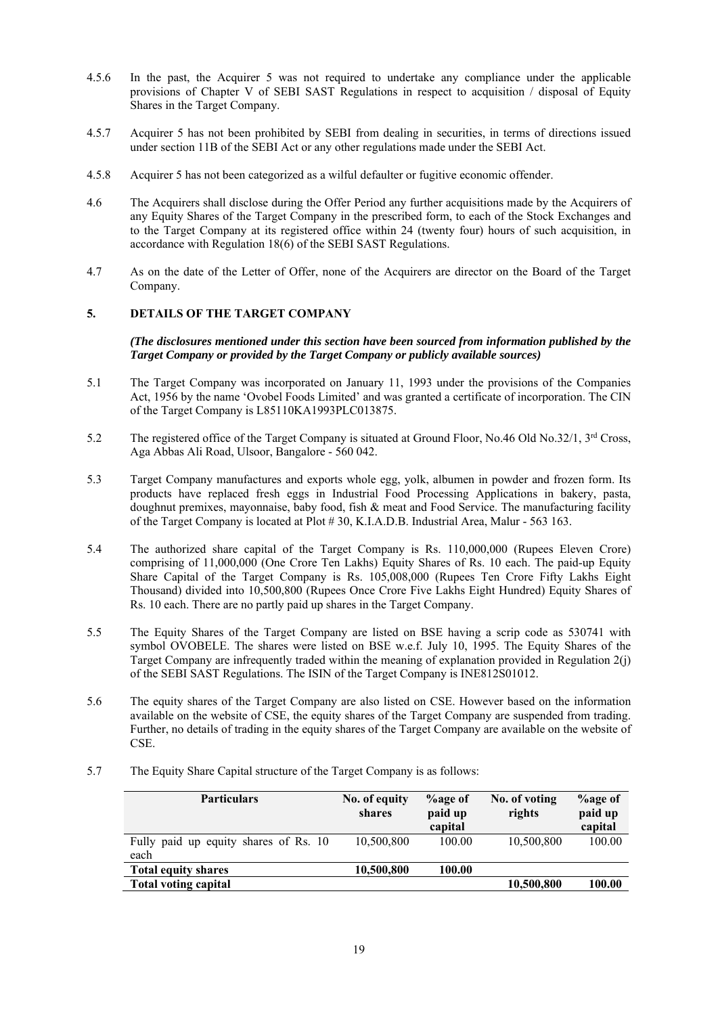- 4.5.6 In the past, the Acquirer 5 was not required to undertake any compliance under the applicable provisions of Chapter V of SEBI SAST Regulations in respect to acquisition / disposal of Equity Shares in the Target Company.
- 4.5.7 Acquirer 5 has not been prohibited by SEBI from dealing in securities, in terms of directions issued under section 11B of the SEBI Act or any other regulations made under the SEBI Act.
- 4.5.8 Acquirer 5 has not been categorized as a wilful defaulter or fugitive economic offender.
- 4.6 The Acquirers shall disclose during the Offer Period any further acquisitions made by the Acquirers of any Equity Shares of the Target Company in the prescribed form, to each of the Stock Exchanges and to the Target Company at its registered office within 24 (twenty four) hours of such acquisition, in accordance with Regulation 18(6) of the SEBI SAST Regulations.
- 4.7 As on the date of the Letter of Offer, none of the Acquirers are director on the Board of the Target Company.

# **5. DETAILS OF THE TARGET COMPANY**

*(The disclosures mentioned under this section have been sourced from information published by the Target Company or provided by the Target Company or publicly available sources)*

- 5.1 The Target Company was incorporated on January 11, 1993 under the provisions of the Companies Act, 1956 by the name 'Ovobel Foods Limited' and was granted a certificate of incorporation. The CIN of the Target Company is L85110KA1993PLC013875.
- 5.2 The registered office of the Target Company is situated at Ground Floor, No.46 Old No.32/1, 3<sup>rd</sup> Cross, Aga Abbas Ali Road, Ulsoor, Bangalore - 560 042.
- 5.3 Target Company manufactures and exports whole egg, yolk, albumen in powder and frozen form. Its products have replaced fresh eggs in Industrial Food Processing Applications in bakery, pasta, doughnut premixes, mayonnaise, baby food, fish & meat and Food Service. The manufacturing facility of the Target Company is located at Plot # 30, K.I.A.D.B. Industrial Area, Malur - 563 163.
- 5.4 The authorized share capital of the Target Company is Rs. 110,000,000 (Rupees Eleven Crore) comprising of 11,000,000 (One Crore Ten Lakhs) Equity Shares of Rs. 10 each. The paid-up Equity Share Capital of the Target Company is Rs. 105,008,000 (Rupees Ten Crore Fifty Lakhs Eight Thousand) divided into 10,500,800 (Rupees Once Crore Five Lakhs Eight Hundred) Equity Shares of Rs. 10 each. There are no partly paid up shares in the Target Company.
- 5.5 The Equity Shares of the Target Company are listed on BSE having a scrip code as 530741 with symbol OVOBELE. The shares were listed on BSE w.e.f. July 10, 1995. The Equity Shares of the Target Company are infrequently traded within the meaning of explanation provided in Regulation 2(j) of the SEBI SAST Regulations. The ISIN of the Target Company is INE812S01012.
- 5.6 The equity shares of the Target Company are also listed on CSE. However based on the information available on the website of CSE, the equity shares of the Target Company are suspended from trading. Further, no details of trading in the equity shares of the Target Company are available on the website of CSE.
- 5.7 The Equity Share Capital structure of the Target Company is as follows:

| <b>Particulars</b>                            | No. of equity<br>shares | %age of<br>paid up<br>capital | No. of voting<br>rights | <b>%</b> age of<br>paid up<br>capital |
|-----------------------------------------------|-------------------------|-------------------------------|-------------------------|---------------------------------------|
| Fully paid up equity shares of Rs. 10<br>each | 10,500,800              | 100.00                        | 10,500,800              | 100.00                                |
| <b>Total equity shares</b>                    | 10,500,800              | 100.00                        |                         |                                       |
| <b>Total voting capital</b>                   |                         |                               | 10,500,800              | 100.00                                |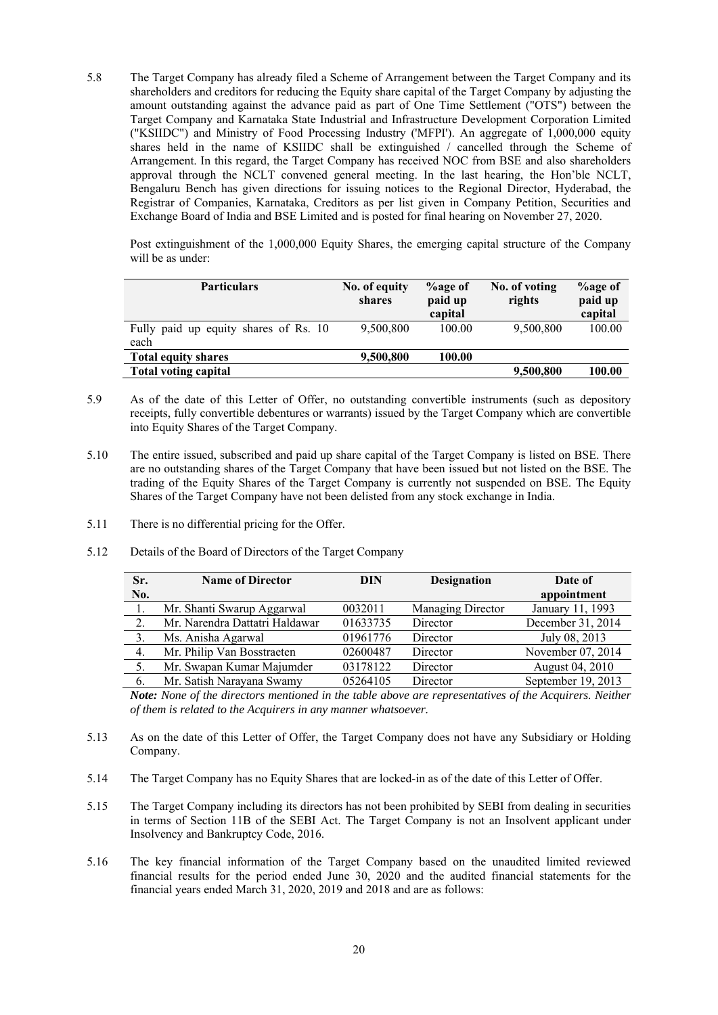5.8 The Target Company has already filed a Scheme of Arrangement between the Target Company and its shareholders and creditors for reducing the Equity share capital of the Target Company by adjusting the amount outstanding against the advance paid as part of One Time Settlement ("OTS") between the Target Company and Karnataka State Industrial and Infrastructure Development Corporation Limited ("KSIIDC") and Ministry of Food Processing Industry ('MFPI'). An aggregate of 1,000,000 equity shares held in the name of KSIIDC shall be extinguished / cancelled through the Scheme of Arrangement. In this regard, the Target Company has received NOC from BSE and also shareholders approval through the NCLT convened general meeting. In the last hearing, the Hon'ble NCLT, Bengaluru Bench has given directions for issuing notices to the Regional Director, Hyderabad, the Registrar of Companies, Karnataka, Creditors as per list given in Company Petition, Securities and Exchange Board of India and BSE Limited and is posted for final hearing on November 27, 2020.

Post extinguishment of the 1,000,000 Equity Shares, the emerging capital structure of the Company will be as under:

| <b>Particulars</b>                            | No. of equity<br>shares | <b>Logge of</b><br>paid up<br>capital | No. of voting<br>rights | <b>%age of</b><br>paid up<br>capital |
|-----------------------------------------------|-------------------------|---------------------------------------|-------------------------|--------------------------------------|
| Fully paid up equity shares of Rs. 10<br>each | 9,500,800               | 100.00                                | 9,500,800               | 100.00                               |
| <b>Total equity shares</b>                    | 9,500,800               | 100.00                                |                         |                                      |
| <b>Total voting capital</b>                   |                         |                                       | 9,500,800               | 100.00                               |

- 5.9 As of the date of this Letter of Offer, no outstanding convertible instruments (such as depository receipts, fully convertible debentures or warrants) issued by the Target Company which are convertible into Equity Shares of the Target Company.
- 5.10 The entire issued, subscribed and paid up share capital of the Target Company is listed on BSE. There are no outstanding shares of the Target Company that have been issued but not listed on the BSE. The trading of the Equity Shares of the Target Company is currently not suspended on BSE. The Equity Shares of the Target Company have not been delisted from any stock exchange in India.
- 5.11 There is no differential pricing for the Offer.
- 5.12 Details of the Board of Directors of the Target Company

| Sr.  | <b>Name of Director</b>        | DIN      | <b>Designation</b> | Date of            |
|------|--------------------------------|----------|--------------------|--------------------|
| No.  |                                |          |                    | appointment        |
|      | Mr. Shanti Swarup Aggarwal     | 0032011  | Managing Director  | January 11, 1993   |
| 2.   | Mr. Narendra Dattatri Haldawar | 01633735 | Director           | December 31, 2014  |
| 3.   | Ms. Anisha Agarwal             | 01961776 | Director           | July 08, 2013      |
| 4.   | Mr. Philip Van Bosstraeten     | 02600487 | Director           | November 07, 2014  |
| - 5. | Mr. Swapan Kumar Majumder      | 03178122 | Director           | August 04, 2010    |
| 6.   | Mr. Satish Narayana Swamy      | 05264105 | Director           | September 19, 2013 |

*Note: None of the directors mentioned in the table above are representatives of the Acquirers. Neither of them is related to the Acquirers in any manner whatsoever.* 

- 5.13 As on the date of this Letter of Offer, the Target Company does not have any Subsidiary or Holding Company.
- 5.14 The Target Company has no Equity Shares that are locked-in as of the date of this Letter of Offer.
- 5.15 The Target Company including its directors has not been prohibited by SEBI from dealing in securities in terms of Section 11B of the SEBI Act. The Target Company is not an Insolvent applicant under Insolvency and Bankruptcy Code, 2016.
- 5.16 The key financial information of the Target Company based on the unaudited limited reviewed financial results for the period ended June 30, 2020 and the audited financial statements for the financial years ended March 31, 2020, 2019 and 2018 and are as follows: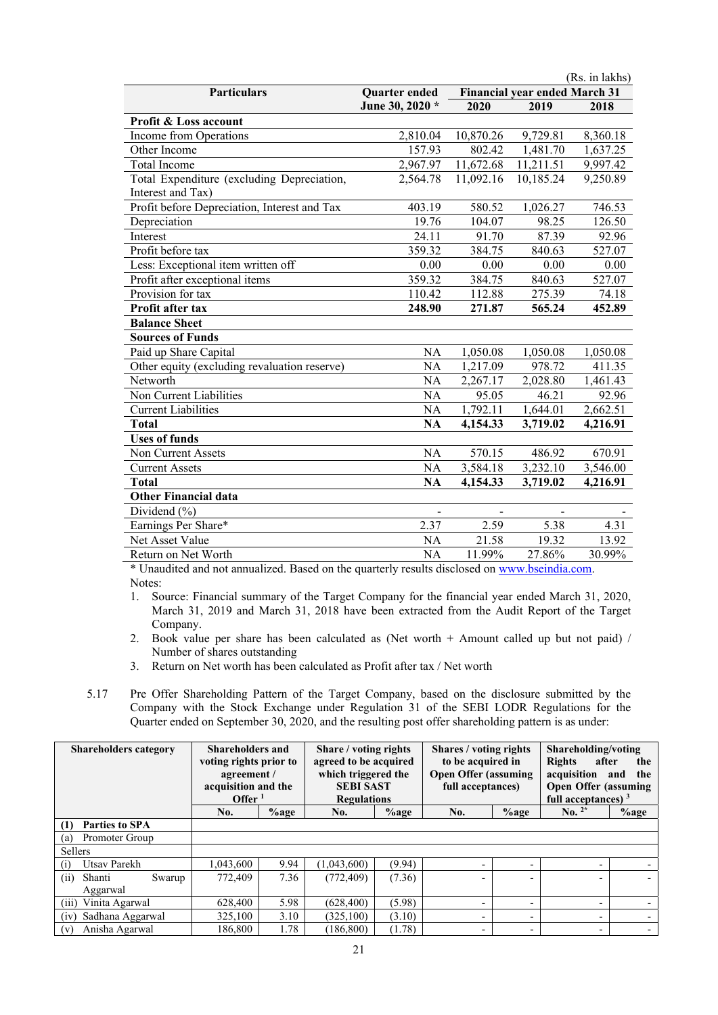|                                              |                 |           |                                      | (Rs. in lakhs) |
|----------------------------------------------|-----------------|-----------|--------------------------------------|----------------|
| Particulars                                  | Quarter ended   |           | <b>Financial year ended March 31</b> |                |
|                                              | June 30, 2020 * | 2020      | 2019                                 | 2018           |
| <b>Profit &amp; Loss account</b>             |                 |           |                                      |                |
| Income from Operations                       | 2,810.04        | 10,870.26 | 9,729.81                             | 8,360.18       |
| Other Income                                 | 157.93          | 802.42    | 1,481.70                             | 1,637.25       |
| Total Income                                 | 2,967.97        | 11,672.68 | 11,211.51                            | 9,997.42       |
| Total Expenditure (excluding Depreciation,   | 2,564.78        | 11,092.16 | 10,185.24                            | 9,250.89       |
| Interest and Tax)                            |                 |           |                                      |                |
| Profit before Depreciation, Interest and Tax | 403.19          | 580.52    | 1,026.27                             | 746.53         |
| Depreciation                                 | 19.76           | 104.07    | 98.25                                | 126.50         |
| Interest                                     | 24.11           | 91.70     | 87.39                                | 92.96          |
| Profit before tax                            | 359.32          | 384.75    | 840.63                               | 527.07         |
| Less: Exceptional item written off           | 0.00            | 0.00      | 0.00                                 | 0.00           |
| Profit after exceptional items               | 359.32          | 384.75    | 840.63                               | 527.07         |
| Provision for tax                            | 110.42          | 112.88    | 275.39                               | 74.18          |
| Profit after tax                             | 248.90          | 271.87    | 565.24                               | 452.89         |
| <b>Balance Sheet</b>                         |                 |           |                                      |                |
| <b>Sources of Funds</b>                      |                 |           |                                      |                |
| Paid up Share Capital                        | NA              | 1,050.08  | 1,050.08                             | 1,050.08       |
| Other equity (excluding revaluation reserve) | <b>NA</b>       | 1,217.09  | 978.72                               | 411.35         |
| Networth                                     | NA              | 2,267.17  | 2,028.80                             | 1,461.43       |
| Non Current Liabilities                      | <b>NA</b>       | 95.05     | 46.21                                | 92.96          |
| <b>Current Liabilities</b>                   | NA              | 1,792.11  | 1,644.01                             | 2,662.51       |
| <b>Total</b>                                 | <b>NA</b>       | 4,154.33  | 3,719.02                             | 4,216.91       |
| <b>Uses of funds</b>                         |                 |           |                                      |                |
| Non Current Assets                           | <b>NA</b>       | 570.15    | 486.92                               | 670.91         |
| <b>Current Assets</b>                        | NA              | 3,584.18  | 3,232.10                             | 3,546.00       |
| <b>Total</b>                                 | <b>NA</b>       | 4,154.33  | 3,719.02                             | 4,216.91       |
| <b>Other Financial data</b>                  |                 |           |                                      |                |
| Dividend (%)                                 |                 |           |                                      |                |
| Earnings Per Share*                          | 2.37            | 2.59      | 5.38                                 | 4.31           |
| Net Asset Value                              | <b>NA</b>       | 21.58     | 19.32                                | 13.92          |
| Return on Net Worth                          | <b>NA</b>       | 11.99%    | 27.86%                               | 30.99%         |

\* Unaudited and not annualized. Based on the quarterly results disclosed on www.bseindia.com. Notes:

1. Source: Financial summary of the Target Company for the financial year ended March 31, 2020, March 31, 2019 and March 31, 2018 have been extracted from the Audit Report of the Target Company.

2. Book value per share has been calculated as (Net worth + Amount called up but not paid) / Number of shares outstanding

3. Return on Net worth has been calculated as Profit after tax / Net worth

5.17 Pre Offer Shareholding Pattern of the Target Company, based on the disclosure submitted by the Company with the Stock Exchange under Regulation 31 of the SEBI LODR Regulations for the Quarter ended on September 30, 2020, and the resulting post offer shareholding pattern is as under:

| <b>Shareholders category</b> | <b>Shareholders and</b><br>voting rights prior to<br>agreement /<br>acquisition and the<br>Offer $1$ |         | Share / voting rights<br>agreed to be acquired<br>which triggered the<br><b>SEBI SAST</b><br><b>Regulations</b> |         | Shares / voting rights<br>to be acquired in<br><b>Open Offer (assuming</b><br>full acceptances) |                          | Shareholding/voting<br><b>Rights</b><br>after<br>the<br>acquisition<br>the<br>and<br><b>Open Offer (assuming</b><br>full acceptances) $3$ |         |
|------------------------------|------------------------------------------------------------------------------------------------------|---------|-----------------------------------------------------------------------------------------------------------------|---------|-------------------------------------------------------------------------------------------------|--------------------------|-------------------------------------------------------------------------------------------------------------------------------------------|---------|
|                              | No.                                                                                                  | $%$ age | No.                                                                                                             | $%$ age | No.                                                                                             | $%$ age                  | $\mathbf{N_0.}^{2*}$                                                                                                                      | $%$ age |
| Parties to SPA<br>(1)        |                                                                                                      |         |                                                                                                                 |         |                                                                                                 |                          |                                                                                                                                           |         |
| Promoter Group<br>(a)        |                                                                                                      |         |                                                                                                                 |         |                                                                                                 |                          |                                                                                                                                           |         |
| Sellers                      |                                                                                                      |         |                                                                                                                 |         |                                                                                                 |                          |                                                                                                                                           |         |
| Utsav Parekh<br>(i)          | 1,043,600                                                                                            | 9.94    | (1,043,600)                                                                                                     | (9.94)  | $\overline{\phantom{0}}$                                                                        | $\overline{\phantom{0}}$ | Ξ.                                                                                                                                        |         |
| Shanti<br>Swarup<br>(ii)     | 772,409                                                                                              | 7.36    | (772, 409)                                                                                                      | (7.36)  |                                                                                                 |                          |                                                                                                                                           |         |
| Aggarwal                     |                                                                                                      |         |                                                                                                                 |         |                                                                                                 |                          |                                                                                                                                           |         |
| Vinita Agarwal<br>(iii)      | 628,400                                                                                              | 5.98    | (628, 400)                                                                                                      | (5.98)  | $\overline{\phantom{a}}$                                                                        | $\overline{\phantom{0}}$ |                                                                                                                                           |         |
| Sadhana Aggarwal<br>(iv)     | 325,100                                                                                              | 3.10    | (325, 100)                                                                                                      | (3.10)  | $\overline{\phantom{a}}$                                                                        | $\overline{\phantom{0}}$ | $\overline{\phantom{0}}$                                                                                                                  |         |
| Anisha Agarwal<br>(v)        | 186,800                                                                                              | 1.78    | (186, 800)                                                                                                      | (1.78)  | $\overline{\phantom{0}}$                                                                        | $\overline{\phantom{0}}$ | $\overline{\phantom{0}}$                                                                                                                  |         |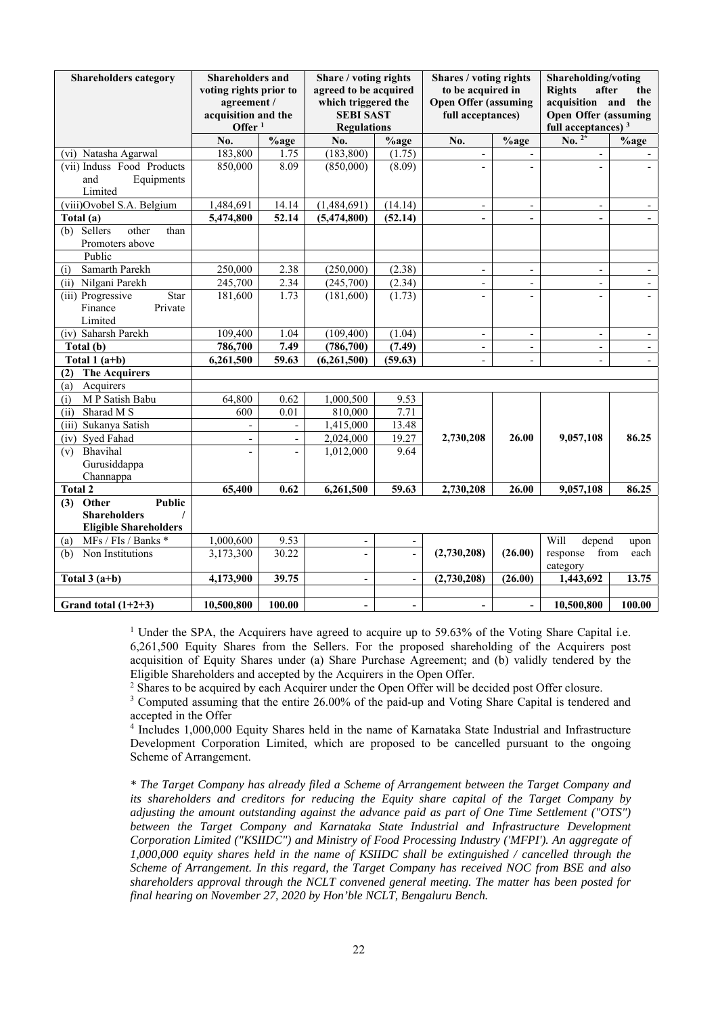| Shareholders category                                                        | <b>Shareholders and</b><br>voting rights prior to<br>agreement /<br>acquisition and the<br>Offer $1$ |                              | Share / voting rights<br>agreed to be acquired<br>which triggered the<br><b>SEBI SAST</b><br><b>Regulations</b> |                          | Shares / voting rights<br>to be acquired in<br><b>Open Offer (assuming</b><br>full acceptances) |                          | Shareholding/voting<br><b>Rights</b><br>after<br>the<br>acquisition and<br>the<br><b>Open Offer (assuming</b><br>full acceptances) <sup>3</sup> |         |
|------------------------------------------------------------------------------|------------------------------------------------------------------------------------------------------|------------------------------|-----------------------------------------------------------------------------------------------------------------|--------------------------|-------------------------------------------------------------------------------------------------|--------------------------|-------------------------------------------------------------------------------------------------------------------------------------------------|---------|
|                                                                              | No.                                                                                                  | $\overline{\frac{9}{6}}$ age | No.                                                                                                             | %age                     | No.                                                                                             | $%$ age                  | $\overline{\text{No.}}^{2*}$                                                                                                                    | $%$ age |
| (vi) Natasha Agarwal                                                         | 183,800                                                                                              | 1.75                         | (183, 800)                                                                                                      | (1.75)                   | $\overline{\phantom{a}}$                                                                        |                          |                                                                                                                                                 |         |
| (vii) Induss Food Products<br>and<br>Equipments<br>Limited                   | 850,000                                                                                              | 8.09                         | (850,000)                                                                                                       | (8.09)                   |                                                                                                 |                          |                                                                                                                                                 |         |
| (viii)Ovobel S.A. Belgium                                                    | 1,484,691                                                                                            | 14.14                        | (1,484,691)                                                                                                     | (14.14)                  | $\overline{\phantom{a}}$                                                                        | $\overline{\phantom{a}}$ | $\overline{\phantom{m}}$                                                                                                                        |         |
| Total (a)                                                                    | 5,474,800                                                                                            | 52.14                        | (5,474,800)                                                                                                     | (52.14)                  | $\overline{a}$                                                                                  |                          |                                                                                                                                                 |         |
| other<br>(b) Sellers<br>than<br>Promoters above                              |                                                                                                      |                              |                                                                                                                 |                          |                                                                                                 |                          |                                                                                                                                                 |         |
| Public<br>Samarth Parekh                                                     |                                                                                                      |                              |                                                                                                                 |                          |                                                                                                 |                          |                                                                                                                                                 |         |
| (i)                                                                          | 250,000                                                                                              | 2.38                         | (250,000)                                                                                                       | (2.38)                   | $\overline{\phantom{0}}$                                                                        |                          | $\overline{\phantom{m}}$                                                                                                                        |         |
| (ii) Nilgani Parekh                                                          | 245,700                                                                                              | 2.34<br>1.73                 | (245,700)                                                                                                       | (2.34)                   | $\overline{\phantom{0}}$                                                                        | $\overline{\phantom{0}}$ | $\overline{\phantom{0}}$                                                                                                                        | $\sim$  |
| (iii) Progressive<br>Star<br>Finance<br>Private<br>Limited                   | 181,600                                                                                              |                              | (181,600)                                                                                                       | (1.73)                   |                                                                                                 |                          | $\overline{a}$                                                                                                                                  |         |
| (iv) Saharsh Parekh                                                          | 109,400                                                                                              | 1.04                         | (109, 400)                                                                                                      | (1.04)                   | $\overline{\phantom{0}}$                                                                        | $\overline{a}$           | $\overline{\phantom{0}}$                                                                                                                        |         |
| Total (b)                                                                    | 786,700                                                                                              | 7.49                         | (786, 700)                                                                                                      | (7.49)                   | $\overline{\phantom{0}}$                                                                        | $\overline{\phantom{a}}$ | $\overline{\phantom{a}}$                                                                                                                        | $\sim$  |
| Total $1(a+b)$                                                               | 6,261,500                                                                                            | 59.63                        | (6,261,500)                                                                                                     | (59.63)                  |                                                                                                 |                          | $\overline{a}$                                                                                                                                  |         |
| <b>The Acquirers</b><br>(2)                                                  |                                                                                                      |                              |                                                                                                                 |                          |                                                                                                 |                          |                                                                                                                                                 |         |
| Acquirers<br>(a)                                                             |                                                                                                      |                              |                                                                                                                 |                          |                                                                                                 |                          |                                                                                                                                                 |         |
| M P Satish Babu<br>(i)                                                       | 64,800                                                                                               | 0.62                         | 1,000,500                                                                                                       | 9.53                     |                                                                                                 |                          |                                                                                                                                                 |         |
| Sharad M S<br>(ii)                                                           | 600                                                                                                  | 0.01                         | 810,000                                                                                                         | 7.71                     |                                                                                                 |                          |                                                                                                                                                 |         |
| (iii) Sukanya Satish                                                         |                                                                                                      |                              | 1,415,000                                                                                                       | 13.48                    |                                                                                                 |                          |                                                                                                                                                 |         |
| (iv) Syed Fahad                                                              | $\overline{\phantom{a}}$                                                                             | $\overline{\phantom{a}}$     | 2,024,000                                                                                                       | 19.27                    | 2,730,208                                                                                       | 26.00                    | 9,057,108                                                                                                                                       | 86.25   |
| Bhavihal<br>(v)                                                              |                                                                                                      | $\overline{a}$               | 1,012,000                                                                                                       | 9.64                     |                                                                                                 |                          |                                                                                                                                                 |         |
| Gurusiddappa                                                                 |                                                                                                      |                              |                                                                                                                 |                          |                                                                                                 |                          |                                                                                                                                                 |         |
| Channappa                                                                    |                                                                                                      |                              |                                                                                                                 |                          |                                                                                                 |                          |                                                                                                                                                 |         |
| <b>Total 2</b>                                                               | 65,400                                                                                               | 0.62                         | 6,261,500                                                                                                       | 59.63                    | 2,730,208                                                                                       | 26.00                    | 9,057,108                                                                                                                                       | 86.25   |
| $(3)$ Other<br>Public<br><b>Shareholders</b><br><b>Eligible Shareholders</b> |                                                                                                      |                              |                                                                                                                 |                          |                                                                                                 |                          |                                                                                                                                                 |         |
| MFs / FIs / Banks *<br>(a)                                                   | 1,000,600                                                                                            | 9.53                         | $\overline{\phantom{a}}$                                                                                        | $\overline{\phantom{a}}$ |                                                                                                 |                          | Will<br>depend                                                                                                                                  | upon    |
| Non Institutions<br>(b)                                                      | 3,173,300                                                                                            | 30.22                        |                                                                                                                 | $\frac{1}{2}$            | (2,730,208)                                                                                     | (26.00)                  | response<br>from<br>category                                                                                                                    | each    |
| Total $3(a+b)$                                                               | 4,173,900                                                                                            | 39.75                        | $\overline{\phantom{a}}$                                                                                        | $\blacksquare$           | (2,730,208)                                                                                     | (26.00)                  | 1,443,692                                                                                                                                       | 13.75   |
|                                                                              |                                                                                                      |                              |                                                                                                                 |                          |                                                                                                 |                          |                                                                                                                                                 |         |
| Grand total $(1+2+3)$                                                        | 10,500,800                                                                                           | 100.00                       |                                                                                                                 | $\overline{\phantom{a}}$ | $\overline{\phantom{0}}$                                                                        | $\overline{\phantom{a}}$ | 10,500,800                                                                                                                                      | 100.00  |

<sup>1</sup> Under the SPA, the Acquirers have agreed to acquire up to 59.63% of the Voting Share Capital i.e. 6,261,500 Equity Shares from the Sellers. For the proposed shareholding of the Acquirers post acquisition of Equity Shares under (a) Share Purchase Agreement; and (b) validly tendered by the Eligible Shareholders and accepted by the Acquirers in the Open Offer. 2

<sup>2</sup> Shares to be acquired by each Acquirer under the Open Offer will be decided post Offer closure.

<sup>3</sup> Computed assuming that the entire 26.00% of the paid-up and Voting Share Capital is tendered and accepted in the Offer

4 Includes 1,000,000 Equity Shares held in the name of Karnataka State Industrial and Infrastructure Development Corporation Limited, which are proposed to be cancelled pursuant to the ongoing Scheme of Arrangement.

*\* The Target Company has already filed a Scheme of Arrangement between the Target Company and its shareholders and creditors for reducing the Equity share capital of the Target Company by adjusting the amount outstanding against the advance paid as part of One Time Settlement ("OTS") between the Target Company and Karnataka State Industrial and Infrastructure Development Corporation Limited ("KSIIDC") and Ministry of Food Processing Industry ('MFPI'). An aggregate of 1,000,000 equity shares held in the name of KSIIDC shall be extinguished / cancelled through the Scheme of Arrangement. In this regard, the Target Company has received NOC from BSE and also shareholders approval through the NCLT convened general meeting. The matter has been posted for final hearing on November 27, 2020 by Hon'ble NCLT, Bengaluru Bench.*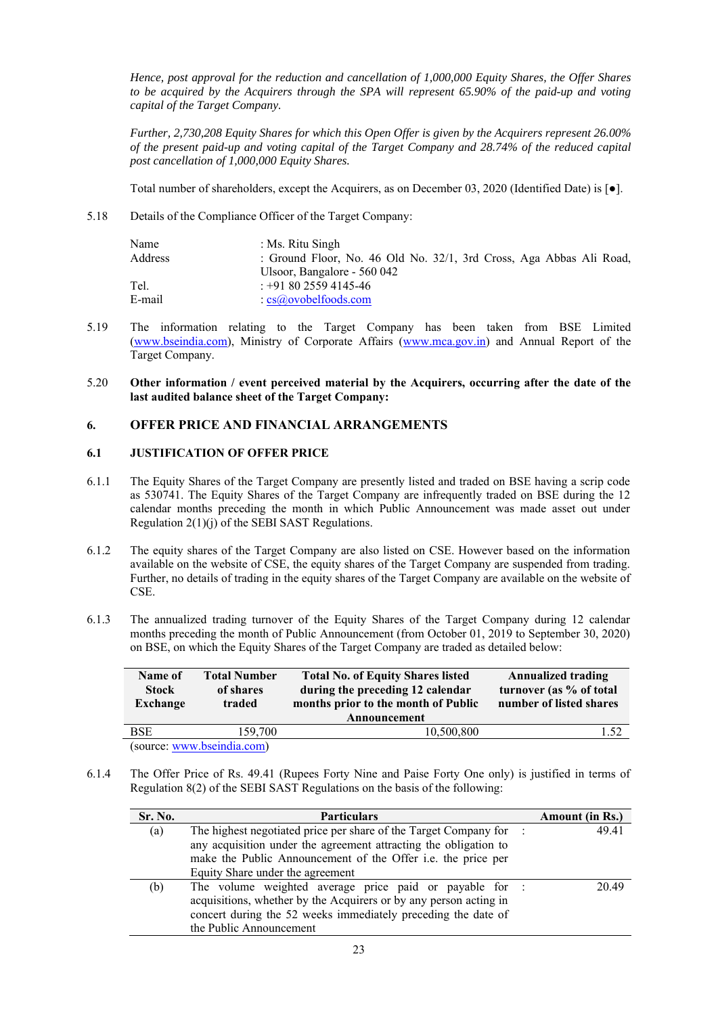*Hence, post approval for the reduction and cancellation of 1,000,000 Equity Shares, the Offer Shares to be acquired by the Acquirers through the SPA will represent 65.90% of the paid-up and voting capital of the Target Company.* 

*Further, 2,730,208 Equity Shares for which this Open Offer is given by the Acquirers represent 26.00% of the present paid-up and voting capital of the Target Company and 28.74% of the reduced capital post cancellation of 1,000,000 Equity Shares.*

Total number of shareholders, except the Acquirers, as on December 03, 2020 (Identified Date) is [●].

5.18 Details of the Compliance Officer of the Target Company:

| Name<br>Address | : Ms. Ritu Singh<br>: Ground Floor, No. 46 Old No. 32/1, 3rd Cross, Aga Abbas Ali Road, |
|-----------------|-----------------------------------------------------------------------------------------|
|                 | Ulsoor, Bangalore - 560 042                                                             |
| Tel.            | $: +918025594145-46$                                                                    |
| E-mail          | $\cdot$ cs $\omega$ ovobel foods.com                                                    |

5.19 The information relating to the Target Company has been taken from BSE Limited (www.bseindia.com), Ministry of Corporate Affairs (www.mca.gov.in) and Annual Report of the Target Company.

### 5.20 **Other information / event perceived material by the Acquirers, occurring after the date of the last audited balance sheet of the Target Company:**

# **6. OFFER PRICE AND FINANCIAL ARRANGEMENTS**

# **6.1 JUSTIFICATION OF OFFER PRICE**

- 6.1.1 The Equity Shares of the Target Company are presently listed and traded on BSE having a scrip code as 530741. The Equity Shares of the Target Company are infrequently traded on BSE during the 12 calendar months preceding the month in which Public Announcement was made asset out under Regulation 2(1)(j) of the SEBI SAST Regulations.
- 6.1.2 The equity shares of the Target Company are also listed on CSE. However based on the information available on the website of CSE, the equity shares of the Target Company are suspended from trading. Further, no details of trading in the equity shares of the Target Company are available on the website of CSE.
- 6.1.3 The annualized trading turnover of the Equity Shares of the Target Company during 12 calendar months preceding the month of Public Announcement (from October 01, 2019 to September 30, 2020) on BSE, on which the Equity Shares of the Target Company are traded as detailed below:

| Name of<br><b>Stock</b><br>Exchange | <b>Total Number</b><br>of shares<br>traded | <b>Total No. of Equity Shares listed</b><br>during the preceding 12 calendar<br>months prior to the month of Public<br>Announcement | <b>Annualized trading</b><br>turnover (as % of total<br>number of listed shares |  |  |
|-------------------------------------|--------------------------------------------|-------------------------------------------------------------------------------------------------------------------------------------|---------------------------------------------------------------------------------|--|--|
| <b>BSE</b>                          | 159,700                                    | 10,500,800                                                                                                                          | 1.52                                                                            |  |  |
|                                     | (source: www.bseindia.com)                 |                                                                                                                                     |                                                                                 |  |  |

6.1.4 The Offer Price of Rs. 49.41 (Rupees Forty Nine and Paise Forty One only) is justified in terms of Regulation 8(2) of the SEBI SAST Regulations on the basis of the following:

| Sr. No. | <b>Particulars</b>                                                  | <b>Amount</b> (in Rs.) |       |
|---------|---------------------------------------------------------------------|------------------------|-------|
| (a)     | The highest negotiated price per share of the Target Company for :  |                        | 49.41 |
|         | any acquisition under the agreement attracting the obligation to    |                        |       |
|         | make the Public Announcement of the Offer <i>i.e.</i> the price per |                        |       |
|         | Equity Share under the agreement                                    |                        |       |
| (b)     | The volume weighted average price paid or payable for :             |                        | 20.49 |
|         | acquisitions, whether by the Acquirers or by any person acting in   |                        |       |
|         | concert during the 52 weeks immediately preceding the date of       |                        |       |
|         | the Public Announcement                                             |                        |       |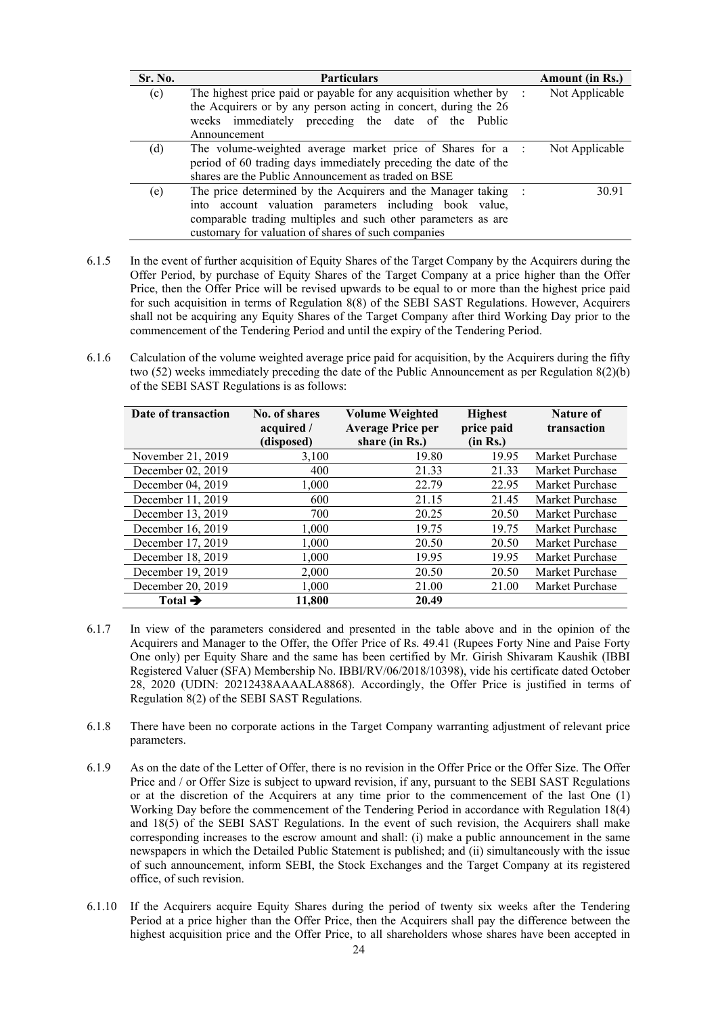| Sr. No. | <b>Particulars</b>                                                            |  | Amount (in Rs.) |  |
|---------|-------------------------------------------------------------------------------|--|-----------------|--|
| (c)     | The highest price paid or payable for any acquisition whether by $\therefore$ |  | Not Applicable  |  |
|         | the Acquirers or by any person acting in concert, during the 26               |  |                 |  |
|         | weeks immediately preceding the date of the Public                            |  |                 |  |
|         | Announcement                                                                  |  |                 |  |
| (d)     | The volume-weighted average market price of Shares for a :                    |  | Not Applicable  |  |
|         | period of 60 trading days immediately preceding the date of the               |  |                 |  |
|         | shares are the Public Announcement as traded on BSE                           |  |                 |  |
| (e)     | The price determined by the Acquirers and the Manager taking :                |  | 30.91           |  |
|         | into account valuation parameters including book value,                       |  |                 |  |
|         | comparable trading multiples and such other parameters as are                 |  |                 |  |
|         | customary for valuation of shares of such companies                           |  |                 |  |

- 6.1.5 In the event of further acquisition of Equity Shares of the Target Company by the Acquirers during the Offer Period, by purchase of Equity Shares of the Target Company at a price higher than the Offer Price, then the Offer Price will be revised upwards to be equal to or more than the highest price paid for such acquisition in terms of Regulation 8(8) of the SEBI SAST Regulations. However, Acquirers shall not be acquiring any Equity Shares of the Target Company after third Working Day prior to the commencement of the Tendering Period and until the expiry of the Tendering Period.
- 6.1.6 Calculation of the volume weighted average price paid for acquisition, by the Acquirers during the fifty two (52) weeks immediately preceding the date of the Public Announcement as per Regulation 8(2)(b) of the SEBI SAST Regulations is as follows:

| Date of transaction | No. of shares<br>acquired / | <b>Volume Weighted</b><br><b>Average Price per</b> | <b>Highest</b><br>price paid | Nature of<br>transaction |
|---------------------|-----------------------------|----------------------------------------------------|------------------------------|--------------------------|
|                     | (disposed)                  | share (in Rs.)                                     | (in Rs.)                     |                          |
| November 21, 2019   | 3,100                       | 19.80                                              | 19.95                        | Market Purchase          |
| December 02, 2019   | 400                         | 21.33                                              | 21.33                        | Market Purchase          |
| December 04, 2019   | 1,000                       | 22.79                                              | 22.95                        | Market Purchase          |
| December 11, 2019   | 600                         | 21.15                                              | 21.45                        | Market Purchase          |
| December 13, 2019   | 700                         | 20.25                                              | 20.50                        | Market Purchase          |
| December 16, 2019   | 1,000                       | 19.75                                              | 19.75                        | Market Purchase          |
| December 17, 2019   | 1,000                       | 20.50                                              | 20.50                        | Market Purchase          |
| December 18, 2019   | 1,000                       | 19.95                                              | 19.95                        | Market Purchase          |
| December 19, 2019   | 2,000                       | 20.50                                              | 20.50                        | Market Purchase          |
| December 20, 2019   | 1,000                       | 21.00                                              | 21.00                        | Market Purchase          |
| Total $\rightarrow$ | 11,800                      | 20.49                                              |                              |                          |

- 6.1.7 In view of the parameters considered and presented in the table above and in the opinion of the Acquirers and Manager to the Offer, the Offer Price of Rs. 49.41 (Rupees Forty Nine and Paise Forty One only) per Equity Share and the same has been certified by Mr. Girish Shivaram Kaushik (IBBI Registered Valuer (SFA) Membership No. IBBI/RV/06/2018/10398), vide his certificate dated October 28, 2020 (UDIN: 20212438AAAALA8868). Accordingly, the Offer Price is justified in terms of Regulation 8(2) of the SEBI SAST Regulations.
- 6.1.8 There have been no corporate actions in the Target Company warranting adjustment of relevant price parameters.
- 6.1.9 As on the date of the Letter of Offer, there is no revision in the Offer Price or the Offer Size. The Offer Price and / or Offer Size is subject to upward revision, if any, pursuant to the SEBI SAST Regulations or at the discretion of the Acquirers at any time prior to the commencement of the last One (1) Working Day before the commencement of the Tendering Period in accordance with Regulation 18(4) and 18(5) of the SEBI SAST Regulations. In the event of such revision, the Acquirers shall make corresponding increases to the escrow amount and shall: (i) make a public announcement in the same newspapers in which the Detailed Public Statement is published; and (ii) simultaneously with the issue of such announcement, inform SEBI, the Stock Exchanges and the Target Company at its registered office, of such revision.
- 6.1.10 If the Acquirers acquire Equity Shares during the period of twenty six weeks after the Tendering Period at a price higher than the Offer Price, then the Acquirers shall pay the difference between the highest acquisition price and the Offer Price, to all shareholders whose shares have been accepted in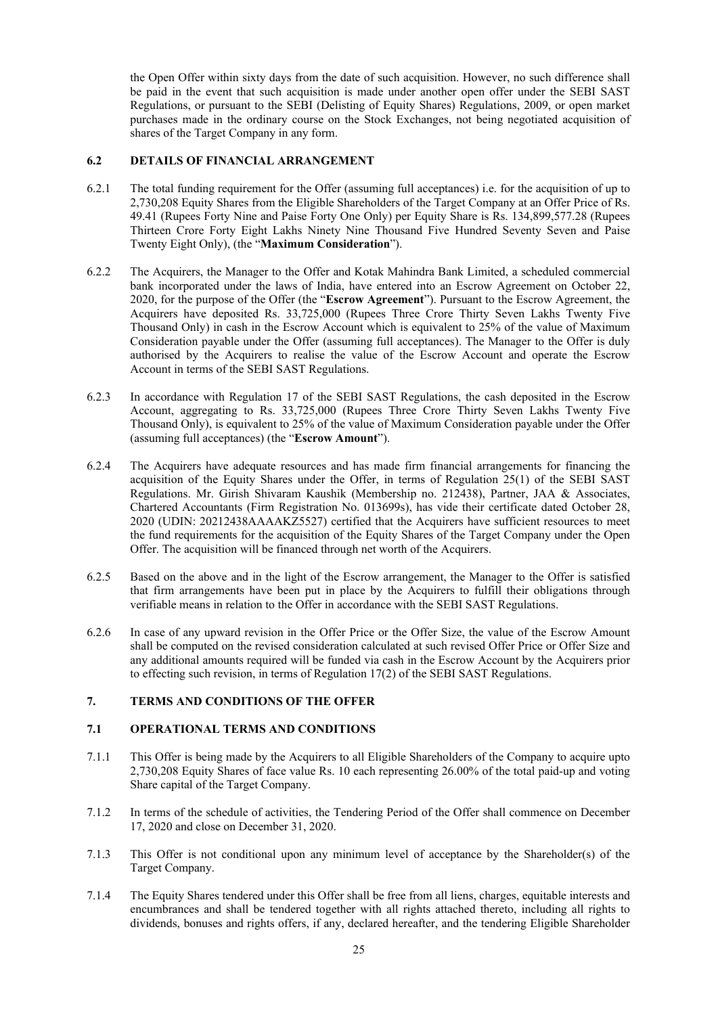the Open Offer within sixty days from the date of such acquisition. However, no such difference shall be paid in the event that such acquisition is made under another open offer under the SEBI SAST Regulations, or pursuant to the SEBI (Delisting of Equity Shares) Regulations, 2009, or open market purchases made in the ordinary course on the Stock Exchanges, not being negotiated acquisition of shares of the Target Company in any form.

### **6.2 DETAILS OF FINANCIAL ARRANGEMENT**

- 6.2.1 The total funding requirement for the Offer (assuming full acceptances) i.e. for the acquisition of up to 2,730,208 Equity Shares from the Eligible Shareholders of the Target Company at an Offer Price of Rs. 49.41 (Rupees Forty Nine and Paise Forty One Only) per Equity Share is Rs. 134,899,577.28 (Rupees Thirteen Crore Forty Eight Lakhs Ninety Nine Thousand Five Hundred Seventy Seven and Paise Twenty Eight Only), (the "**Maximum Consideration**").
- 6.2.2 The Acquirers, the Manager to the Offer and Kotak Mahindra Bank Limited, a scheduled commercial bank incorporated under the laws of India, have entered into an Escrow Agreement on October 22, 2020, for the purpose of the Offer (the "**Escrow Agreement**"). Pursuant to the Escrow Agreement, the Acquirers have deposited Rs. 33,725,000 (Rupees Three Crore Thirty Seven Lakhs Twenty Five Thousand Only) in cash in the Escrow Account which is equivalent to 25% of the value of Maximum Consideration payable under the Offer (assuming full acceptances). The Manager to the Offer is duly authorised by the Acquirers to realise the value of the Escrow Account and operate the Escrow Account in terms of the SEBI SAST Regulations.
- 6.2.3 In accordance with Regulation 17 of the SEBI SAST Regulations, the cash deposited in the Escrow Account, aggregating to Rs. 33,725,000 (Rupees Three Crore Thirty Seven Lakhs Twenty Five Thousand Only), is equivalent to 25% of the value of Maximum Consideration payable under the Offer (assuming full acceptances) (the "**Escrow Amount**").
- 6.2.4 The Acquirers have adequate resources and has made firm financial arrangements for financing the acquisition of the Equity Shares under the Offer, in terms of Regulation 25(1) of the SEBI SAST Regulations. Mr. Girish Shivaram Kaushik (Membership no. 212438), Partner, JAA & Associates, Chartered Accountants (Firm Registration No. 013699s), has vide their certificate dated October 28, 2020 (UDIN: 20212438AAAAKZ5527) certified that the Acquirers have sufficient resources to meet the fund requirements for the acquisition of the Equity Shares of the Target Company under the Open Offer. The acquisition will be financed through net worth of the Acquirers.
- 6.2.5 Based on the above and in the light of the Escrow arrangement, the Manager to the Offer is satisfied that firm arrangements have been put in place by the Acquirers to fulfill their obligations through verifiable means in relation to the Offer in accordance with the SEBI SAST Regulations.
- 6.2.6 In case of any upward revision in the Offer Price or the Offer Size, the value of the Escrow Amount shall be computed on the revised consideration calculated at such revised Offer Price or Offer Size and any additional amounts required will be funded via cash in the Escrow Account by the Acquirers prior to effecting such revision, in terms of Regulation 17(2) of the SEBI SAST Regulations.

### **7. TERMS AND CONDITIONS OF THE OFFER**

#### **7.1 OPERATIONAL TERMS AND CONDITIONS**

- 7.1.1 This Offer is being made by the Acquirers to all Eligible Shareholders of the Company to acquire upto 2,730,208 Equity Shares of face value Rs. 10 each representing 26.00% of the total paid-up and voting Share capital of the Target Company.
- 7.1.2 In terms of the schedule of activities, the Tendering Period of the Offer shall commence on December 17, 2020 and close on December 31, 2020.
- 7.1.3 This Offer is not conditional upon any minimum level of acceptance by the Shareholder(s) of the Target Company.
- 7.1.4 The Equity Shares tendered under this Offer shall be free from all liens, charges, equitable interests and encumbrances and shall be tendered together with all rights attached thereto, including all rights to dividends, bonuses and rights offers, if any, declared hereafter, and the tendering Eligible Shareholder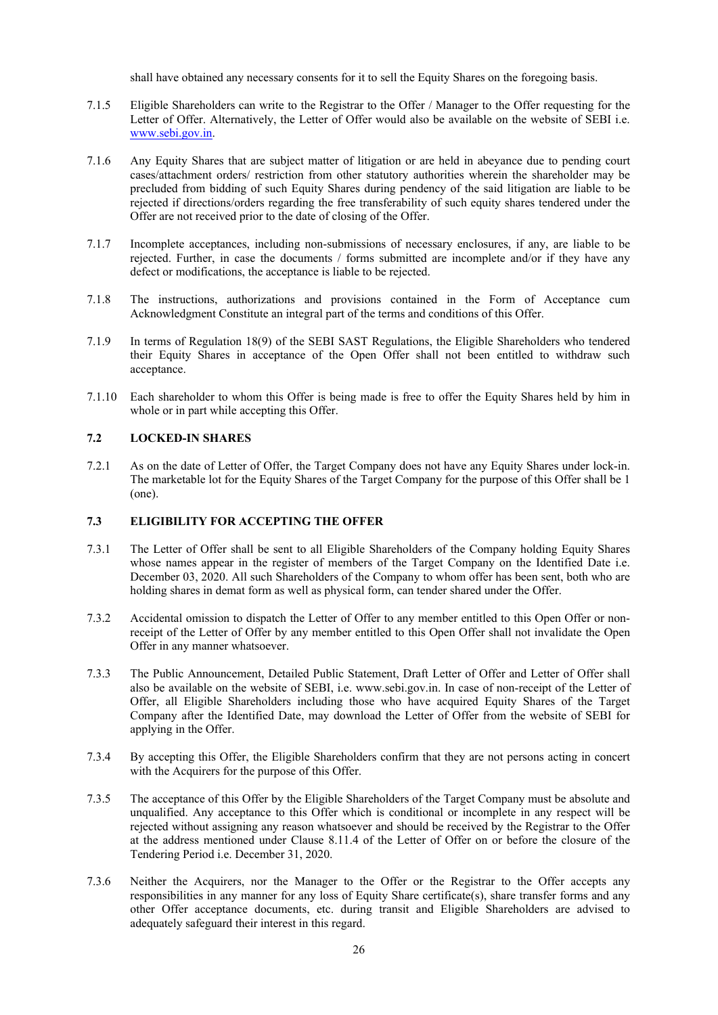shall have obtained any necessary consents for it to sell the Equity Shares on the foregoing basis.

- 7.1.5 Eligible Shareholders can write to the Registrar to the Offer / Manager to the Offer requesting for the Letter of Offer. Alternatively, the Letter of Offer would also be available on the website of SEBI i.e. www.sebi.gov.in.
- 7.1.6 Any Equity Shares that are subject matter of litigation or are held in abeyance due to pending court cases/attachment orders/ restriction from other statutory authorities wherein the shareholder may be precluded from bidding of such Equity Shares during pendency of the said litigation are liable to be rejected if directions/orders regarding the free transferability of such equity shares tendered under the Offer are not received prior to the date of closing of the Offer.
- 7.1.7 Incomplete acceptances, including non-submissions of necessary enclosures, if any, are liable to be rejected. Further, in case the documents / forms submitted are incomplete and/or if they have any defect or modifications, the acceptance is liable to be rejected.
- 7.1.8 The instructions, authorizations and provisions contained in the Form of Acceptance cum Acknowledgment Constitute an integral part of the terms and conditions of this Offer.
- 7.1.9 In terms of Regulation 18(9) of the SEBI SAST Regulations, the Eligible Shareholders who tendered their Equity Shares in acceptance of the Open Offer shall not been entitled to withdraw such acceptance.
- 7.1.10 Each shareholder to whom this Offer is being made is free to offer the Equity Shares held by him in whole or in part while accepting this Offer.

### **7.2 LOCKED-IN SHARES**

7.2.1 As on the date of Letter of Offer, the Target Company does not have any Equity Shares under lock-in. The marketable lot for the Equity Shares of the Target Company for the purpose of this Offer shall be 1 (one).

### **7.3 ELIGIBILITY FOR ACCEPTING THE OFFER**

- 7.3.1 The Letter of Offer shall be sent to all Eligible Shareholders of the Company holding Equity Shares whose names appear in the register of members of the Target Company on the Identified Date i.e. December 03, 2020. All such Shareholders of the Company to whom offer has been sent, both who are holding shares in demat form as well as physical form, can tender shared under the Offer.
- 7.3.2 Accidental omission to dispatch the Letter of Offer to any member entitled to this Open Offer or nonreceipt of the Letter of Offer by any member entitled to this Open Offer shall not invalidate the Open Offer in any manner whatsoever.
- 7.3.3 The Public Announcement, Detailed Public Statement, Draft Letter of Offer and Letter of Offer shall also be available on the website of SEBI, i.e. www.sebi.gov.in. In case of non-receipt of the Letter of Offer, all Eligible Shareholders including those who have acquired Equity Shares of the Target Company after the Identified Date, may download the Letter of Offer from the website of SEBI for applying in the Offer.
- 7.3.4 By accepting this Offer, the Eligible Shareholders confirm that they are not persons acting in concert with the Acquirers for the purpose of this Offer.
- 7.3.5 The acceptance of this Offer by the Eligible Shareholders of the Target Company must be absolute and unqualified. Any acceptance to this Offer which is conditional or incomplete in any respect will be rejected without assigning any reason whatsoever and should be received by the Registrar to the Offer at the address mentioned under Clause 8.11.4 of the Letter of Offer on or before the closure of the Tendering Period i.e. December 31, 2020.
- 7.3.6 Neither the Acquirers, nor the Manager to the Offer or the Registrar to the Offer accepts any responsibilities in any manner for any loss of Equity Share certificate(s), share transfer forms and any other Offer acceptance documents, etc. during transit and Eligible Shareholders are advised to adequately safeguard their interest in this regard.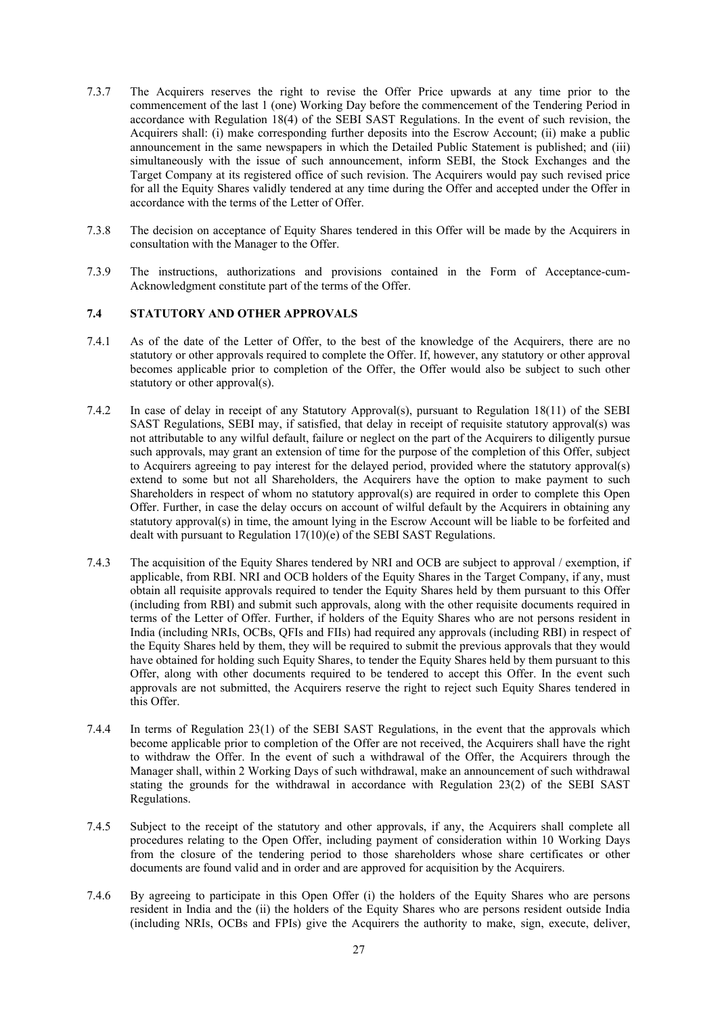- 7.3.7 The Acquirers reserves the right to revise the Offer Price upwards at any time prior to the commencement of the last 1 (one) Working Day before the commencement of the Tendering Period in accordance with Regulation 18(4) of the SEBI SAST Regulations. In the event of such revision, the Acquirers shall: (i) make corresponding further deposits into the Escrow Account; (ii) make a public announcement in the same newspapers in which the Detailed Public Statement is published; and (iii) simultaneously with the issue of such announcement, inform SEBI, the Stock Exchanges and the Target Company at its registered office of such revision. The Acquirers would pay such revised price for all the Equity Shares validly tendered at any time during the Offer and accepted under the Offer in accordance with the terms of the Letter of Offer.
- 7.3.8 The decision on acceptance of Equity Shares tendered in this Offer will be made by the Acquirers in consultation with the Manager to the Offer.
- 7.3.9 The instructions, authorizations and provisions contained in the Form of Acceptance-cum-Acknowledgment constitute part of the terms of the Offer.

# **7.4 STATUTORY AND OTHER APPROVALS**

- 7.4.1 As of the date of the Letter of Offer, to the best of the knowledge of the Acquirers, there are no statutory or other approvals required to complete the Offer. If, however, any statutory or other approval becomes applicable prior to completion of the Offer, the Offer would also be subject to such other statutory or other approval(s).
- 7.4.2 In case of delay in receipt of any Statutory Approval(s), pursuant to Regulation 18(11) of the SEBI SAST Regulations, SEBI may, if satisfied, that delay in receipt of requisite statutory approval(s) was not attributable to any wilful default, failure or neglect on the part of the Acquirers to diligently pursue such approvals, may grant an extension of time for the purpose of the completion of this Offer, subject to Acquirers agreeing to pay interest for the delayed period, provided where the statutory approval(s) extend to some but not all Shareholders, the Acquirers have the option to make payment to such Shareholders in respect of whom no statutory approval(s) are required in order to complete this Open Offer. Further, in case the delay occurs on account of wilful default by the Acquirers in obtaining any statutory approval(s) in time, the amount lying in the Escrow Account will be liable to be forfeited and dealt with pursuant to Regulation 17(10)(e) of the SEBI SAST Regulations.
- 7.4.3 The acquisition of the Equity Shares tendered by NRI and OCB are subject to approval / exemption, if applicable, from RBI. NRI and OCB holders of the Equity Shares in the Target Company, if any, must obtain all requisite approvals required to tender the Equity Shares held by them pursuant to this Offer (including from RBI) and submit such approvals, along with the other requisite documents required in terms of the Letter of Offer. Further, if holders of the Equity Shares who are not persons resident in India (including NRIs, OCBs, QFIs and FIIs) had required any approvals (including RBI) in respect of the Equity Shares held by them, they will be required to submit the previous approvals that they would have obtained for holding such Equity Shares, to tender the Equity Shares held by them pursuant to this Offer, along with other documents required to be tendered to accept this Offer. In the event such approvals are not submitted, the Acquirers reserve the right to reject such Equity Shares tendered in this Offer.
- 7.4.4 In terms of Regulation 23(1) of the SEBI SAST Regulations, in the event that the approvals which become applicable prior to completion of the Offer are not received, the Acquirers shall have the right to withdraw the Offer. In the event of such a withdrawal of the Offer, the Acquirers through the Manager shall, within 2 Working Days of such withdrawal, make an announcement of such withdrawal stating the grounds for the withdrawal in accordance with Regulation 23(2) of the SEBI SAST Regulations.
- 7.4.5 Subject to the receipt of the statutory and other approvals, if any, the Acquirers shall complete all procedures relating to the Open Offer, including payment of consideration within 10 Working Days from the closure of the tendering period to those shareholders whose share certificates or other documents are found valid and in order and are approved for acquisition by the Acquirers.
- 7.4.6 By agreeing to participate in this Open Offer (i) the holders of the Equity Shares who are persons resident in India and the (ii) the holders of the Equity Shares who are persons resident outside India (including NRIs, OCBs and FPIs) give the Acquirers the authority to make, sign, execute, deliver,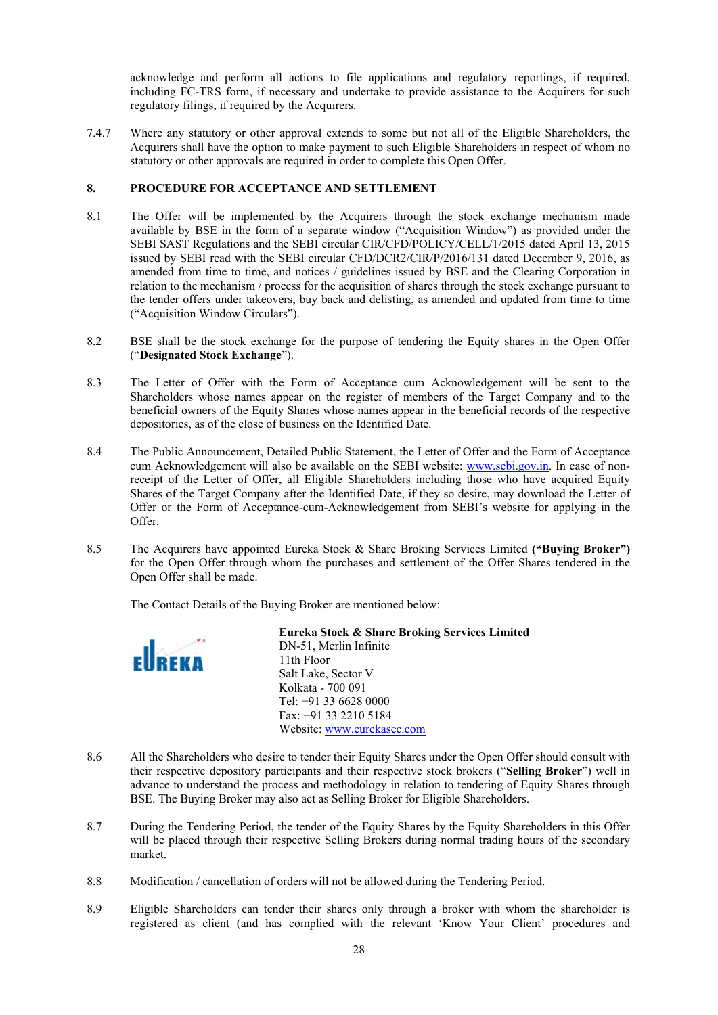acknowledge and perform all actions to file applications and regulatory reportings, if required, including FC-TRS form, if necessary and undertake to provide assistance to the Acquirers for such regulatory filings, if required by the Acquirers.

7.4.7 Where any statutory or other approval extends to some but not all of the Eligible Shareholders, the Acquirers shall have the option to make payment to such Eligible Shareholders in respect of whom no statutory or other approvals are required in order to complete this Open Offer.

### **8. PROCEDURE FOR ACCEPTANCE AND SETTLEMENT**

- 8.1 The Offer will be implemented by the Acquirers through the stock exchange mechanism made available by BSE in the form of a separate window ("Acquisition Window") as provided under the SEBI SAST Regulations and the SEBI circular CIR/CFD/POLICY/CELL/1/2015 dated April 13, 2015 issued by SEBI read with the SEBI circular CFD/DCR2/CIR/P/2016/131 dated December 9, 2016, as amended from time to time, and notices / guidelines issued by BSE and the Clearing Corporation in relation to the mechanism / process for the acquisition of shares through the stock exchange pursuant to the tender offers under takeovers, buy back and delisting, as amended and updated from time to time ("Acquisition Window Circulars").
- 8.2 BSE shall be the stock exchange for the purpose of tendering the Equity shares in the Open Offer ("**Designated Stock Exchange**").
- 8.3 The Letter of Offer with the Form of Acceptance cum Acknowledgement will be sent to the Shareholders whose names appear on the register of members of the Target Company and to the beneficial owners of the Equity Shares whose names appear in the beneficial records of the respective depositories, as of the close of business on the Identified Date.
- 8.4 The Public Announcement, Detailed Public Statement, the Letter of Offer and the Form of Acceptance cum Acknowledgement will also be available on the SEBI website: www.sebi.gov.in. In case of nonreceipt of the Letter of Offer, all Eligible Shareholders including those who have acquired Equity Shares of the Target Company after the Identified Date, if they so desire, may download the Letter of Offer or the Form of Acceptance-cum-Acknowledgement from SEBI's website for applying in the Offer.
- 8.5 The Acquirers have appointed Eureka Stock & Share Broking Services Limited **("Buying Broker")**  for the Open Offer through whom the purchases and settlement of the Offer Shares tendered in the Open Offer shall be made.

The Contact Details of the Buying Broker are mentioned below:



**Eureka Stock & Share Broking Services Limited**  DN-51, Merlin Infinite 11th Floor Salt Lake, Sector V Kolkata - 700 091 Tel: +91 33 6628 0000 Fax: +91 33 2210 5184 Website: www.eurekasec.com

- 8.6 All the Shareholders who desire to tender their Equity Shares under the Open Offer should consult with their respective depository participants and their respective stock brokers ("**Selling Broker**") well in advance to understand the process and methodology in relation to tendering of Equity Shares through BSE. The Buying Broker may also act as Selling Broker for Eligible Shareholders.
- 8.7 During the Tendering Period, the tender of the Equity Shares by the Equity Shareholders in this Offer will be placed through their respective Selling Brokers during normal trading hours of the secondary market.
- 8.8 Modification / cancellation of orders will not be allowed during the Tendering Period.
- 8.9 Eligible Shareholders can tender their shares only through a broker with whom the shareholder is registered as client (and has complied with the relevant 'Know Your Client' procedures and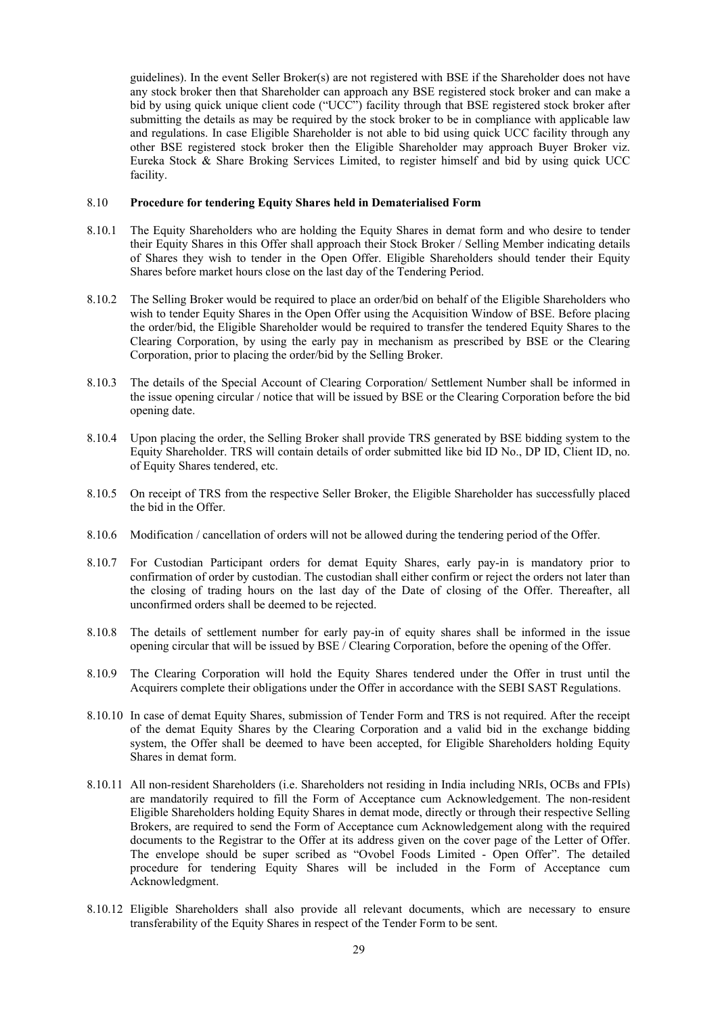guidelines). In the event Seller Broker(s) are not registered with BSE if the Shareholder does not have any stock broker then that Shareholder can approach any BSE registered stock broker and can make a bid by using quick unique client code ("UCC") facility through that BSE registered stock broker after submitting the details as may be required by the stock broker to be in compliance with applicable law and regulations. In case Eligible Shareholder is not able to bid using quick UCC facility through any other BSE registered stock broker then the Eligible Shareholder may approach Buyer Broker viz. Eureka Stock & Share Broking Services Limited, to register himself and bid by using quick UCC facility.

### 8.10 **Procedure for tendering Equity Shares held in Dematerialised Form**

- 8.10.1 The Equity Shareholders who are holding the Equity Shares in demat form and who desire to tender their Equity Shares in this Offer shall approach their Stock Broker / Selling Member indicating details of Shares they wish to tender in the Open Offer. Eligible Shareholders should tender their Equity Shares before market hours close on the last day of the Tendering Period.
- 8.10.2 The Selling Broker would be required to place an order/bid on behalf of the Eligible Shareholders who wish to tender Equity Shares in the Open Offer using the Acquisition Window of BSE. Before placing the order/bid, the Eligible Shareholder would be required to transfer the tendered Equity Shares to the Clearing Corporation, by using the early pay in mechanism as prescribed by BSE or the Clearing Corporation, prior to placing the order/bid by the Selling Broker.
- 8.10.3 The details of the Special Account of Clearing Corporation/ Settlement Number shall be informed in the issue opening circular / notice that will be issued by BSE or the Clearing Corporation before the bid opening date.
- 8.10.4 Upon placing the order, the Selling Broker shall provide TRS generated by BSE bidding system to the Equity Shareholder. TRS will contain details of order submitted like bid ID No., DP ID, Client ID, no. of Equity Shares tendered, etc.
- 8.10.5 On receipt of TRS from the respective Seller Broker, the Eligible Shareholder has successfully placed the bid in the Offer.
- 8.10.6 Modification / cancellation of orders will not be allowed during the tendering period of the Offer.
- 8.10.7 For Custodian Participant orders for demat Equity Shares, early pay-in is mandatory prior to confirmation of order by custodian. The custodian shall either confirm or reject the orders not later than the closing of trading hours on the last day of the Date of closing of the Offer. Thereafter, all unconfirmed orders shall be deemed to be rejected.
- 8.10.8 The details of settlement number for early pay-in of equity shares shall be informed in the issue opening circular that will be issued by BSE / Clearing Corporation, before the opening of the Offer.
- 8.10.9 The Clearing Corporation will hold the Equity Shares tendered under the Offer in trust until the Acquirers complete their obligations under the Offer in accordance with the SEBI SAST Regulations.
- 8.10.10 In case of demat Equity Shares, submission of Tender Form and TRS is not required. After the receipt of the demat Equity Shares by the Clearing Corporation and a valid bid in the exchange bidding system, the Offer shall be deemed to have been accepted, for Eligible Shareholders holding Equity Shares in demat form.
- 8.10.11 All non-resident Shareholders (i.e. Shareholders not residing in India including NRIs, OCBs and FPIs) are mandatorily required to fill the Form of Acceptance cum Acknowledgement. The non-resident Eligible Shareholders holding Equity Shares in demat mode, directly or through their respective Selling Brokers, are required to send the Form of Acceptance cum Acknowledgement along with the required documents to the Registrar to the Offer at its address given on the cover page of the Letter of Offer. The envelope should be super scribed as "Ovobel Foods Limited - Open Offer". The detailed procedure for tendering Equity Shares will be included in the Form of Acceptance cum Acknowledgment.
- 8.10.12 Eligible Shareholders shall also provide all relevant documents, which are necessary to ensure transferability of the Equity Shares in respect of the Tender Form to be sent.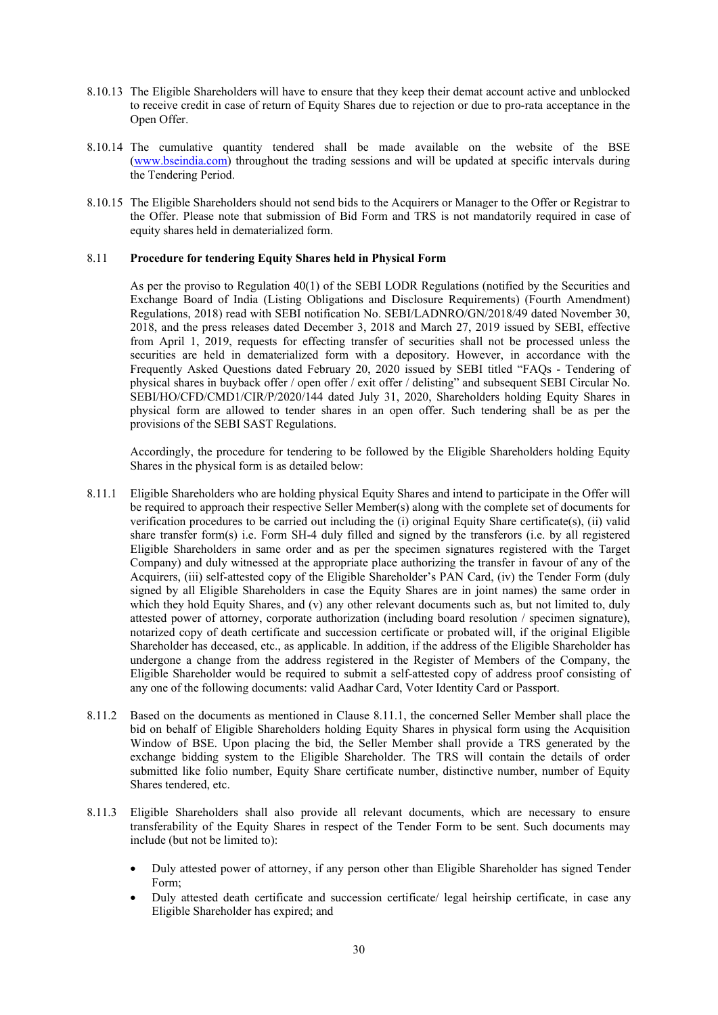- 8.10.13 The Eligible Shareholders will have to ensure that they keep their demat account active and unblocked to receive credit in case of return of Equity Shares due to rejection or due to pro-rata acceptance in the Open Offer.
- 8.10.14 The cumulative quantity tendered shall be made available on the website of the BSE (www.bseindia.com) throughout the trading sessions and will be updated at specific intervals during the Tendering Period.
- 8.10.15 The Eligible Shareholders should not send bids to the Acquirers or Manager to the Offer or Registrar to the Offer. Please note that submission of Bid Form and TRS is not mandatorily required in case of equity shares held in dematerialized form.

### 8.11 **Procedure for tendering Equity Shares held in Physical Form**

As per the proviso to Regulation 40(1) of the SEBI LODR Regulations (notified by the Securities and Exchange Board of India (Listing Obligations and Disclosure Requirements) (Fourth Amendment) Regulations, 2018) read with SEBI notification No. SEBI/LADNRO/GN/2018/49 dated November 30, 2018, and the press releases dated December 3, 2018 and March 27, 2019 issued by SEBI, effective from April 1, 2019, requests for effecting transfer of securities shall not be processed unless the securities are held in dematerialized form with a depository. However, in accordance with the Frequently Asked Questions dated February 20, 2020 issued by SEBI titled "FAQs - Tendering of physical shares in buyback offer / open offer / exit offer / delisting" and subsequent SEBI Circular No. SEBI/HO/CFD/CMD1/CIR/P/2020/144 dated July 31, 2020, Shareholders holding Equity Shares in physical form are allowed to tender shares in an open offer. Such tendering shall be as per the provisions of the SEBI SAST Regulations.

Accordingly, the procedure for tendering to be followed by the Eligible Shareholders holding Equity Shares in the physical form is as detailed below:

- 8.11.1 Eligible Shareholders who are holding physical Equity Shares and intend to participate in the Offer will be required to approach their respective Seller Member(s) along with the complete set of documents for verification procedures to be carried out including the (i) original Equity Share certificate(s), (ii) valid share transfer form(s) i.e. Form SH-4 duly filled and signed by the transferors (i.e. by all registered Eligible Shareholders in same order and as per the specimen signatures registered with the Target Company) and duly witnessed at the appropriate place authorizing the transfer in favour of any of the Acquirers, (iii) self-attested copy of the Eligible Shareholder's PAN Card, (iv) the Tender Form (duly signed by all Eligible Shareholders in case the Equity Shares are in joint names) the same order in which they hold Equity Shares, and (v) any other relevant documents such as, but not limited to, duly attested power of attorney, corporate authorization (including board resolution / specimen signature), notarized copy of death certificate and succession certificate or probated will, if the original Eligible Shareholder has deceased, etc., as applicable. In addition, if the address of the Eligible Shareholder has undergone a change from the address registered in the Register of Members of the Company, the Eligible Shareholder would be required to submit a self-attested copy of address proof consisting of any one of the following documents: valid Aadhar Card, Voter Identity Card or Passport.
- 8.11.2 Based on the documents as mentioned in Clause 8.11.1, the concerned Seller Member shall place the bid on behalf of Eligible Shareholders holding Equity Shares in physical form using the Acquisition Window of BSE. Upon placing the bid, the Seller Member shall provide a TRS generated by the exchange bidding system to the Eligible Shareholder. The TRS will contain the details of order submitted like folio number, Equity Share certificate number, distinctive number, number of Equity Shares tendered, etc.
- 8.11.3 Eligible Shareholders shall also provide all relevant documents, which are necessary to ensure transferability of the Equity Shares in respect of the Tender Form to be sent. Such documents may include (but not be limited to):
	- Duly attested power of attorney, if any person other than Eligible Shareholder has signed Tender Form;
	- Duly attested death certificate and succession certificate/ legal heirship certificate, in case any Eligible Shareholder has expired; and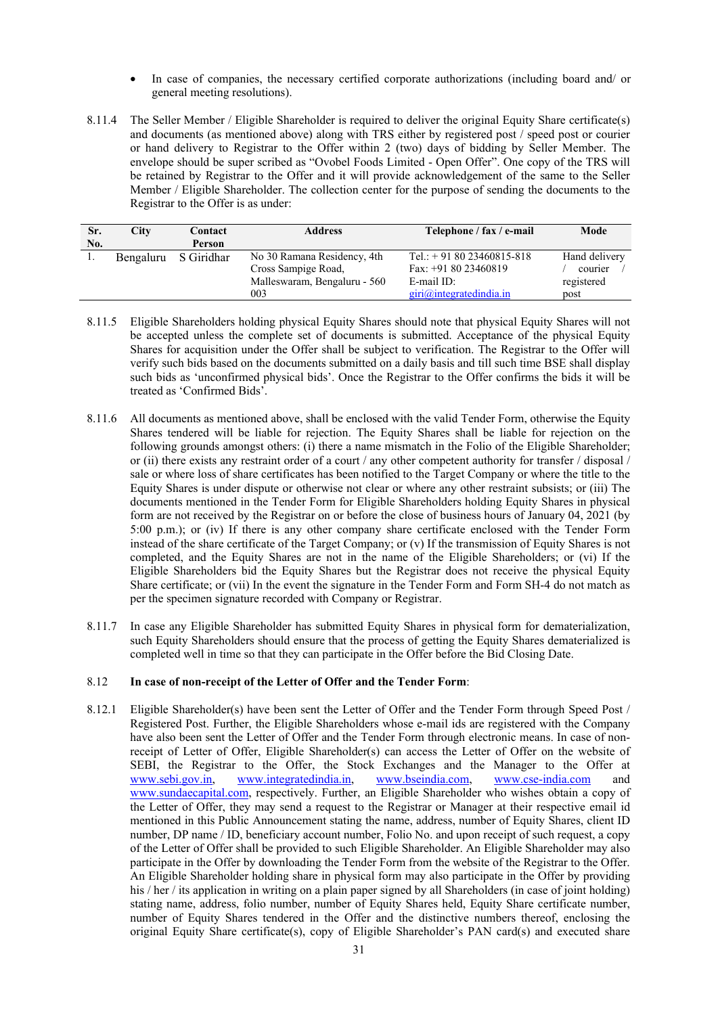- In case of companies, the necessary certified corporate authorizations (including board and/ or general meeting resolutions).
- 8.11.4 The Seller Member / Eligible Shareholder is required to deliver the original Equity Share certificate(s) and documents (as mentioned above) along with TRS either by registered post / speed post or courier or hand delivery to Registrar to the Offer within 2 (two) days of bidding by Seller Member. The envelope should be super scribed as "Ovobel Foods Limited - Open Offer". One copy of the TRS will be retained by Registrar to the Offer and it will provide acknowledgement of the same to the Seller Member / Eligible Shareholder. The collection center for the purpose of sending the documents to the Registrar to the Offer is as under:

| Sr. | City      | Contact    | <b>Address</b>               | Telephone / fax / e-mail  | Mode          |
|-----|-----------|------------|------------------------------|---------------------------|---------------|
| No. |           | Person     |                              |                           |               |
|     | Bengaluru | S Giridhar | No 30 Ramana Residency, 4th  | Tel.: $+918023460815-818$ | Hand delivery |
|     |           |            | Cross Sampige Road,          | Fax: $+918023460819$      | courier       |
|     |           |            | Malleswaram, Bengaluru - 560 | E-mail ID:                | registered    |
|     |           |            | 003                          | giri@integratedindia.in   | post          |

- 8.11.5 Eligible Shareholders holding physical Equity Shares should note that physical Equity Shares will not be accepted unless the complete set of documents is submitted. Acceptance of the physical Equity Shares for acquisition under the Offer shall be subject to verification. The Registrar to the Offer will verify such bids based on the documents submitted on a daily basis and till such time BSE shall display such bids as 'unconfirmed physical bids'. Once the Registrar to the Offer confirms the bids it will be treated as 'Confirmed Bids'.
- 8.11.6 All documents as mentioned above, shall be enclosed with the valid Tender Form, otherwise the Equity Shares tendered will be liable for rejection. The Equity Shares shall be liable for rejection on the following grounds amongst others: (i) there a name mismatch in the Folio of the Eligible Shareholder; or (ii) there exists any restraint order of a court / any other competent authority for transfer / disposal / sale or where loss of share certificates has been notified to the Target Company or where the title to the Equity Shares is under dispute or otherwise not clear or where any other restraint subsists; or (iii) The documents mentioned in the Tender Form for Eligible Shareholders holding Equity Shares in physical form are not received by the Registrar on or before the close of business hours of January 04, 2021 (by 5:00 p.m.); or (iv) If there is any other company share certificate enclosed with the Tender Form instead of the share certificate of the Target Company; or (v) If the transmission of Equity Shares is not completed, and the Equity Shares are not in the name of the Eligible Shareholders; or (vi) If the Eligible Shareholders bid the Equity Shares but the Registrar does not receive the physical Equity Share certificate; or (vii) In the event the signature in the Tender Form and Form SH-4 do not match as per the specimen signature recorded with Company or Registrar.
- 8.11.7 In case any Eligible Shareholder has submitted Equity Shares in physical form for dematerialization, such Equity Shareholders should ensure that the process of getting the Equity Shares dematerialized is completed well in time so that they can participate in the Offer before the Bid Closing Date.

# 8.12 **In case of non-receipt of the Letter of Offer and the Tender Form**:

8.12.1 Eligible Shareholder(s) have been sent the Letter of Offer and the Tender Form through Speed Post / Registered Post. Further, the Eligible Shareholders whose e-mail ids are registered with the Company have also been sent the Letter of Offer and the Tender Form through electronic means. In case of nonreceipt of Letter of Offer, Eligible Shareholder(s) can access the Letter of Offer on the website of SEBI, the Registrar to the Offer, the Stock Exchanges and the Manager to the Offer at www.sebi.gov.in, www.integratedindia.in, www.bseindia.com, www.cse-india.com and www.sundaecapital.com, respectively. Further, an Eligible Shareholder who wishes obtain a copy of the Letter of Offer, they may send a request to the Registrar or Manager at their respective email id mentioned in this Public Announcement stating the name, address, number of Equity Shares, client ID number, DP name / ID, beneficiary account number, Folio No. and upon receipt of such request, a copy of the Letter of Offer shall be provided to such Eligible Shareholder. An Eligible Shareholder may also participate in the Offer by downloading the Tender Form from the website of the Registrar to the Offer. An Eligible Shareholder holding share in physical form may also participate in the Offer by providing his / her / its application in writing on a plain paper signed by all Shareholders (in case of joint holding) stating name, address, folio number, number of Equity Shares held, Equity Share certificate number, number of Equity Shares tendered in the Offer and the distinctive numbers thereof, enclosing the original Equity Share certificate(s), copy of Eligible Shareholder's PAN card(s) and executed share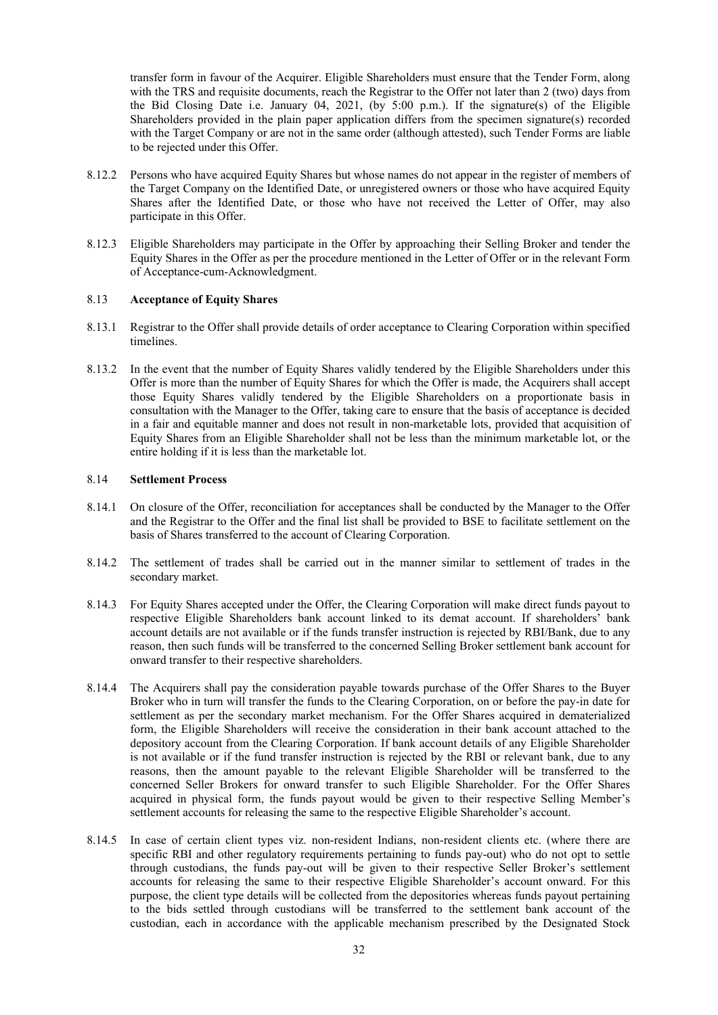transfer form in favour of the Acquirer. Eligible Shareholders must ensure that the Tender Form, along with the TRS and requisite documents, reach the Registrar to the Offer not later than 2 (two) days from the Bid Closing Date i.e. January 04, 2021, (by 5:00 p.m.). If the signature(s) of the Eligible Shareholders provided in the plain paper application differs from the specimen signature(s) recorded with the Target Company or are not in the same order (although attested), such Tender Forms are liable to be rejected under this Offer.

- 8.12.2 Persons who have acquired Equity Shares but whose names do not appear in the register of members of the Target Company on the Identified Date, or unregistered owners or those who have acquired Equity Shares after the Identified Date, or those who have not received the Letter of Offer, may also participate in this Offer.
- 8.12.3 Eligible Shareholders may participate in the Offer by approaching their Selling Broker and tender the Equity Shares in the Offer as per the procedure mentioned in the Letter of Offer or in the relevant Form of Acceptance-cum-Acknowledgment.

### 8.13 **Acceptance of Equity Shares**

- 8.13.1 Registrar to the Offer shall provide details of order acceptance to Clearing Corporation within specified timelines.
- 8.13.2 In the event that the number of Equity Shares validly tendered by the Eligible Shareholders under this Offer is more than the number of Equity Shares for which the Offer is made, the Acquirers shall accept those Equity Shares validly tendered by the Eligible Shareholders on a proportionate basis in consultation with the Manager to the Offer, taking care to ensure that the basis of acceptance is decided in a fair and equitable manner and does not result in non-marketable lots, provided that acquisition of Equity Shares from an Eligible Shareholder shall not be less than the minimum marketable lot, or the entire holding if it is less than the marketable lot.

#### 8.14 **Settlement Process**

- 8.14.1 On closure of the Offer, reconciliation for acceptances shall be conducted by the Manager to the Offer and the Registrar to the Offer and the final list shall be provided to BSE to facilitate settlement on the basis of Shares transferred to the account of Clearing Corporation.
- 8.14.2 The settlement of trades shall be carried out in the manner similar to settlement of trades in the secondary market.
- 8.14.3 For Equity Shares accepted under the Offer, the Clearing Corporation will make direct funds payout to respective Eligible Shareholders bank account linked to its demat account. If shareholders' bank account details are not available or if the funds transfer instruction is rejected by RBI/Bank, due to any reason, then such funds will be transferred to the concerned Selling Broker settlement bank account for onward transfer to their respective shareholders.
- 8.14.4 The Acquirers shall pay the consideration payable towards purchase of the Offer Shares to the Buyer Broker who in turn will transfer the funds to the Clearing Corporation, on or before the pay-in date for settlement as per the secondary market mechanism. For the Offer Shares acquired in dematerialized form, the Eligible Shareholders will receive the consideration in their bank account attached to the depository account from the Clearing Corporation. If bank account details of any Eligible Shareholder is not available or if the fund transfer instruction is rejected by the RBI or relevant bank, due to any reasons, then the amount payable to the relevant Eligible Shareholder will be transferred to the concerned Seller Brokers for onward transfer to such Eligible Shareholder. For the Offer Shares acquired in physical form, the funds payout would be given to their respective Selling Member's settlement accounts for releasing the same to the respective Eligible Shareholder's account.
- 8.14.5 In case of certain client types viz. non-resident Indians, non-resident clients etc. (where there are specific RBI and other regulatory requirements pertaining to funds pay-out) who do not opt to settle through custodians, the funds pay-out will be given to their respective Seller Broker's settlement accounts for releasing the same to their respective Eligible Shareholder's account onward. For this purpose, the client type details will be collected from the depositories whereas funds payout pertaining to the bids settled through custodians will be transferred to the settlement bank account of the custodian, each in accordance with the applicable mechanism prescribed by the Designated Stock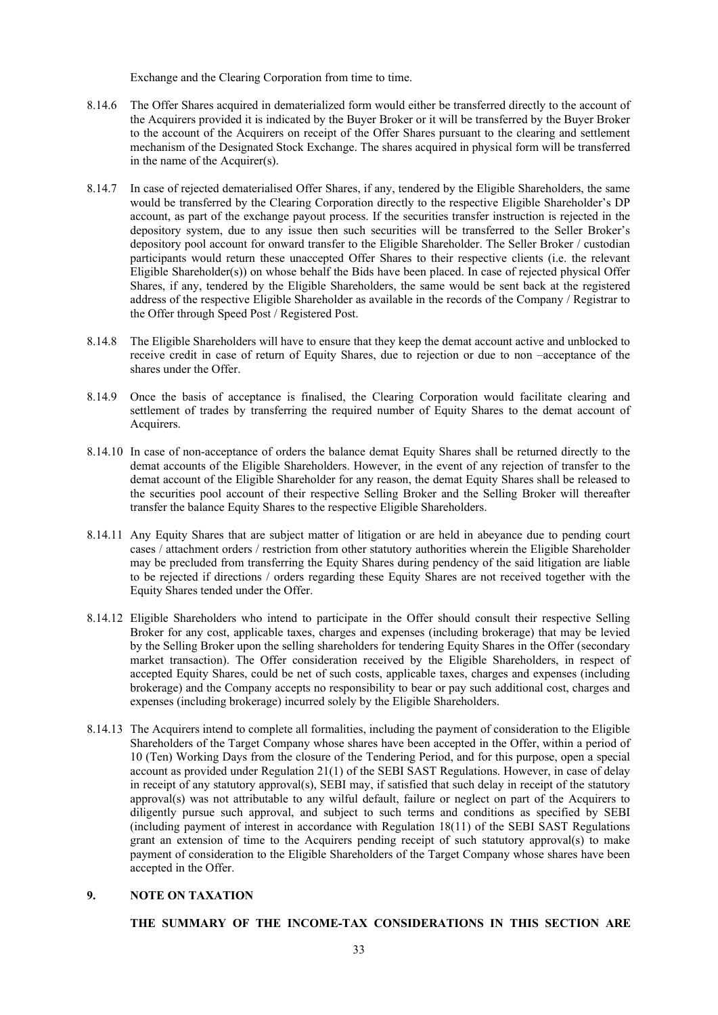Exchange and the Clearing Corporation from time to time.

- 8.14.6 The Offer Shares acquired in dematerialized form would either be transferred directly to the account of the Acquirers provided it is indicated by the Buyer Broker or it will be transferred by the Buyer Broker to the account of the Acquirers on receipt of the Offer Shares pursuant to the clearing and settlement mechanism of the Designated Stock Exchange. The shares acquired in physical form will be transferred in the name of the Acquirer(s).
- 8.14.7 In case of rejected dematerialised Offer Shares, if any, tendered by the Eligible Shareholders, the same would be transferred by the Clearing Corporation directly to the respective Eligible Shareholder's DP account, as part of the exchange payout process. If the securities transfer instruction is rejected in the depository system, due to any issue then such securities will be transferred to the Seller Broker's depository pool account for onward transfer to the Eligible Shareholder. The Seller Broker / custodian participants would return these unaccepted Offer Shares to their respective clients (i.e. the relevant Eligible Shareholder(s)) on whose behalf the Bids have been placed. In case of rejected physical Offer Shares, if any, tendered by the Eligible Shareholders, the same would be sent back at the registered address of the respective Eligible Shareholder as available in the records of the Company / Registrar to the Offer through Speed Post / Registered Post.
- 8.14.8 The Eligible Shareholders will have to ensure that they keep the demat account active and unblocked to receive credit in case of return of Equity Shares, due to rejection or due to non –acceptance of the shares under the Offer.
- 8.14.9 Once the basis of acceptance is finalised, the Clearing Corporation would facilitate clearing and settlement of trades by transferring the required number of Equity Shares to the demat account of Acquirers.
- 8.14.10 In case of non-acceptance of orders the balance demat Equity Shares shall be returned directly to the demat accounts of the Eligible Shareholders. However, in the event of any rejection of transfer to the demat account of the Eligible Shareholder for any reason, the demat Equity Shares shall be released to the securities pool account of their respective Selling Broker and the Selling Broker will thereafter transfer the balance Equity Shares to the respective Eligible Shareholders.
- 8.14.11 Any Equity Shares that are subject matter of litigation or are held in abeyance due to pending court cases / attachment orders / restriction from other statutory authorities wherein the Eligible Shareholder may be precluded from transferring the Equity Shares during pendency of the said litigation are liable to be rejected if directions / orders regarding these Equity Shares are not received together with the Equity Shares tended under the Offer.
- 8.14.12 Eligible Shareholders who intend to participate in the Offer should consult their respective Selling Broker for any cost, applicable taxes, charges and expenses (including brokerage) that may be levied by the Selling Broker upon the selling shareholders for tendering Equity Shares in the Offer (secondary market transaction). The Offer consideration received by the Eligible Shareholders, in respect of accepted Equity Shares, could be net of such costs, applicable taxes, charges and expenses (including brokerage) and the Company accepts no responsibility to bear or pay such additional cost, charges and expenses (including brokerage) incurred solely by the Eligible Shareholders.
- 8.14.13 The Acquirers intend to complete all formalities, including the payment of consideration to the Eligible Shareholders of the Target Company whose shares have been accepted in the Offer, within a period of 10 (Ten) Working Days from the closure of the Tendering Period, and for this purpose, open a special account as provided under Regulation 21(1) of the SEBI SAST Regulations. However, in case of delay in receipt of any statutory approval(s), SEBI may, if satisfied that such delay in receipt of the statutory approval(s) was not attributable to any wilful default, failure or neglect on part of the Acquirers to diligently pursue such approval, and subject to such terms and conditions as specified by SEBI (including payment of interest in accordance with Regulation 18(11) of the SEBI SAST Regulations grant an extension of time to the Acquirers pending receipt of such statutory approval(s) to make payment of consideration to the Eligible Shareholders of the Target Company whose shares have been accepted in the Offer.

# **9. NOTE ON TAXATION**

#### **THE SUMMARY OF THE INCOME-TAX CONSIDERATIONS IN THIS SECTION ARE**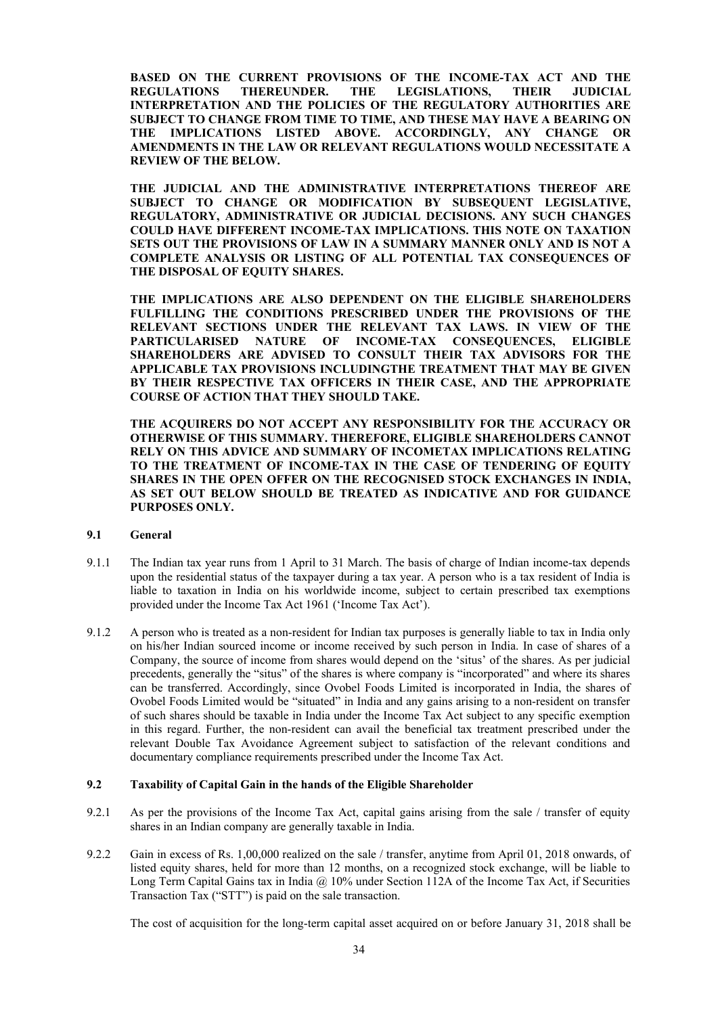**BASED ON THE CURRENT PROVISIONS OF THE INCOME-TAX ACT AND THE REGULATIONS THEREUNDER. THE LEGISLATIONS, THEIR JUDICIAL INTERPRETATION AND THE POLICIES OF THE REGULATORY AUTHORITIES ARE SUBJECT TO CHANGE FROM TIME TO TIME, AND THESE MAY HAVE A BEARING ON THE IMPLICATIONS LISTED ABOVE. ACCORDINGLY, ANY CHANGE OR AMENDMENTS IN THE LAW OR RELEVANT REGULATIONS WOULD NECESSITATE A REVIEW OF THE BELOW.** 

**THE JUDICIAL AND THE ADMINISTRATIVE INTERPRETATIONS THEREOF ARE SUBJECT TO CHANGE OR MODIFICATION BY SUBSEQUENT LEGISLATIVE, REGULATORY, ADMINISTRATIVE OR JUDICIAL DECISIONS. ANY SUCH CHANGES COULD HAVE DIFFERENT INCOME-TAX IMPLICATIONS. THIS NOTE ON TAXATION SETS OUT THE PROVISIONS OF LAW IN A SUMMARY MANNER ONLY AND IS NOT A COMPLETE ANALYSIS OR LISTING OF ALL POTENTIAL TAX CONSEQUENCES OF THE DISPOSAL OF EQUITY SHARES.** 

**THE IMPLICATIONS ARE ALSO DEPENDENT ON THE ELIGIBLE SHAREHOLDERS FULFILLING THE CONDITIONS PRESCRIBED UNDER THE PROVISIONS OF THE RELEVANT SECTIONS UNDER THE RELEVANT TAX LAWS. IN VIEW OF THE PARTICULARISED NATURE OF INCOME-TAX CONSEQUENCES, ELIGIBLE SHAREHOLDERS ARE ADVISED TO CONSULT THEIR TAX ADVISORS FOR THE APPLICABLE TAX PROVISIONS INCLUDINGTHE TREATMENT THAT MAY BE GIVEN BY THEIR RESPECTIVE TAX OFFICERS IN THEIR CASE, AND THE APPROPRIATE COURSE OF ACTION THAT THEY SHOULD TAKE.** 

**THE ACQUIRERS DO NOT ACCEPT ANY RESPONSIBILITY FOR THE ACCURACY OR OTHERWISE OF THIS SUMMARY. THEREFORE, ELIGIBLE SHAREHOLDERS CANNOT RELY ON THIS ADVICE AND SUMMARY OF INCOMETAX IMPLICATIONS RELATING TO THE TREATMENT OF INCOME-TAX IN THE CASE OF TENDERING OF EQUITY SHARES IN THE OPEN OFFER ON THE RECOGNISED STOCK EXCHANGES IN INDIA, AS SET OUT BELOW SHOULD BE TREATED AS INDICATIVE AND FOR GUIDANCE PURPOSES ONLY.** 

#### **9.1 General**

- 9.1.1 The Indian tax year runs from 1 April to 31 March. The basis of charge of Indian income-tax depends upon the residential status of the taxpayer during a tax year. A person who is a tax resident of India is liable to taxation in India on his worldwide income, subject to certain prescribed tax exemptions provided under the Income Tax Act 1961 ('Income Tax Act').
- 9.1.2 A person who is treated as a non-resident for Indian tax purposes is generally liable to tax in India only on his/her Indian sourced income or income received by such person in India. In case of shares of a Company, the source of income from shares would depend on the 'situs' of the shares. As per judicial precedents, generally the "situs" of the shares is where company is "incorporated" and where its shares can be transferred. Accordingly, since Ovobel Foods Limited is incorporated in India, the shares of Ovobel Foods Limited would be "situated" in India and any gains arising to a non-resident on transfer of such shares should be taxable in India under the Income Tax Act subject to any specific exemption in this regard. Further, the non-resident can avail the beneficial tax treatment prescribed under the relevant Double Tax Avoidance Agreement subject to satisfaction of the relevant conditions and documentary compliance requirements prescribed under the Income Tax Act.

#### **9.2 Taxability of Capital Gain in the hands of the Eligible Shareholder**

- 9.2.1 As per the provisions of the Income Tax Act, capital gains arising from the sale / transfer of equity shares in an Indian company are generally taxable in India.
- 9.2.2 Gain in excess of Rs. 1,00,000 realized on the sale / transfer, anytime from April 01, 2018 onwards, of listed equity shares, held for more than 12 months, on a recognized stock exchange, will be liable to Long Term Capital Gains tax in India @ 10% under Section 112A of the Income Tax Act, if Securities Transaction Tax ("STT") is paid on the sale transaction.

The cost of acquisition for the long-term capital asset acquired on or before January 31, 2018 shall be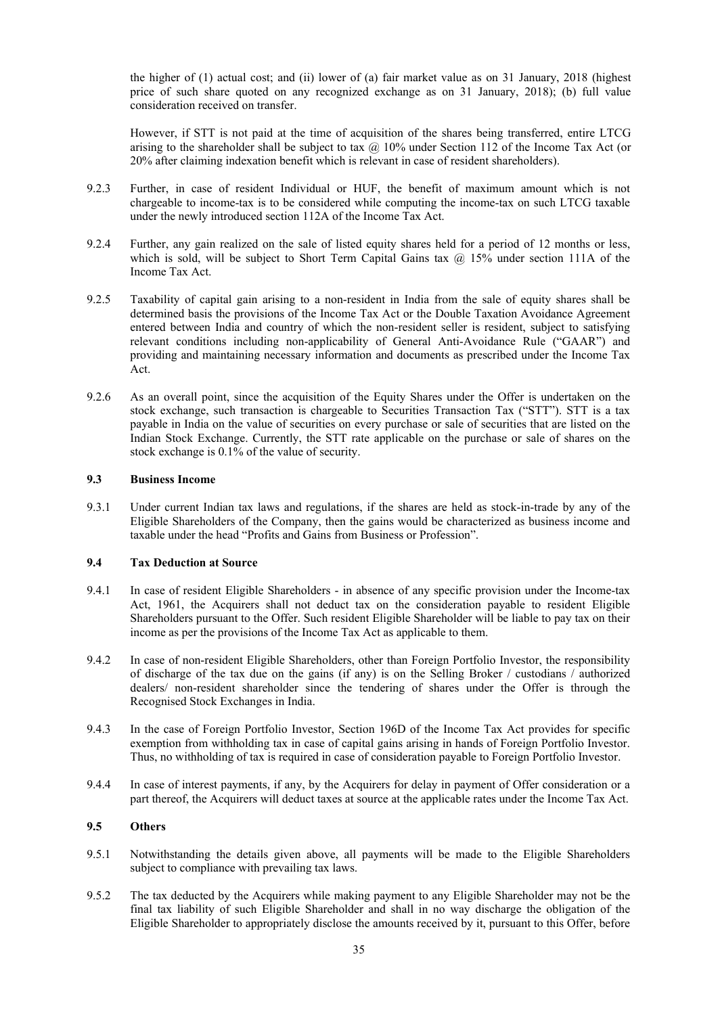the higher of (1) actual cost; and (ii) lower of (a) fair market value as on 31 January, 2018 (highest price of such share quoted on any recognized exchange as on 31 January, 2018); (b) full value consideration received on transfer.

However, if STT is not paid at the time of acquisition of the shares being transferred, entire LTCG arising to the shareholder shall be subject to tax  $\omega$  10% under Section 112 of the Income Tax Act (or 20% after claiming indexation benefit which is relevant in case of resident shareholders).

- 9.2.3 Further, in case of resident Individual or HUF, the benefit of maximum amount which is not chargeable to income-tax is to be considered while computing the income-tax on such LTCG taxable under the newly introduced section 112A of the Income Tax Act.
- 9.2.4 Further, any gain realized on the sale of listed equity shares held for a period of 12 months or less, which is sold, will be subject to Short Term Capital Gains tax  $(a)$  15% under section 111A of the Income Tax Act.
- 9.2.5 Taxability of capital gain arising to a non-resident in India from the sale of equity shares shall be determined basis the provisions of the Income Tax Act or the Double Taxation Avoidance Agreement entered between India and country of which the non-resident seller is resident, subject to satisfying relevant conditions including non-applicability of General Anti-Avoidance Rule ("GAAR") and providing and maintaining necessary information and documents as prescribed under the Income Tax Act.
- 9.2.6 As an overall point, since the acquisition of the Equity Shares under the Offer is undertaken on the stock exchange, such transaction is chargeable to Securities Transaction Tax ("STT"). STT is a tax payable in India on the value of securities on every purchase or sale of securities that are listed on the Indian Stock Exchange. Currently, the STT rate applicable on the purchase or sale of shares on the stock exchange is 0.1% of the value of security.

### **9.3 Business Income**

9.3.1 Under current Indian tax laws and regulations, if the shares are held as stock-in-trade by any of the Eligible Shareholders of the Company, then the gains would be characterized as business income and taxable under the head "Profits and Gains from Business or Profession".

### **9.4 Tax Deduction at Source**

- 9.4.1 In case of resident Eligible Shareholders in absence of any specific provision under the Income-tax Act, 1961, the Acquirers shall not deduct tax on the consideration payable to resident Eligible Shareholders pursuant to the Offer. Such resident Eligible Shareholder will be liable to pay tax on their income as per the provisions of the Income Tax Act as applicable to them.
- 9.4.2 In case of non-resident Eligible Shareholders, other than Foreign Portfolio Investor, the responsibility of discharge of the tax due on the gains (if any) is on the Selling Broker / custodians / authorized dealers/ non-resident shareholder since the tendering of shares under the Offer is through the Recognised Stock Exchanges in India.
- 9.4.3 In the case of Foreign Portfolio Investor, Section 196D of the Income Tax Act provides for specific exemption from withholding tax in case of capital gains arising in hands of Foreign Portfolio Investor. Thus, no withholding of tax is required in case of consideration payable to Foreign Portfolio Investor.
- 9.4.4 In case of interest payments, if any, by the Acquirers for delay in payment of Offer consideration or a part thereof, the Acquirers will deduct taxes at source at the applicable rates under the Income Tax Act.

### **9.5 Others**

- 9.5.1 Notwithstanding the details given above, all payments will be made to the Eligible Shareholders subject to compliance with prevailing tax laws.
- 9.5.2 The tax deducted by the Acquirers while making payment to any Eligible Shareholder may not be the final tax liability of such Eligible Shareholder and shall in no way discharge the obligation of the Eligible Shareholder to appropriately disclose the amounts received by it, pursuant to this Offer, before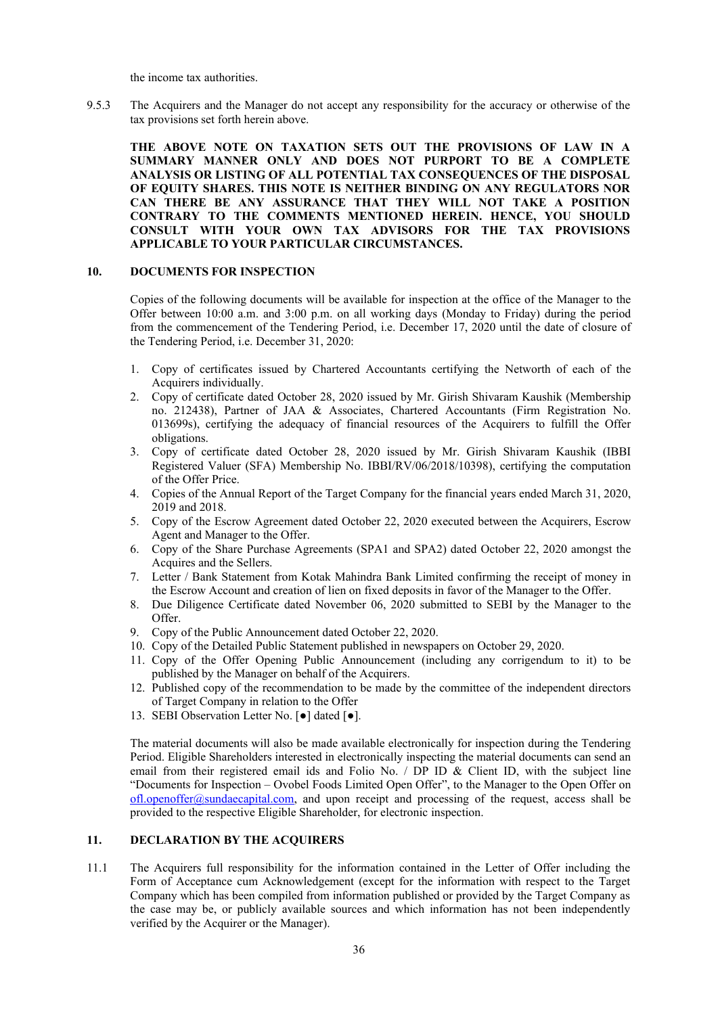the income tax authorities.

9.5.3 The Acquirers and the Manager do not accept any responsibility for the accuracy or otherwise of the tax provisions set forth herein above.

**THE ABOVE NOTE ON TAXATION SETS OUT THE PROVISIONS OF LAW IN A SUMMARY MANNER ONLY AND DOES NOT PURPORT TO BE A COMPLETE ANALYSIS OR LISTING OF ALL POTENTIAL TAX CONSEQUENCES OF THE DISPOSAL OF EQUITY SHARES. THIS NOTE IS NEITHER BINDING ON ANY REGULATORS NOR CAN THERE BE ANY ASSURANCE THAT THEY WILL NOT TAKE A POSITION CONTRARY TO THE COMMENTS MENTIONED HEREIN. HENCE, YOU SHOULD CONSULT WITH YOUR OWN TAX ADVISORS FOR THE TAX PROVISIONS APPLICABLE TO YOUR PARTICULAR CIRCUMSTANCES.** 

# **10. DOCUMENTS FOR INSPECTION**

Copies of the following documents will be available for inspection at the office of the Manager to the Offer between 10:00 a.m. and 3:00 p.m. on all working days (Monday to Friday) during the period from the commencement of the Tendering Period, i.e. December 17, 2020 until the date of closure of the Tendering Period, i.e. December 31, 2020:

- 1. Copy of certificates issued by Chartered Accountants certifying the Networth of each of the Acquirers individually.
- 2. Copy of certificate dated October 28, 2020 issued by Mr. Girish Shivaram Kaushik (Membership no. 212438), Partner of JAA & Associates, Chartered Accountants (Firm Registration No. 013699s), certifying the adequacy of financial resources of the Acquirers to fulfill the Offer obligations.
- 3. Copy of certificate dated October 28, 2020 issued by Mr. Girish Shivaram Kaushik (IBBI Registered Valuer (SFA) Membership No. IBBI/RV/06/2018/10398), certifying the computation of the Offer Price.
- 4. Copies of the Annual Report of the Target Company for the financial years ended March 31, 2020, 2019 and 2018.
- 5. Copy of the Escrow Agreement dated October 22, 2020 executed between the Acquirers, Escrow Agent and Manager to the Offer.
- 6. Copy of the Share Purchase Agreements (SPA1 and SPA2) dated October 22, 2020 amongst the Acquires and the Sellers.
- 7. Letter / Bank Statement from Kotak Mahindra Bank Limited confirming the receipt of money in the Escrow Account and creation of lien on fixed deposits in favor of the Manager to the Offer.
- 8. Due Diligence Certificate dated November 06, 2020 submitted to SEBI by the Manager to the Offer.
- 9. Copy of the Public Announcement dated October 22, 2020.
- 10. Copy of the Detailed Public Statement published in newspapers on October 29, 2020.
- 11. Copy of the Offer Opening Public Announcement (including any corrigendum to it) to be published by the Manager on behalf of the Acquirers.
- 12. Published copy of the recommendation to be made by the committee of the independent directors of Target Company in relation to the Offer
- 13. SEBI Observation Letter No. [●] dated [●].

The material documents will also be made available electronically for inspection during the Tendering Period. Eligible Shareholders interested in electronically inspecting the material documents can send an email from their registered email ids and Folio No. / DP ID & Client ID, with the subject line "Documents for Inspection – Ovobel Foods Limited Open Offer", to the Manager to the Open Offer on  $ofl.openoffer@sundaecapital.com$ , and upon receipt and processing of the request, access shall be provided to the respective Eligible Shareholder, for electronic inspection.

### **11. DECLARATION BY THE ACQUIRERS**

11.1 The Acquirers full responsibility for the information contained in the Letter of Offer including the Form of Acceptance cum Acknowledgement (except for the information with respect to the Target Company which has been compiled from information published or provided by the Target Company as the case may be, or publicly available sources and which information has not been independently verified by the Acquirer or the Manager).